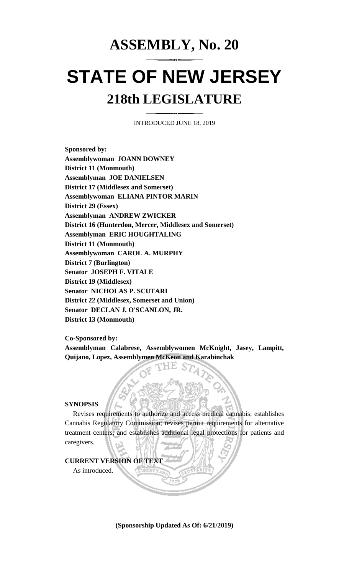# **ASSEMBLY, No. 20**

# **STATE OF NEW JERSEY 218th LEGISLATURE**

INTRODUCED JUNE 18, 2019

**Sponsored by: Assemblywoman JOANN DOWNEY District 11 (Monmouth) Assemblyman JOE DANIELSEN District 17 (Middlesex and Somerset) Assemblywoman ELIANA PINTOR MARIN District 29 (Essex) Assemblyman ANDREW ZWICKER District 16 (Hunterdon, Mercer, Middlesex and Somerset) Assemblyman ERIC HOUGHTALING District 11 (Monmouth) Assemblywoman CAROL A. MURPHY District 7 (Burlington) Senator JOSEPH F. VITALE District 19 (Middlesex) Senator NICHOLAS P. SCUTARI District 22 (Middlesex, Somerset and Union) Senator DECLAN J. O'SCANLON, JR. District 13 (Monmouth)**

**Co-Sponsored by:**

**Assemblyman Calabrese, Assemblywomen McKnight, Jasey, Lampitt, Quijano, Lopez, Assemblymen McKeon and Karabinchak**

# **SYNOPSIS**

Revises requirements to authorize and access medical cannabis; establishes Cannabis Regulatory Commission; revises permit requirements for alternative treatment centers; and establishes additional legal protections for patients and caregivers.

# **CURRENT VERSION OF TEXT**

As introduced.

**(Sponsorship Updated As Of: 6/21/2019)**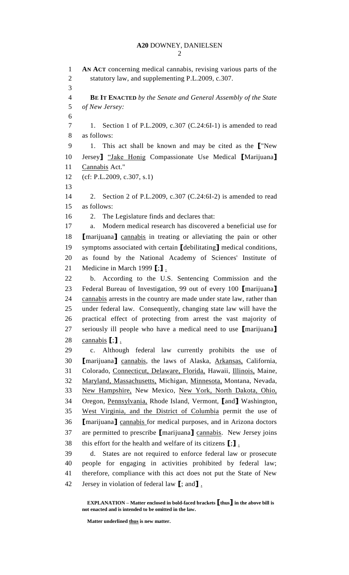**AN ACT** concerning medical cannabis, revising various parts of the statutory law, and supplementing P.L.2009, c.307. **BE IT ENACTED** *by the Senate and General Assembly of the State of New Jersey:* 1. Section 1 of P.L.2009, c.307 (C.24:6I-1) is amended to read as follows: 1. This act shall be known and may be cited as the **[**"New Jersey**]** "Jake Honig Compassionate Use Medical **[**Marijuana**]** Cannabis Act." (cf: P.L.2009, c.307, s.1) 2. Section 2 of P.L.2009, c.307 (C.24:6I-2) is amended to read as follows: 2. The Legislature finds and declares that: a. Modern medical research has discovered a beneficial use for **[**marijuana**]** cannabis in treating or alleviating the pain or other symptoms associated with certain **[**debilitating**]** medical conditions, as found by the National Academy of Sciences' Institute of Medicine in March 1999 **[**;**]** . b. According to the U.S. Sentencing Commission and the Federal Bureau of Investigation, 99 out of every 100 **[**marijuana**]** cannabis arrests in the country are made under state law, rather than under federal law. Consequently, changing state law will have the practical effect of protecting from arrest the vast majority of seriously ill people who have a medical need to use **[**marijuana**]** cannabis **[**;**]** . c. Although federal law currently prohibits the use of **[**marijuana**]** cannabis, the laws of Alaska, Arkansas, California, Colorado, Connecticut, Delaware, Florida, Hawaii, Illinois, Maine, Maryland, Massachusetts, Michigan, Minnesota, Montana, Nevada, New Hampshire, New Mexico, New York, North Dakota, Ohio, Oregon, Pennsylvania, Rhode Island, Vermont, **[**and**]** Washington, West Virginia, and the District of Columbia permit the use of **[**marijuana**]** cannabis for medical purposes, and in Arizona doctors are permitted to prescribe **[**marijuana**]** cannabis. New Jersey joins this effort for the health and welfare of its citizens **[**;**]** . d. States are not required to enforce federal law or prosecute people for engaging in activities prohibited by federal law; therefore, compliance with this act does not put the State of New Jersey in violation of federal law **[**; and**]** .

**EXPLANATION – Matter enclosed in bold-faced brackets [thus] in the above bill is not enacted and is intended to be omitted in the law.**

**Matter underlined thus is new matter.**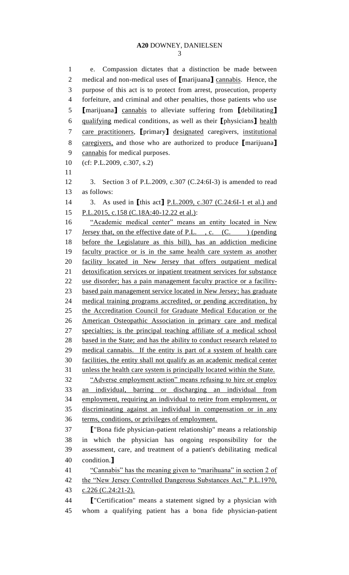e. Compassion dictates that a distinction be made between medical and non-medical uses of **[**marijuana**]** cannabis. Hence, the purpose of this act is to protect from arrest, prosecution, property forfeiture, and criminal and other penalties, those patients who use **[**marijuana**]** cannabis to alleviate suffering from **[**debilitating**]** qualifying medical conditions, as well as their **[**physicians**]** health care practitioners, **[**primary**]** designated caregivers, institutional caregivers, and those who are authorized to produce **[**marijuana**]** cannabis for medical purposes. (cf: P.L.2009, c.307, s.2) 3. Section 3 of P.L.2009, c.307 (C.24:6I-3) is amended to read as follows: 3. As used in **[**this act**]** P.L.2009, c.307 (C.24:6I-1 et al.) and 15 P.L.2015, c.158 (C.18A:40-12.22 et al.): 16 "Academic medical center" means an entity located in New 17 Jersey that, on the effective date of P.L., c. (C. ) (pending before the Legislature as this bill), has an addiction medicine faculty practice or is in the same health care system as another facility located in New Jersey that offers outpatient medical detoxification services or inpatient treatment services for substance use disorder; has a pain management faculty practice or a facility- based pain management service located in New Jersey; has graduate medical training programs accredited, or pending accreditation, by the Accreditation Council for Graduate Medical Education or the American Osteopathic Association in primary care and medical specialties; is the principal teaching affiliate of a medical school 28 based in the State; and has the ability to conduct research related to medical cannabis. If the entity is part of a system of health care facilities, the entity shall not qualify as an academic medical center unless the health care system is principally located within the State. "Adverse employment action" means refusing to hire or employ an individual, barring or discharging an individual from employment, requiring an individual to retire from employment, or discriminating against an individual in compensation or in any 36 terms, conditions, or privileges of employment. **[**"Bona fide physician-patient relationship" means a relationship in which the physician has ongoing responsibility for the assessment, care, and treatment of a patient's debilitating medical condition.**]** "Cannabis" has the meaning given to "marihuana" in section 2 of 42 the "New Jersey Controlled Dangerous Substances Act," P.L.1970, 43 c.226 (C.24:21-2). **[**"Certification" means a statement signed by a physician with whom a qualifying patient has a bona fide physician-patient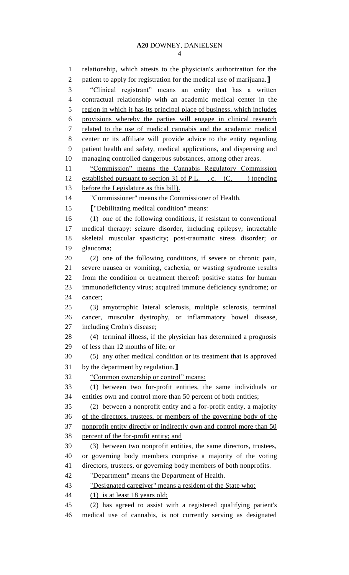relationship, which attests to the physician's authorization for the patient to apply for registration for the medical use of marijuana.**]** "Clinical registrant" means an entity that has a written contractual relationship with an academic medical center in the 5 region in which it has its principal place of business, which includes provisions whereby the parties will engage in clinical research related to the use of medical cannabis and the academic medical center or its affiliate will provide advice to the entity regarding patient health and safety, medical applications, and dispensing and managing controlled dangerous substances, among other areas. 11 "Commission" means the Cannabis Regulatory Commission 12 established pursuant to section 31 of P.L., c. (C. ) (pending before the Legislature as this bill). "Commissioner" means the Commissioner of Health. **[**"Debilitating medical condition" means: (1) one of the following conditions, if resistant to conventional medical therapy: seizure disorder, including epilepsy; intractable skeletal muscular spasticity; post-traumatic stress disorder; or glaucoma; (2) one of the following conditions, if severe or chronic pain, severe nausea or vomiting, cachexia, or wasting syndrome results from the condition or treatment thereof: positive status for human immunodeficiency virus; acquired immune deficiency syndrome; or cancer; (3) amyotrophic lateral sclerosis, multiple sclerosis, terminal cancer, muscular dystrophy, or inflammatory bowel disease, including Crohn's disease; (4) terminal illness, if the physician has determined a prognosis of less than 12 months of life; or (5) any other medical condition or its treatment that is approved by the department by regulation.**]** "Common ownership or control" means: (1) between two for-profit entities, the same individuals or entities own and control more than 50 percent of both entities; (2) between a nonprofit entity and a for-profit entity, a majority of the directors, trustees, or members of the governing body of the 37 nonprofit entity directly or indirectly own and control more than 50 percent of the for-profit entity; and (3) between two nonprofit entities, the same directors, trustees, or governing body members comprise a majority of the voting directors, trustees, or governing body members of both nonprofits. "Department" means the Department of Health. "Designated caregiver" means a resident of the State who: (1) is at least 18 years old; (2) has agreed to assist with a registered qualifying patient's medical use of cannabis, is not currently serving as designated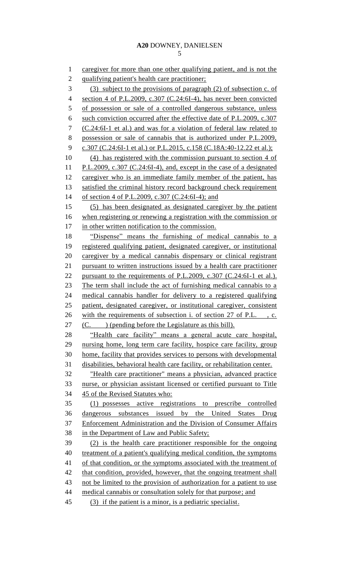1 caregiver for more than one other qualifying patient, and is not the qualifying patient's health care practitioner; (3) subject to the provisions of paragraph (2) of subsection c. of section 4 of P.L.2009, c.307 (C.24:6I-4), has never been convicted 5 of possession or sale of a controlled dangerous substance, unless such conviction occurred after the effective date of P.L.2009, c.307 (C.24:6I-1 et al.) and was for a violation of federal law related to possession or sale of cannabis that is authorized under P.L.2009, c.307 (C.24:6I-1 et al.) or P.L.2015, c.158 (C.18A:40-12.22 et al.); (4) has registered with the commission pursuant to section 4 of P.L.2009, c.307 (C.24:6I-4), and, except in the case of a designated caregiver who is an immediate family member of the patient, has satisfied the criminal history record background check requirement of section 4 of P.L.2009, c.307 (C.24:6I-4); and (5) has been designated as designated caregiver by the patient when registering or renewing a registration with the commission or 17 in other written notification to the commission. "Dispense" means the furnishing of medical cannabis to a registered qualifying patient, designated caregiver, or institutional caregiver by a medical cannabis dispensary or clinical registrant pursuant to written instructions issued by a health care practitioner 22 pursuant to the requirements of P.L.2009, c.307 (C.24:6I-1 et al.). The term shall include the act of furnishing medical cannabis to a medical cannabis handler for delivery to a registered qualifying patient, designated caregiver, or institutional caregiver, consistent 26 with the requirements of subsection i. of section 27 of P.L., c. 27 (C. ) (pending before the Legislature as this bill). "Health care facility" means a general acute care hospital, nursing home, long term care facility, hospice care facility, group home, facility that provides services to persons with developmental disabilities, behavioral health care facility, or rehabilitation center. "Health care practitioner" means a physician, advanced practice nurse, or physician assistant licensed or certified pursuant to Title 45 of the Revised Statutes who: (1) possesses active registrations to prescribe controlled dangerous substances issued by the United States Drug Enforcement Administration and the Division of Consumer Affairs in the Department of Law and Public Safety; (2) is the health care practitioner responsible for the ongoing treatment of a patient's qualifying medical condition, the symptoms of that condition, or the symptoms associated with the treatment of 42 that condition, provided, however, that the ongoing treatment shall not be limited to the provision of authorization for a patient to use 44 medical cannabis or consultation solely for that purpose; and (3) if the patient is a minor, is a pediatric specialist.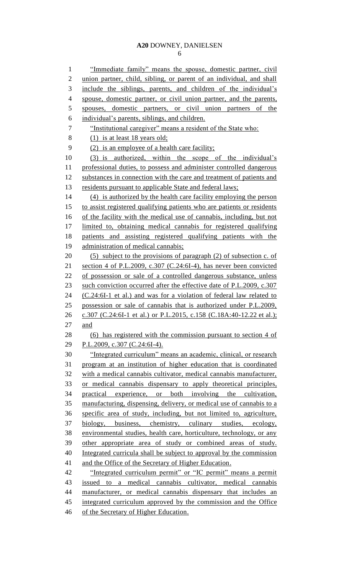"Immediate family" means the spouse, domestic partner, civil union partner, child, sibling, or parent of an individual, and shall include the siblings, parents, and children of the individual's spouse, domestic partner, or civil union partner, and the parents, spouses, domestic partners, or civil union partners of the individual's parents, siblings, and children. "Institutional caregiver" means a resident of the State who: (1) is at least 18 years old; (2) is an employee of a health care facility; (3) is authorized, within the scope of the individual's professional duties, to possess and administer controlled dangerous 12 substances in connection with the care and treatment of patients and residents pursuant to applicable State and federal laws; (4) is authorized by the health care facility employing the person to assist registered qualifying patients who are patients or residents of the facility with the medical use of cannabis, including, but not limited to, obtaining medical cannabis for registered qualifying patients and assisting registered qualifying patients with the administration of medical cannabis; 20 (5) subject to the provisions of paragraph (2) of subsection c. of section 4 of P.L.2009, c.307 (C.24:6I-4), has never been convicted of possession or sale of a controlled dangerous substance, unless 23 such conviction occurred after the effective date of P.L.2009, c.307 (C.24:6I-1 et al.) and was for a violation of federal law related to possession or sale of cannabis that is authorized under P.L.2009, 26 c.307 (C.24:6I-1 et al.) or P.L.2015, c.158 (C.18A:40-12.22 et al.); and (6) has registered with the commission pursuant to section 4 of P.L.2009, c.307 (C.24:6I-4). "Integrated curriculum" means an academic, clinical, or research program at an institution of higher education that is coordinated with a medical cannabis cultivator, medical cannabis manufacturer, or medical cannabis dispensary to apply theoretical principles, practical experience, or both involving the cultivation, manufacturing, dispensing, delivery, or medical use of cannabis to a specific area of study, including, but not limited to, agriculture, biology, business, chemistry, culinary studies, ecology, environmental studies, health care, horticulture, technology, or any other appropriate area of study or combined areas of study. Integrated curricula shall be subject to approval by the commission and the Office of the Secretary of Higher Education. "Integrated curriculum permit" or "IC permit" means a permit issued to a medical cannabis cultivator, medical cannabis manufacturer, or medical cannabis dispensary that includes an integrated curriculum approved by the commission and the Office 46 of the Secretary of Higher Education.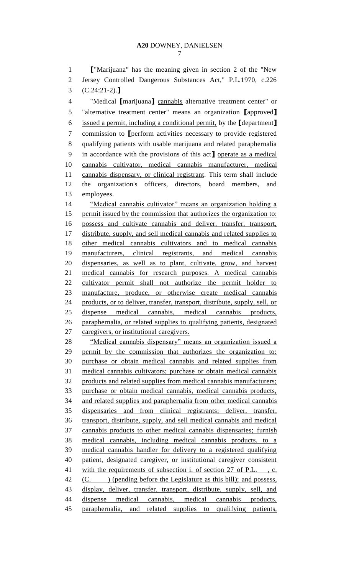**[**"Marijuana" has the meaning given in section 2 of the "New Jersey Controlled Dangerous Substances Act," P.L.1970, c.226 (C.24:21-2).**]**

 "Medical **[**marijuana**]** cannabis alternative treatment center" or "alternative treatment center" means an organization **[**approved**]** issued a permit, including a conditional permit, by the **[**department**]** commission to **[**perform activities necessary to provide registered qualifying patients with usable marijuana and related paraphernalia in accordance with the provisions of this act**]** operate as a medical cannabis cultivator, medical cannabis manufacturer, medical cannabis dispensary, or clinical registrant. This term shall include the organization's officers, directors, board members, and employees.

 "Medical cannabis cultivator" means an organization holding a 15 permit issued by the commission that authorizes the organization to: possess and cultivate cannabis and deliver, transfer, transport, distribute, supply, and sell medical cannabis and related supplies to other medical cannabis cultivators and to medical cannabis manufacturers, clinical registrants, and medical cannabis dispensaries, as well as to plant, cultivate, grow, and harvest medical cannabis for research purposes. A medical cannabis cultivator permit shall not authorize the permit holder to manufacture, produce, or otherwise create medical cannabis 24 products, or to deliver, transfer, transport, distribute, supply, sell, or dispense medical cannabis, medical cannabis products, paraphernalia, or related supplies to qualifying patients, designated 27 caregivers, or institutional caregivers.

28 "Medical cannabis dispensary" means an organization issued a permit by the commission that authorizes the organization to: purchase or obtain medical cannabis and related supplies from medical cannabis cultivators; purchase or obtain medical cannabis products and related supplies from medical cannabis manufacturers; purchase or obtain medical cannabis, medical cannabis products, and related supplies and paraphernalia from other medical cannabis dispensaries and from clinical registrants; deliver, transfer, transport, distribute, supply, and sell medical cannabis and medical cannabis products to other medical cannabis dispensaries; furnish medical cannabis, including medical cannabis products, to a medical cannabis handler for delivery to a registered qualifying patient, designated caregiver, or institutional caregiver consistent 41 with the requirements of subsection i. of section 27 of P.L., c. 42 (C. ) (pending before the Legislature as this bill); and possess, display, deliver, transfer, transport, distribute, supply, sell, and dispense medical cannabis, medical cannabis products, paraphernalia, and related supplies to qualifying patients,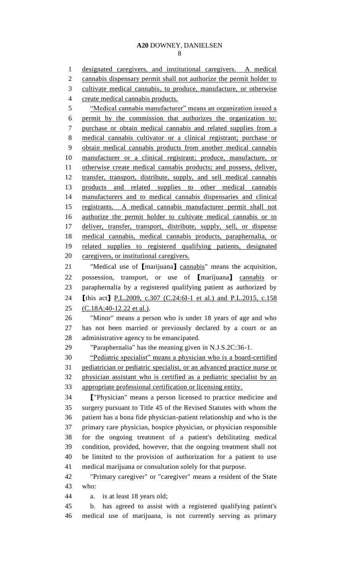designated caregivers, and institutional caregivers. A medical 2 cannabis dispensary permit shall not authorize the permit holder to cultivate medical cannabis, to produce, manufacture, or otherwise create medical cannabis products. 5 "Medical cannabis manufacturer" means an organization issued a permit by the commission that authorizes the organization to: purchase or obtain medical cannabis and related supplies from a medical cannabis cultivator or a clinical registrant; purchase or obtain medical cannabis products from another medical cannabis manufacturer or a clinical registrant; produce, manufacture, or otherwise create medical cannabis products; and possess, deliver, transfer, transport, distribute, supply, and sell medical cannabis products and related supplies to other medical cannabis manufacturers and to medical cannabis dispensaries and clinical registrants. A medical cannabis manufacturer permit shall not authorize the permit holder to cultivate medical cannabis or to deliver, transfer, transport, distribute, supply, sell, or dispense medical cannabis, medical cannabis products, paraphernalia, or related supplies to registered qualifying patients, designated 20 caregivers, or institutional caregivers. "Medical use of **[**marijuana**]** cannabis" means the acquisition, possession, transport, or use of **[**marijuana**]** cannabis or paraphernalia by a registered qualifying patient as authorized by **[**this act**]** P.L.2009, c.307 (C.24:6I-1 et al.) and P.L.2015, c.158 (C.18A:40-12.22 et al.). "Minor" means a person who is under 18 years of age and who has not been married or previously declared by a court or an administrative agency to be emancipated. "Paraphernalia" has the meaning given in N.J.S.2C:36-1. "Pediatric specialist" means a physician who is a board-certified pediatrician or pediatric specialist, or an advanced practice nurse or physician assistant who is certified as a pediatric specialist by an appropriate professional certification or licensing entity. **[**"Physician" means a person licensed to practice medicine and surgery pursuant to Title 45 of the Revised Statutes with whom the patient has a bona fide physician-patient relationship and who is the primary care physician, hospice physician, or physician responsible for the ongoing treatment of a patient's debilitating medical condition, provided, however, that the ongoing treatment shall not be limited to the provision of authorization for a patient to use medical marijuana or consultation solely for that purpose. "Primary caregiver" or "caregiver" means a resident of the State who: a. is at least 18 years old; b. has agreed to assist with a registered qualifying patient's medical use of marijuana, is not currently serving as primary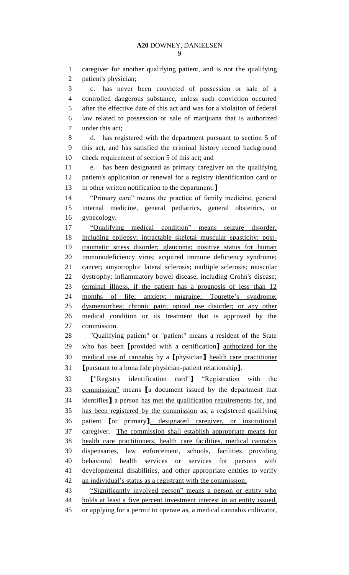caregiver for another qualifying patient, and is not the qualifying patient's physician; c. has never been convicted of possession or sale of a controlled dangerous substance, unless such conviction occurred after the effective date of this act and was for a violation of federal law related to possession or sale of marijuana that is authorized under this act; d. has registered with the department pursuant to section 5 of this act, and has satisfied the criminal history record background check requirement of section 5 of this act; and e. has been designated as primary caregiver on the qualifying patient's application or renewal for a registry identification card or in other written notification to the department.**]** "Primary care" means the practice of family medicine, general internal medicine, general pediatrics, general obstetrics, or gynecology. "Qualifying medical condition" means seizure disorder, including epilepsy; intractable skeletal muscular spasticity; post- traumatic stress disorder; glaucoma; positive status for human immunodeficiency virus; acquired immune deficiency syndrome; cancer; amyotrophic lateral sclerosis; multiple sclerosis; muscular dystrophy; inflammatory bowel disease, including Crohn's disease; terminal illness, if the patient has a prognosis of less than 12 months of life; anxiety; migraine; Tourette's syndrome; dysmenorrhea; chronic pain; opioid use disorder; or any other medical condition or its treatment that is approved by the commission. "Qualifying patient" or "patient" means a resident of the State who has been **[**provided with a certification**]** authorized for the medical use of cannabis by a **[**physician**]** health care practitioner **[**pursuant to a bona fide physician-patient relationship**]**. **[**"Registry identification card"**]** "Registration with the commission" means **[**a document issued by the department that identifies**]** a person has met the qualification requirements for, and has been registered by the commission as, a registered qualifying patient **[**or primary**]**, designated caregiver, or institutional caregiver. The commission shall establish appropriate means for health care practitioners, health care facilities, medical cannabis dispensaries, law enforcement, schools, facilities providing behavioral health services or services for persons with developmental disabilities, and other appropriate entities to verify an individual's status as a registrant with the commission. 43 "Significantly involved person" means a person or entity who holds at least a five percent investment interest in an entity issued, or applying for a permit to operate as, a medical cannabis cultivator,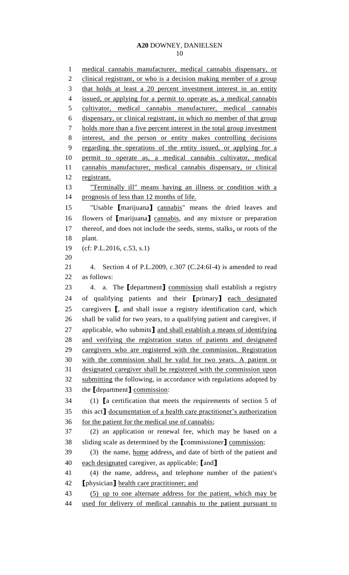medical cannabis manufacturer, medical cannabis dispensary, or 2 clinical registrant, or who is a decision making member of a group that holds at least a 20 percent investment interest in an entity 4 issued, or applying for a permit to operate as, a medical cannabis cultivator, medical cannabis manufacturer, medical cannabis dispensary, or clinical registrant, in which no member of that group holds more than a five percent interest in the total group investment interest, and the person or entity makes controlling decisions regarding the operations of the entity issued, or applying for a permit to operate as, a medical cannabis cultivator, medical cannabis manufacturer, medical cannabis dispensary, or clinical registrant. "Terminally ill" means having an illness or condition with a 14 prognosis of less than 12 months of life. "Usable **[**marijuana**]** cannabis" means the dried leaves and flowers of **[**marijuana**]** cannabis, and any mixture or preparation 17 thereof, and does not include the seeds, stems, stalks, or roots of the plant. (cf: P.L.2016, c.53, s.1) 4. Section 4 of P.L.2009, c.307 (C.24:6I-4) is amended to read as follows: 4. a. The **[**department**]** commission shall establish a registry of qualifying patients and their **[**primary**]** each designated caregivers **[**, and shall issue a registry identification card, which shall be valid for two years, to a qualifying patient and caregiver, if applicable, who submits**]** and shall establish a means of identifying and verifying the registration status of patients and designated caregivers who are registered with the commission. Registration with the commission shall be valid for two years. A patient or designated caregiver shall be registered with the commission upon 32 submitting the following, in accordance with regulations adopted by the **[**department**]** commission: (1) **[**a certification that meets the requirements of section 5 of this act**]** documentation of a health care practitioner's authorization for the patient for the medical use of cannabis; (2) an application or renewal fee, which may be based on a sliding scale as determined by the **[**commissioner**]** commission; 39 (3) the name, <u>home</u> address, and date of birth of the patient and each designated caregiver, as applicable; **[**and**]** (4) the name, address, and telephone number of the patient's **[**physician**]** health care practitioner; and (5) up to one alternate address for the patient, which may be used for delivery of medical cannabis to the patient pursuant to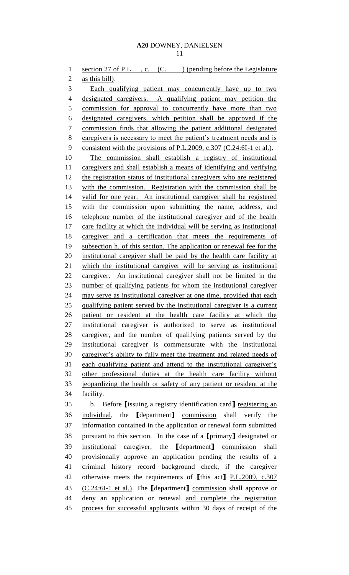1 section 27 of P.L., c. (C.) (pending before the Legislature 2 as this bill). Each qualifying patient may concurrently have up to two designated caregivers. A qualifying patient may petition the 5 commission for approval to concurrently have more than two designated caregivers, which petition shall be approved if the commission finds that allowing the patient additional designated 8 caregivers is necessary to meet the patient's treatment needs and is 9 consistent with the provisions of P.L.2009, c.307 (C.24:6I-1 et al.). The commission shall establish a registry of institutional caregivers and shall establish a means of identifying and verifying 12 the registration status of institutional caregivers who are registered with the commission. Registration with the commission shall be valid for one year. An institutional caregiver shall be registered with the commission upon submitting the name, address, and 16 telephone number of the institutional caregiver and of the health care facility at which the individual will be serving as institutional 18 caregiver and a certification that meets the requirements of subsection h. of this section. The application or renewal fee for the institutional caregiver shall be paid by the health care facility at which the institutional caregiver will be serving as institutional caregiver. An institutional caregiver shall not be limited in the number of qualifying patients for whom the institutional caregiver may serve as institutional caregiver at one time, provided that each qualifying patient served by the institutional caregiver is a current patient or resident at the health care facility at which the institutional caregiver is authorized to serve as institutional caregiver, and the number of qualifying patients served by the institutional caregiver is commensurate with the institutional caregiver's ability to fully meet the treatment and related needs of each qualifying patient and attend to the institutional caregiver's other professional duties at the health care facility without jeopardizing the health or safety of any patient or resident at the facility.

 b. Before **[**issuing a registry identification card**]** registering an individual, the **[**department**]** commission shall verify the information contained in the application or renewal form submitted pursuant to this section. In the case of a **[**primary**]** designated or institutional caregiver, the **[**department**]** commission shall provisionally approve an application pending the results of a criminal history record background check, if the caregiver otherwise meets the requirements of **[**this act**]** P.L.2009, c.307 (C.24:6I-1 et al.). The **[**department**]** commission shall approve or deny an application or renewal and complete the registration process for successful applicants within 30 days of receipt of the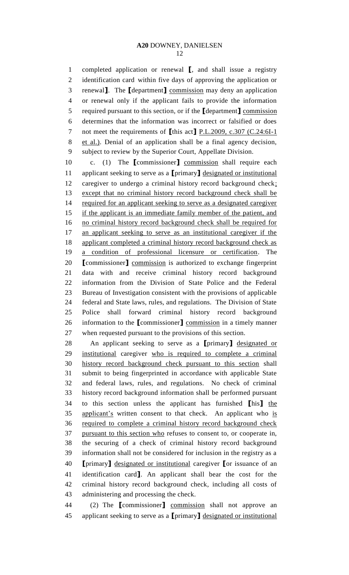completed application or renewal **[**, and shall issue a registry identification card within five days of approving the application or renewal**]**. The **[**department**]** commission may deny an application or renewal only if the applicant fails to provide the information required pursuant to this section, or if the **[**department**]** commission determines that the information was incorrect or falsified or does not meet the requirements of **[**this act**]** P.L.2009, c.307 (C.24:6I-1 et al.). Denial of an application shall be a final agency decision, subject to review by the Superior Court, Appellate Division.

 c. (1) The **[**commissioner**]** commission shall require each applicant seeking to serve as a **[**primary**]** designated or institutional caregiver to undergo a criminal history record background check; except that no criminal history record background check shall be 14 required for an applicant seeking to serve as a designated caregiver 15 if the applicant is an immediate family member of the patient, and no criminal history record background check shall be required for 17 an applicant seeking to serve as an institutional caregiver if the 18 applicant completed a criminal history record background check as a condition of professional licensure or certification. The **[**commissioner**]** commission is authorized to exchange fingerprint data with and receive criminal history record background information from the Division of State Police and the Federal Bureau of Investigation consistent with the provisions of applicable federal and State laws, rules, and regulations. The Division of State Police shall forward criminal history record background information to the **[**commissioner**]** commission in a timely manner when requested pursuant to the provisions of this section.

 An applicant seeking to serve as a **[**primary**]** designated or institutional caregiver who is required to complete a criminal history record background check pursuant to this section shall submit to being fingerprinted in accordance with applicable State and federal laws, rules, and regulations. No check of criminal history record background information shall be performed pursuant to this section unless the applicant has furnished **[**his**]** the applicant's written consent to that check. An applicant who is required to complete a criminal history record background check pursuant to this section who refuses to consent to, or cooperate in, the securing of a check of criminal history record background information shall not be considered for inclusion in the registry as a **[**primary**]** designated or institutional caregiver **[**or issuance of an identification card**]**. An applicant shall bear the cost for the criminal history record background check, including all costs of administering and processing the check.

 (2) The **[**commissioner**]** commission shall not approve an applicant seeking to serve as a **[**primary**]** designated or institutional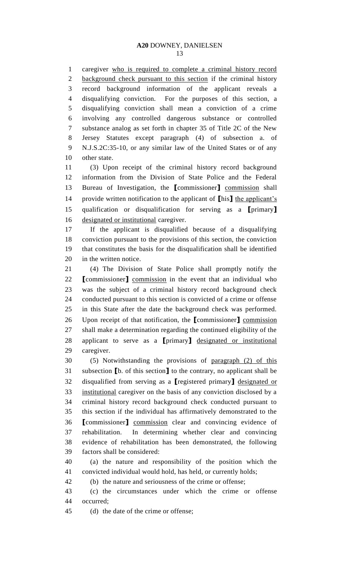caregiver who is required to complete a criminal history record 2 background check pursuant to this section if the criminal history record background information of the applicant reveals a disqualifying conviction. For the purposes of this section, a disqualifying conviction shall mean a conviction of a crime involving any controlled dangerous substance or controlled substance analog as set forth in chapter 35 of Title 2C of the New Jersey Statutes except paragraph (4) of subsection a. of N.J.S.2C:35-10, or any similar law of the United States or of any other state.

 (3) Upon receipt of the criminal history record background information from the Division of State Police and the Federal Bureau of Investigation, the **[**commissioner**]** commission shall provide written notification to the applicant of **[**his**]** the applicant's qualification or disqualification for serving as a **[**primary**]** designated or institutional caregiver.

 If the applicant is disqualified because of a disqualifying conviction pursuant to the provisions of this section, the conviction that constitutes the basis for the disqualification shall be identified in the written notice.

 (4) The Division of State Police shall promptly notify the **[**commissioner**]** commission in the event that an individual who was the subject of a criminal history record background check conducted pursuant to this section is convicted of a crime or offense in this State after the date the background check was performed. Upon receipt of that notification, the **[**commissioner**]** commission shall make a determination regarding the continued eligibility of the applicant to serve as a **[**primary**]** designated or institutional caregiver.

 (5) Notwithstanding the provisions of paragraph (2) of this subsection **[**b. of this section**]** to the contrary, no applicant shall be disqualified from serving as a **[**registered primary**]** designated or institutional caregiver on the basis of any conviction disclosed by a criminal history record background check conducted pursuant to this section if the individual has affirmatively demonstrated to the **[**commissioner**]** commission clear and convincing evidence of rehabilitation. In determining whether clear and convincing evidence of rehabilitation has been demonstrated, the following factors shall be considered:

 (a) the nature and responsibility of the position which the convicted individual would hold, has held, or currently holds;

(b) the nature and seriousness of the crime or offense;

 (c) the circumstances under which the crime or offense occurred;

(d) the date of the crime or offense;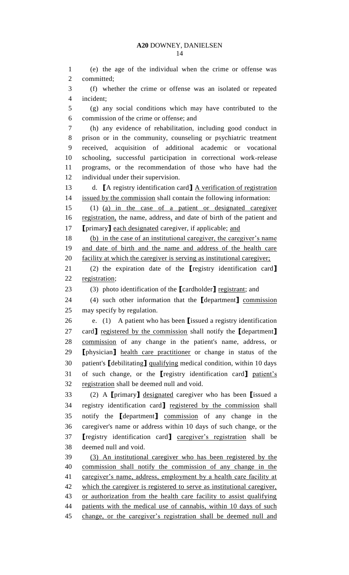(e) the age of the individual when the crime or offense was committed; (f) whether the crime or offense was an isolated or repeated incident; (g) any social conditions which may have contributed to the commission of the crime or offense; and (h) any evidence of rehabilitation, including good conduct in prison or in the community, counseling or psychiatric treatment received, acquisition of additional academic or vocational schooling, successful participation in correctional work-release programs, or the recommendation of those who have had the individual under their supervision. d. **[**A registry identification card**]** A verification of registration issued by the commission shall contain the following information: (1) (a) in the case of a patient or designated caregiver 16 registration, the name, address, and date of birth of the patient and **[**primary**]** each designated caregiver, if applicable; and (b) in the case of an institutional caregiver, the caregiver's name and date of birth and the name and address of the health care facility at which the caregiver is serving as institutional caregiver; (2) the expiration date of the **[**registry identification card**]** registration; (3) photo identification of the **[**cardholder**]** registrant; and (4) such other information that the **[**department**]** commission may specify by regulation. e. (1) A patient who has been **[**issued a registry identification card**]** registered by the commission shall notify the **[**department**]** commission of any change in the patient's name, address, or **[**physician**]** health care practitioner or change in status of the patient's **[**debilitating**]** qualifying medical condition, within 10 days of such change, or the **[**registry identification card**]** patient's registration shall be deemed null and void. (2) A **[**primary**]** designated caregiver who has been **[**issued a registry identification card**]** registered by the commission shall notify the **[**department**]** commission of any change in the caregiver's name or address within 10 days of such change, or the **[**registry identification card**]** caregiver's registration shall be deemed null and void. (3) An institutional caregiver who has been registered by the commission shall notify the commission of any change in the 41 caregiver's name, address, employment by a health care facility at 42 which the caregiver is registered to serve as institutional caregiver, or authorization from the health care facility to assist qualifying 44 patients with the medical use of cannabis, within 10 days of such change, or the caregiver's registration shall be deemed null and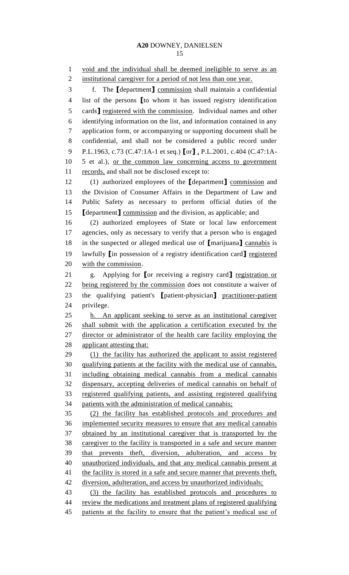void and the individual shall be deemed ineligible to serve as an 2 institutional caregiver for a period of not less than one year. f. The **[**department**]** commission shall maintain a confidential list of the persons **[**to whom it has issued registry identification cards**]** registered with the commission. Individual names and other identifying information on the list, and information contained in any application form, or accompanying or supporting document shall be confidential, and shall not be considered a public record under P.L.1963, c.73 (C.47:1A-1 et seq.) **[**or**]** , P.L.2001, c.404 (C.47:1A- 5 et al.), or the common law concerning access to government records, and shall not be disclosed except to: (1) authorized employees of the **[**department**]** commission and the Division of Consumer Affairs in the Department of Law and Public Safety as necessary to perform official duties of the **[**department**]** commission and the division, as applicable; and (2) authorized employees of State or local law enforcement agencies, only as necessary to verify that a person who is engaged in the suspected or alleged medical use of **[**marijuana**]** cannabis is lawfully **[**in possession of a registry identification card**]** registered with the commission. g. Applying for **[**or receiving a registry card**]** registration or 22 being registered by the commission does not constitute a waiver of the qualifying patient's **[**patient-physician**]** practitioner-patient privilege. h. An applicant seeking to serve as an institutional caregiver shall submit with the application a certification executed by the director or administrator of the health care facility employing the applicant attesting that: (1) the facility has authorized the applicant to assist registered qualifying patients at the facility with the medical use of cannabis, including obtaining medical cannabis from a medical cannabis dispensary, accepting deliveries of medical cannabis on behalf of registered qualifying patients, and assisting registered qualifying patients with the administration of medical cannabis; (2) the facility has established protocols and procedures and implemented security measures to ensure that any medical cannabis obtained by an institutional caregiver that is transported by the caregiver to the facility is transported in a safe and secure manner that prevents theft, diversion, adulteration, and access by unauthorized individuals, and that any medical cannabis present at 41 the facility is stored in a safe and secure manner that prevents theft, diversion, adulteration, and access by unauthorized individuals; (3) the facility has established protocols and procedures to review the medications and treatment plans of registered qualifying 45 patients at the facility to ensure that the patient's medical use of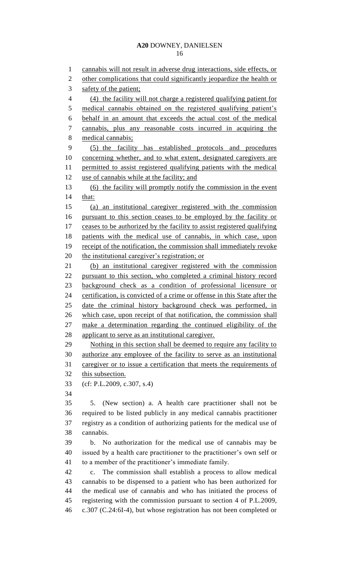cannabis will not result in adverse drug interactions, side effects, or 2 other complications that could significantly jeopardize the health or 3 safety of the patient; (4) the facility will not charge a registered qualifying patient for 5 medical cannabis obtained on the registered qualifying patient's behalf in an amount that exceeds the actual cost of the medical cannabis, plus any reasonable costs incurred in acquiring the medical cannabis; (5) the facility has established protocols and procedures concerning whether, and to what extent, designated caregivers are permitted to assist registered qualifying patients with the medical 12 use of cannabis while at the facility; and (6) the facility will promptly notify the commission in the event that: (a) an institutional caregiver registered with the commission pursuant to this section ceases to be employed by the facility or 17 ceases to be authorized by the facility to assist registered qualifying patients with the medical use of cannabis, in which case, upon 19 receipt of the notification, the commission shall immediately revoke 20 the institutional caregiver's registration; or (b) an institutional caregiver registered with the commission pursuant to this section, who completed a criminal history record background check as a condition of professional licensure or certification, is convicted of a crime or offense in this State after the date the criminal history background check was performed, in which case, upon receipt of that notification, the commission shall make a determination regarding the continued eligibility of the applicant to serve as an institutional caregiver. Nothing in this section shall be deemed to require any facility to authorize any employee of the facility to serve as an institutional caregiver or to issue a certification that meets the requirements of this subsection. (cf: P.L.2009, c.307, s.4) 5. (New section) a. A health care practitioner shall not be required to be listed publicly in any medical cannabis practitioner registry as a condition of authorizing patients for the medical use of cannabis. b. No authorization for the medical use of cannabis may be issued by a health care practitioner to the practitioner's own self or to a member of the practitioner's immediate family. c. The commission shall establish a process to allow medical cannabis to be dispensed to a patient who has been authorized for the medical use of cannabis and who has initiated the process of registering with the commission pursuant to section 4 of P.L.2009, c.307 (C.24:6I-4), but whose registration has not been completed or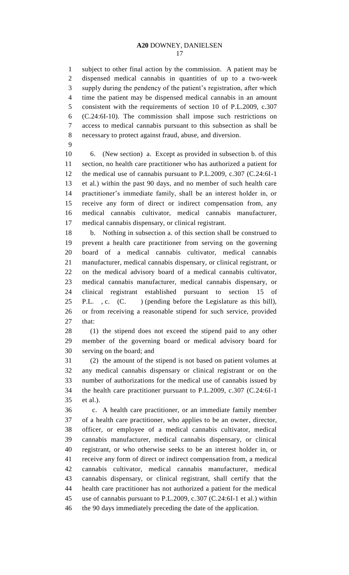subject to other final action by the commission. A patient may be dispensed medical cannabis in quantities of up to a two-week supply during the pendency of the patient's registration, after which time the patient may be dispensed medical cannabis in an amount consistent with the requirements of section 10 of P.L.2009, c.307 (C.24:6I-10). The commission shall impose such restrictions on access to medical cannabis pursuant to this subsection as shall be necessary to protect against fraud, abuse, and diversion.

 6. (New section) a. Except as provided in subsection b. of this section, no health care practitioner who has authorized a patient for the medical use of cannabis pursuant to P.L.2009, c.307 (C.24:6I-1 et al.) within the past 90 days, and no member of such health care practitioner's immediate family, shall be an interest holder in, or receive any form of direct or indirect compensation from, any medical cannabis cultivator, medical cannabis manufacturer, medical cannabis dispensary, or clinical registrant.

 b. Nothing in subsection a. of this section shall be construed to prevent a health care practitioner from serving on the governing board of a medical cannabis cultivator, medical cannabis manufacturer, medical cannabis dispensary, or clinical registrant, or on the medical advisory board of a medical cannabis cultivator, medical cannabis manufacturer, medical cannabis dispensary, or clinical registrant established pursuant to section 15 of P.L. , c. (C. ) (pending before the Legislature as this bill), or from receiving a reasonable stipend for such service, provided that:

 (1) the stipend does not exceed the stipend paid to any other member of the governing board or medical advisory board for serving on the board; and

 (2) the amount of the stipend is not based on patient volumes at any medical cannabis dispensary or clinical registrant or on the number of authorizations for the medical use of cannabis issued by the health care practitioner pursuant to P.L.2009, c.307 (C.24:6I-1 et al.).

 c. A health care practitioner, or an immediate family member of a health care practitioner, who applies to be an owner, director, officer, or employee of a medical cannabis cultivator, medical cannabis manufacturer, medical cannabis dispensary, or clinical registrant, or who otherwise seeks to be an interest holder in, or receive any form of direct or indirect compensation from, a medical cannabis cultivator, medical cannabis manufacturer, medical cannabis dispensary, or clinical registrant, shall certify that the health care practitioner has not authorized a patient for the medical use of cannabis pursuant to P.L.2009, c.307 (C.24:6I-1 et al.) within the 90 days immediately preceding the date of the application.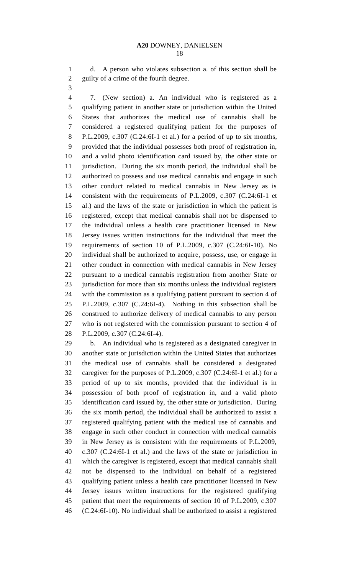d. A person who violates subsection a. of this section shall be guilty of a crime of the fourth degree.

 7. (New section) a. An individual who is registered as a qualifying patient in another state or jurisdiction within the United States that authorizes the medical use of cannabis shall be considered a registered qualifying patient for the purposes of P.L.2009, c.307 (C.24:6I-1 et al.) for a period of up to six months, provided that the individual possesses both proof of registration in, and a valid photo identification card issued by, the other state or jurisdiction. During the six month period, the individual shall be authorized to possess and use medical cannabis and engage in such other conduct related to medical cannabis in New Jersey as is consistent with the requirements of P.L.2009, c.307 (C.24:6I-1 et al.) and the laws of the state or jurisdiction in which the patient is registered, except that medical cannabis shall not be dispensed to the individual unless a health care practitioner licensed in New Jersey issues written instructions for the individual that meet the requirements of section 10 of P.L.2009, c.307 (C.24:6I-10). No individual shall be authorized to acquire, possess, use, or engage in other conduct in connection with medical cannabis in New Jersey pursuant to a medical cannabis registration from another State or jurisdiction for more than six months unless the individual registers with the commission as a qualifying patient pursuant to section 4 of P.L.2009, c.307 (C.24:6I-4). Nothing in this subsection shall be construed to authorize delivery of medical cannabis to any person who is not registered with the commission pursuant to section 4 of P.L.2009, c.307 (C.24:6I-4).

 b. An individual who is registered as a designated caregiver in another state or jurisdiction within the United States that authorizes the medical use of cannabis shall be considered a designated caregiver for the purposes of P.L.2009, c.307 (C.24:6I-1 et al.) for a period of up to six months, provided that the individual is in possession of both proof of registration in, and a valid photo identification card issued by, the other state or jurisdiction. During the six month period, the individual shall be authorized to assist a registered qualifying patient with the medical use of cannabis and engage in such other conduct in connection with medical cannabis in New Jersey as is consistent with the requirements of P.L.2009, c.307 (C.24:6I-1 et al.) and the laws of the state or jurisdiction in which the caregiver is registered, except that medical cannabis shall not be dispensed to the individual on behalf of a registered qualifying patient unless a health care practitioner licensed in New Jersey issues written instructions for the registered qualifying patient that meet the requirements of section 10 of P.L.2009, c.307 (C.24:6I-10). No individual shall be authorized to assist a registered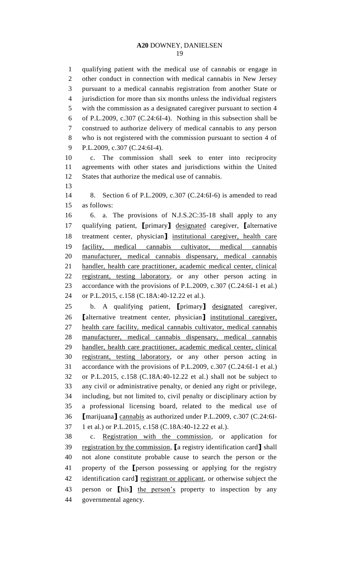qualifying patient with the medical use of cannabis or engage in other conduct in connection with medical cannabis in New Jersey pursuant to a medical cannabis registration from another State or jurisdiction for more than six months unless the individual registers with the commission as a designated caregiver pursuant to section 4 of P.L.2009, c.307 (C.24:6I-4). Nothing in this subsection shall be construed to authorize delivery of medical cannabis to any person who is not registered with the commission pursuant to section 4 of P.L.2009, c.307 (C.24:6I-4). c. The commission shall seek to enter into reciprocity agreements with other states and jurisdictions within the United States that authorize the medical use of cannabis. 8. Section 6 of P.L.2009, c.307 (C.24:6I-6) is amended to read as follows: 6. a. The provisions of N.J.S.2C:35-18 shall apply to any qualifying patient, **[**primary**]** designated caregiver, **[**alternative treatment center, physician**]** institutional caregiver, health care facility, medical cannabis cultivator, medical cannabis manufacturer, medical cannabis dispensary, medical cannabis handler, health care practitioner, academic medical center, clinical registrant, testing laboratory, or any other person acting in accordance with the provisions of P.L.2009, c.307 (C.24:6I-1 et al.) or P.L.2015, c.158 (C.18A:40-12.22 et al.). b. A qualifying patient, **[**primary**]** designated caregiver, **[**alternative treatment center, physician**]** institutional caregiver, health care facility, medical cannabis cultivator, medical cannabis manufacturer, medical cannabis dispensary, medical cannabis handler, health care practitioner, academic medical center, clinical registrant, testing laboratory, or any other person acting in accordance with the provisions of P.L.2009, c.307 (C.24:6I-1 et al.) or P.L.2015, c.158 (C.18A:40-12.22 et al.) shall not be subject to any civil or administrative penalty, or denied any right or privilege, including, but not limited to, civil penalty or disciplinary action by a professional licensing board, related to the medical use of **[**marijuana**]** cannabis as authorized under P.L.2009, c.307 (C.24:6I- 1 et al.) or P.L.2015, c.158 (C.18A:40-12.22 et al.). c. Registration with the commission, or application for registration by the commission, **[**a registry identification card**]** shall not alone constitute probable cause to search the person or the property of the **[**person possessing or applying for the registry

 identification card**]** registrant or applicant, or otherwise subject the person or **[**his**]** the person's property to inspection by any governmental agency.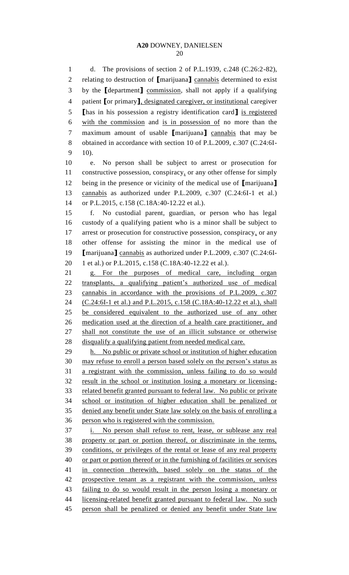d. The provisions of section 2 of P.L.1939, c.248 (C.26:2-82), relating to destruction of **[**marijuana**]** cannabis determined to exist by the **[**department**]** commission, shall not apply if a qualifying patient **[**or primary**]**, designated caregiver, or institutional caregiver **[**has in his possession a registry identification card**]** is registered with the commission and is in possession of no more than the maximum amount of usable **[**marijuana**]** cannabis that may be obtained in accordance with section 10 of P.L.2009, c.307 (C.24:6I- $9 - 10$ ). e. No person shall be subject to arrest or prosecution for constructive possession, conspiracy, or any other offense for simply being in the presence or vicinity of the medical use of **[**marijuana**]** cannabis as authorized under P.L.2009, c.307 (C.24:6I-1 et al.) or P.L.2015, c.158 (C.18A:40-12.22 et al.). f. No custodial parent, guardian, or person who has legal custody of a qualifying patient who is a minor shall be subject to 17 arrest or prosecution for constructive possession, conspiracy, or any other offense for assisting the minor in the medical use of **[**marijuana**]** cannabis as authorized under P.L.2009, c.307 (C.24:6I- 1 et al.) or P.L.2015, c.158 (C.18A:40-12.22 et al.). g. For the purposes of medical care, including organ transplants, a qualifying patient's authorized use of medical cannabis in accordance with the provisions of P.L.2009, c.307 (C.24:6I-1 et al.) and P.L.2015, c.158 (C.18A:40-12.22 et al.), shall be considered equivalent to the authorized use of any other medication used at the direction of a health care practitioner, and shall not constitute the use of an illicit substance or otherwise disqualify a qualifying patient from needed medical care. h. No public or private school or institution of higher education may refuse to enroll a person based solely on the person's status as a registrant with the commission, unless failing to do so would result in the school or institution losing a monetary or licensing- related benefit granted pursuant to federal law. No public or private school or institution of higher education shall be penalized or denied any benefit under State law solely on the basis of enrolling a person who is registered with the commission. i. No person shall refuse to rent, lease, or sublease any real property or part or portion thereof, or discriminate in the terms, conditions, or privileges of the rental or lease of any real property or part or portion thereof or in the furnishing of facilities or services in connection therewith, based solely on the status of the prospective tenant as a registrant with the commission, unless failing to do so would result in the person losing a monetary or 44 licensing-related benefit granted pursuant to federal law. No such person shall be penalized or denied any benefit under State law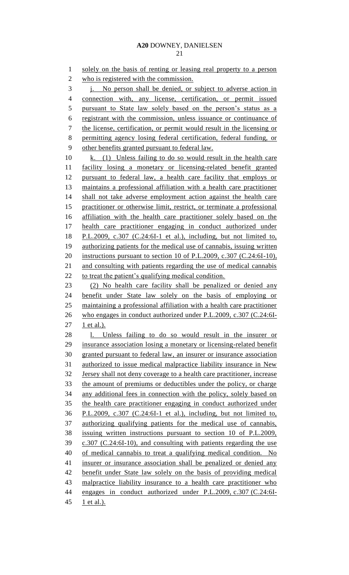solely on the basis of renting or leasing real property to a person who is registered with the commission. j. No person shall be denied, or subject to adverse action in connection with, any license, certification, or permit issued 5 pursuant to State law solely based on the person's status as a registrant with the commission, unless issuance or continuance of the license, certification, or permit would result in the licensing or permitting agency losing federal certification, federal funding, or other benefits granted pursuant to federal law. k. (1) Unless failing to do so would result in the health care facility losing a monetary or licensing-related benefit granted pursuant to federal law, a health care facility that employs or maintains a professional affiliation with a health care practitioner shall not take adverse employment action against the health care practitioner or otherwise limit, restrict, or terminate a professional affiliation with the health care practitioner solely based on the health care practitioner engaging in conduct authorized under P.L.2009, c.307 (C.24:6I-1 et al.), including, but not limited to, 19 authorizing patients for the medical use of cannabis, issuing written instructions pursuant to section 10 of P.L.2009, c.307 (C.24:6I-10), and consulting with patients regarding the use of medical cannabis 22 to treat the patient's qualifying medical condition. (2) No health care facility shall be penalized or denied any benefit under State law solely on the basis of employing or maintaining a professional affiliation with a health care practitioner who engages in conduct authorized under P.L.2009, c.307 (C.24:6I-27 1 et al.). l. Unless failing to do so would result in the insurer or insurance association losing a monetary or licensing-related benefit granted pursuant to federal law, an insurer or insurance association authorized to issue medical malpractice liability insurance in New Jersey shall not deny coverage to a health care practitioner, increase the amount of premiums or deductibles under the policy, or charge any additional fees in connection with the policy, solely based on the health care practitioner engaging in conduct authorized under P.L.2009, c.307 (C.24:6I-1 et al.), including, but not limited to, authorizing qualifying patients for the medical use of cannabis, issuing written instructions pursuant to section 10 of P.L.2009, c.307 (C.24:6I-10), and consulting with patients regarding the use 40 of medical cannabis to treat a qualifying medical condition. No 41 insurer or insurance association shall be penalized or denied any benefit under State law solely on the basis of providing medical malpractice liability insurance to a health care practitioner who engages in conduct authorized under P.L.2009, c.307 (C.24:6I-45 1 et al.).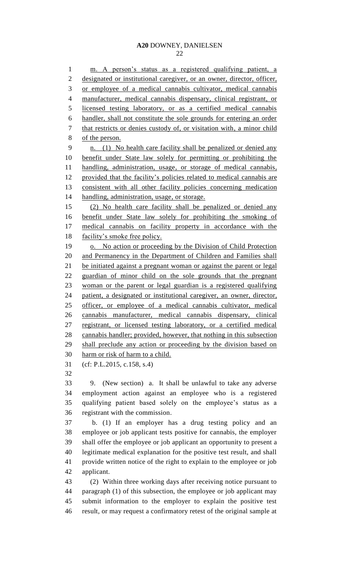m. A person's status as a registered qualifying patient, a

2 designated or institutional caregiver, or an owner, director, officer, or employee of a medical cannabis cultivator, medical cannabis manufacturer, medical cannabis dispensary, clinical registrant, or licensed testing laboratory, or as a certified medical cannabis handler, shall not constitute the sole grounds for entering an order that restricts or denies custody of, or visitation with, a minor child of the person. n. (1) No health care facility shall be penalized or denied any benefit under State law solely for permitting or prohibiting the handling, administration, usage, or storage of medical cannabis, provided that the facility's policies related to medical cannabis are consistent with all other facility policies concerning medication handling, administration, usage, or storage. (2) No health care facility shall be penalized or denied any benefit under State law solely for prohibiting the smoking of medical cannabis on facility property in accordance with the 18 facility's smoke free policy. o. No action or proceeding by the Division of Child Protection 20 and Permanency in the Department of Children and Families shall be initiated against a pregnant woman or against the parent or legal guardian of minor child on the sole grounds that the pregnant woman or the parent or legal guardian is a registered qualifying patient, a designated or institutional caregiver, an owner, director, officer, or employee of a medical cannabis cultivator, medical cannabis manufacturer, medical cannabis dispensary, clinical registrant, or licensed testing laboratory, or a certified medical cannabis handler; provided, however, that nothing in this subsection shall preclude any action or proceeding by the division based on harm or risk of harm to a child. (cf: P.L.2015, c.158, s.4) 9. (New section) a. It shall be unlawful to take any adverse employment action against an employee who is a registered qualifying patient based solely on the employee's status as a registrant with the commission. b. (1) If an employer has a drug testing policy and an employee or job applicant tests positive for cannabis, the employer shall offer the employee or job applicant an opportunity to present a legitimate medical explanation for the positive test result, and shall provide written notice of the right to explain to the employee or job applicant. (2) Within three working days after receiving notice pursuant to paragraph (1) of this subsection, the employee or job applicant may submit information to the employer to explain the positive test

result, or may request a confirmatory retest of the original sample at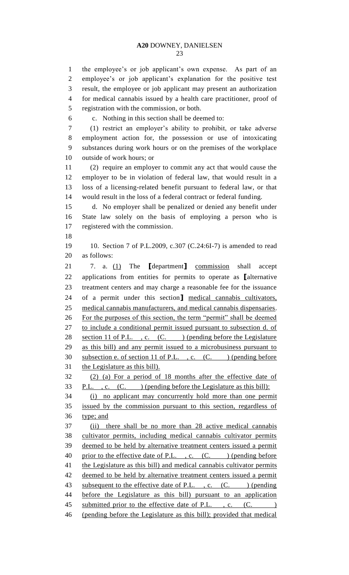the employee's or job applicant's own expense. As part of an employee's or job applicant's explanation for the positive test result, the employee or job applicant may present an authorization for medical cannabis issued by a health care practitioner, proof of registration with the commission, or both. c. Nothing in this section shall be deemed to: (1) restrict an employer's ability to prohibit, or take adverse employment action for, the possession or use of intoxicating substances during work hours or on the premises of the workplace outside of work hours; or (2) require an employer to commit any act that would cause the employer to be in violation of federal law, that would result in a loss of a licensing-related benefit pursuant to federal law, or that would result in the loss of a federal contract or federal funding. d. No employer shall be penalized or denied any benefit under State law solely on the basis of employing a person who is registered with the commission. 10. Section 7 of P.L.2009, c.307 (C.24:6I-7) is amended to read as follows: 7. a. (1) The **[**department**]** commission shall accept applications from entities for permits to operate as **[**alternative treatment centers and may charge a reasonable fee for the issuance of a permit under this section**]** medical cannabis cultivators, medical cannabis manufacturers, and medical cannabis dispensaries. For the purposes of this section, the term "permit" shall be deemed to include a conditional permit issued pursuant to subsection d. of 28 section 11 of P.L., c. (C. ) (pending before the Legislature as this bill) and any permit issued to a microbusiness pursuant to 30 subsection e. of section 11 of P.L., c. (C. ) (pending before the Legislature as this bill). (2) (a) For a period of 18 months after the effective date of 33 P.L. , c.  $(C.$  ) (pending before the Legislature as this bill): (i) no applicant may concurrently hold more than one permit issued by the commission pursuant to this section, regardless of type; and (ii) there shall be no more than 28 active medical cannabis cultivator permits, including medical cannabis cultivator permits deemed to be held by alternative treatment centers issued a permit 40 prior to the effective date of P.L., c. (C. ) (pending before 41 the Legislature as this bill) and medical cannabis cultivator permits deemed to be held by alternative treatment centers issued a permit 43 subsequent to the effective date of P.L., c. (C. ) (pending before the Legislature as this bill) pursuant to an application 45 submitted prior to the effective date of P.L., c. (C.  $\qquad$ ) (pending before the Legislature as this bill); provided that medical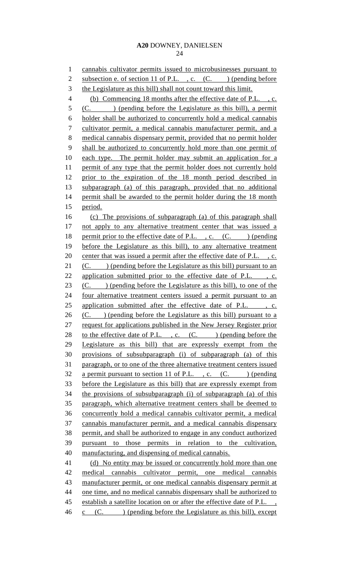cannabis cultivator permits issued to microbusinesses pursuant to 2 subsection e. of section 11 of P.L., c. (C. ) (pending before 3 the Legislature as this bill) shall not count toward this limit. (b) Commencing 18 months after the effective date of P.L. , c. (C. ) (pending before the Legislature as this bill), a permit holder shall be authorized to concurrently hold a medical cannabis cultivator permit, a medical cannabis manufacturer permit, and a medical cannabis dispensary permit, provided that no permit holder shall be authorized to concurrently hold more than one permit of each type. The permit holder may submit an application for a permit of any type that the permit holder does not currently hold prior to the expiration of the 18 month period described in subparagraph (a) of this paragraph, provided that no additional 14 permit shall be awarded to the permit holder during the 18 month period. (c) The provisions of subparagraph (a) of this paragraph shall 17 not apply to any alternative treatment center that was issued a 18 permit prior to the effective date of P.L., c. (C. ) (pending before the Legislature as this bill), to any alternative treatment 20 center that was issued a permit after the effective date of P.L., c. 21 (C. ) (pending before the Legislature as this bill) pursuant to an 22 application submitted prior to the effective date of P.L., c.  $(C.$  ) (pending before the Legislature as this bill), to one of the four alternative treatment centers issued a permit pursuant to an 25 application submitted after the effective date of P.L. , c.  $(C.$  ) (pending before the Legislature as this bill) pursuant to a request for applications published in the New Jersey Register prior 28 to the effective date of P.L., c.  $(C.$  ) (pending before the Legislature as this bill) that are expressly exempt from the provisions of subsubparagraph (i) of subparagraph (a) of this paragraph, or to one of the three alternative treatment centers issued 32 a permit pursuant to section 11 of P.L., c.  $(C.$  (pending before the Legislature as this bill) that are expressly exempt from the provisions of subsubparagraph (i) of subparagraph (a) of this paragraph, which alternative treatment centers shall be deemed to concurrently hold a medical cannabis cultivator permit, a medical cannabis manufacturer permit, and a medical cannabis dispensary permit, and shall be authorized to engage in any conduct authorized pursuant to those permits in relation to the cultivation, manufacturing, and dispensing of medical cannabis. (d) No entity may be issued or concurrently hold more than one medical cannabis cultivator permit, one medical cannabis manufacturer permit, or one medical cannabis dispensary permit at 44 one time, and no medical cannabis dispensary shall be authorized to 45 establish a satellite location on or after the effective date of P.L.,  $46 \quad \text{c} \quad (\text{C.} \qquad)$  (pending before the Legislature as this bill), except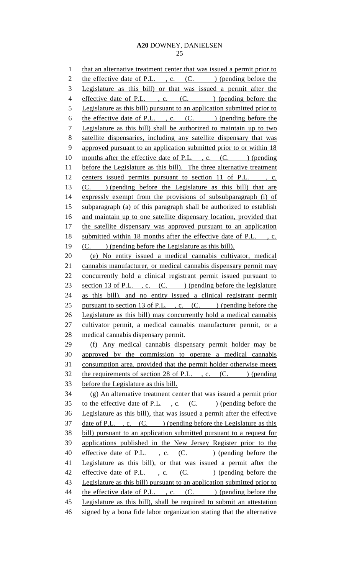1 that an alternative treatment center that was issued a permit prior to 2 the effective date of P.L., c.  $(C.$  ) (pending before the 3 Legislature as this bill) or that was issued a permit after the 4 effective date of P.L., c. (C.) (pending before the 5 Legislature as this bill) pursuant to an application submitted prior to 6 the effective date of P.L., c.  $(C.$   $)$  (pending before the 7 Legislature as this bill) shall be authorized to maintain up to two 8 satellite dispensaries, including any satellite dispensary that was 9 approved pursuant to an application submitted prior to or within 18 10 months after the effective date of P.L., c. (C. ) (pending 11 before the Legislature as this bill). The three alternative treatment 12 centers issued permits pursuant to section 11 of P.L., c. 13 (C. ) (pending before the Legislature as this bill) that are 14 expressly exempt from the provisions of subsubparagraph (i) of 15 subparagraph (a) of this paragraph shall be authorized to establish 16 and maintain up to one satellite dispensary location, provided that 17 the satellite dispensary was approved pursuant to an application 18 submitted within 18 months after the effective date of P.L., c. 19 (C. ) (pending before the Legislature as this bill). 20 (e) No entity issued a medical cannabis cultivator, medical 21 cannabis manufacturer, or medical cannabis dispensary permit may 22 concurrently hold a clinical registrant permit issued pursuant to 23 section 13 of P.L., c. (C.) (pending before the legislature 24 as this bill), and no entity issued a clinical registrant permit 25 pursuant to section 13 of P.L., c. (C. ) (pending before the 26 Legislature as this bill) may concurrently hold a medical cannabis 27 cultivator permit, a medical cannabis manufacturer permit, or a 28 medical cannabis dispensary permit. 29 (f) Any medical cannabis dispensary permit holder may be 30 approved by the commission to operate a medical cannabis 31 consumption area, provided that the permit holder otherwise meets 32 the requirements of section 28 of P.L., c.  $(C.$  ) (pending 33 before the Legislature as this bill. 34 (g) An alternative treatment center that was issued a permit prior 35 to the effective date of P.L., c. (C.) (pending before the 36 Legislature as this bill), that was issued a permit after the effective 37 date of P.L., c. (C.) (pending before the Legislature as this 38 bill) pursuant to an application submitted pursuant to a request for 39 applications published in the New Jersey Register prior to the 40 effective date of P.L., c. (C.) (pending before the 41 Legislature as this bill), or that was issued a permit after the 42 effective date of P.L., c. (C.) (pending before the 43 Legislature as this bill) pursuant to an application submitted prior to 44 the effective date of P.L., c. (C. ) (pending before the 45 Legislature as this bill), shall be required to submit an attestation 46 signed by a bona fide labor organization stating that the alternative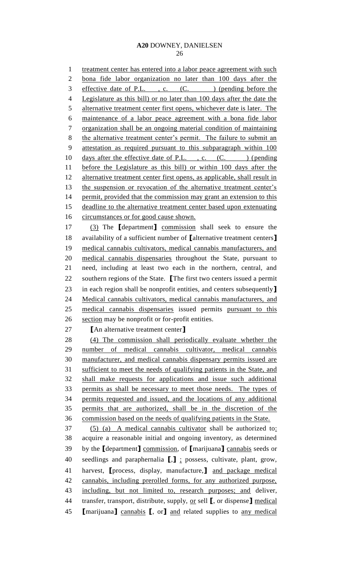1 treatment center has entered into a labor peace agreement with such bona fide labor organization no later than 100 days after the 3 effective date of P.L., c. (C.) (pending before the Legislature as this bill) or no later than 100 days after the date the 5 alternative treatment center first opens, whichever date is later. The maintenance of a labor peace agreement with a bona fide labor organization shall be an ongoing material condition of maintaining 8 the alternative treatment center's permit. The failure to submit an attestation as required pursuant to this subparagraph within 100 10 days after the effective date of P.L., c. (C. ) (pending before the Legislature as this bill) or within 100 days after the 12 alternative treatment center first opens, as applicable, shall result in 13 the suspension or revocation of the alternative treatment center's 14 permit, provided that the commission may grant an extension to this deadline to the alternative treatment center based upon extenuating 16 circumstances or for good cause shown. (3) The **[**department**]** commission shall seek to ensure the availability of a sufficient number of **[**alternative treatment centers**]** medical cannabis cultivators, medical cannabis manufacturers, and medical cannabis dispensaries throughout the State, pursuant to need, including at least two each in the northern, central, and southern regions of the State. **[**The first two centers issued a permit in each region shall be nonprofit entities, and centers subsequently**]** Medical cannabis cultivators, medical cannabis manufacturers, and medical cannabis dispensaries issued permits pursuant to this section may be nonprofit or for-profit entities. **[**An alternative treatment center**]** (4) The commission shall periodically evaluate whether the number of medical cannabis cultivator, medical cannabis manufacturer, and medical cannabis dispensary permits issued are sufficient to meet the needs of qualifying patients in the State, and shall make requests for applications and issue such additional permits as shall be necessary to meet those needs. The types of permits requested and issued, and the locations of any additional permits that are authorized, shall be in the discretion of the commission based on the needs of qualifying patients in the State. (5) (a) A medical cannabis cultivator shall be authorized to: acquire a reasonable initial and ongoing inventory, as determined by the **[**department**]** commission, of **[**marijuana**]** cannabis seeds or seedlings and paraphernalia **[**,**]** ; possess, cultivate, plant, grow, harvest, **[**process, display, manufacture,**]** and package medical cannabis, including prerolled forms, for any authorized purpose, including, but not limited to, research purposes; and deliver, transfer, transport, distribute, supply, or sell **[**, or dispense**]** medical **[**marijuana**]** cannabis **[**, or**]** and related supplies to any medical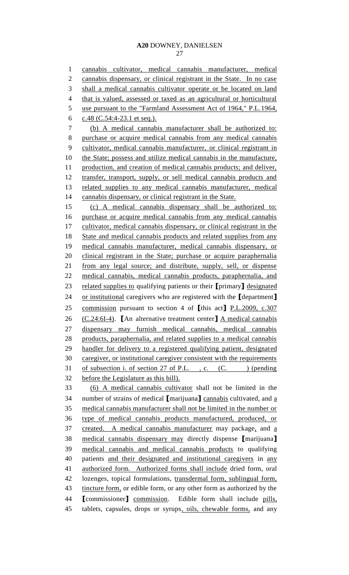cannabis cultivator, medical cannabis manufacturer, medical cannabis dispensary, or clinical registrant in the State. In no case shall a medical cannabis cultivator operate or be located on land that is valued, assessed or taxed as an agricultural or horticultural 5 use pursuant to the "Farmland Assessment Act of 1964," P.L.1964, c.48 (C.54:4-23.1 et seq.). (b) A medical cannabis manufacturer shall be authorized to: purchase or acquire medical cannabis from any medical cannabis cultivator, medical cannabis manufacturer, or clinical registrant in 10 the State; possess and utilize medical cannabis in the manufacture, production, and creation of medical cannabis products; and deliver, transfer, transport, supply, or sell medical cannabis products and related supplies to any medical cannabis manufacturer, medical 14 cannabis dispensary, or clinical registrant in the State. (c) A medical cannabis dispensary shall be authorized to: purchase or acquire medical cannabis from any medical cannabis 17 cultivator, medical cannabis dispensary, or clinical registrant in the 18 State and medical cannabis products and related supplies from any medical cannabis manufacturer, medical cannabis dispensary, or clinical registrant in the State; purchase or acquire paraphernalia from any legal source; and distribute, supply, sell, or dispense medical cannabis, medical cannabis products, paraphernalia, and related supplies to qualifying patients or their **[**primary**]** designated or institutional caregivers who are registered with the **[**department**]** commission pursuant to section 4 of **[**this act**]** P.L.2009, c.307 (C.24:6I-4). **[**An alternative treatment center**]** A medical cannabis dispensary may furnish medical cannabis, medical cannabis products, paraphernalia, and related supplies to a medical cannabis handler for delivery to a registered qualifying patient, designated caregiver, or institutional caregiver consistent with the requirements 31 of subsection i. of section 27 of P.L., c. (C. ) (pending before the Legislature as this bill). (6) A medical cannabis cultivator shall not be limited in the number of strains of medical **[**marijuana**]** cannabis cultivated, and a medical cannabis manufacturer shall not be limited in the number or type of medical cannabis products manufactured, produced, or 37 created. A medical cannabis manufacturer may package, and a medical cannabis dispensary may directly dispense **[**marijuana**]** medical cannabis and medical cannabis products to qualifying patients and their designated and institutional caregivers in any authorized form. Authorized forms shall include dried form, oral lozenges, topical formulations, transdermal form, sublingual form, 43 tincture form, or edible form, or any other form as authorized by the **[**commissioner**]** commission. Edible form shall include pills, tablets, capsules, drops or syrups, oils, chewable forms, and any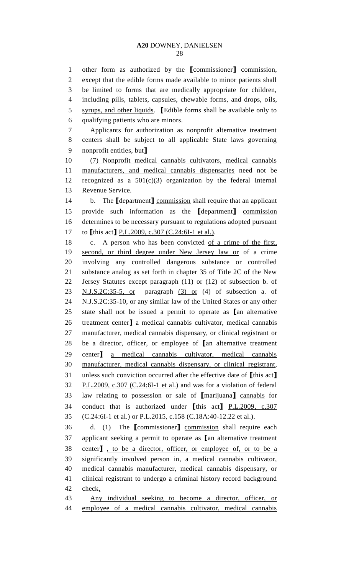other form as authorized by the **[**commissioner**]** commission, except that the edible forms made available to minor patients shall be limited to forms that are medically appropriate for children, 4 including pills, tablets, capsules, chewable forms, and drops, oils, syrups, and other liquids. **[**Edible forms shall be available only to qualifying patients who are minors. Applicants for authorization as nonprofit alternative treatment centers shall be subject to all applicable State laws governing nonprofit entities, but**]** (7) Nonprofit medical cannabis cultivators, medical cannabis manufacturers, and medical cannabis dispensaries need not be recognized as a 501(c)(3) organization by the federal Internal Revenue Service. b. The **[**department**]** commission shall require that an applicant provide such information as the **[**department**]** commission determines to be necessary pursuant to regulations adopted pursuant to **[**this act**]** P.L.2009, c.307 (C.24:6I-1 et al.). 18 c. A person who has been convicted of a crime of the first, second, or third degree under New Jersey law or of a crime involving any controlled dangerous substance or controlled substance analog as set forth in chapter 35 of Title 2C of the New Jersey Statutes except paragraph (11) or (12) of subsection b. of 23 N.J.S.2C:35-5, or paragraph (3) or (4) of subsection a. of N.J.S.2C:35-10, or any similar law of the United States or any other state shall not be issued a permit to operate as **[**an alternative treatment center**]** a medical cannabis cultivator, medical cannabis manufacturer, medical cannabis dispensary, or clinical registrant or be a director, officer, or employee of **[**an alternative treatment center**]** a medical cannabis cultivator, medical cannabis manufacturer, medical cannabis dispensary, or clinical registrant, unless such conviction occurred after the effective date of **[**this act**]** 32 P.L.2009, c.307 (C.24:6I-1 et al.) and was for a violation of federal law relating to possession or sale of **[**marijuana**]** cannabis for conduct that is authorized under **[**this act**]** P.L.2009, c.307 (C.24:6I-1 et al.) or P.L.2015, c.158 (C.18A:40-12.22 et al.). d. (1) The **[**commissioner**]** commission shall require each applicant seeking a permit to operate as **[**an alternative treatment center**]** , to be a director, officer, or employee of, or to be a significantly involved person in, a medical cannabis cultivator, medical cannabis manufacturer, medical cannabis dispensary, or clinical registrant to undergo a criminal history record background check. Any individual seeking to become a director, officer, or employee of a medical cannabis cultivator, medical cannabis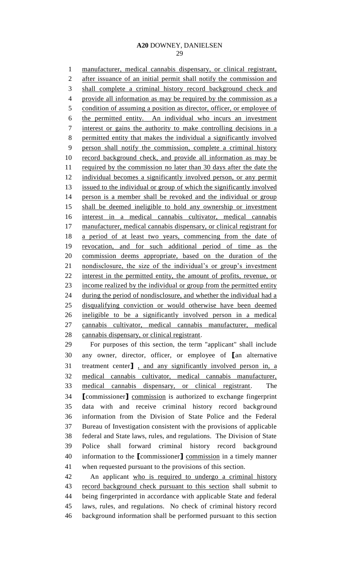manufacturer, medical cannabis dispensary, or clinical registrant, after issuance of an initial permit shall notify the commission and 3 shall complete a criminal history record background check and provide all information as may be required by the commission as a 5 condition of assuming a position as director, officer, or employee of the permitted entity. An individual who incurs an investment interest or gains the authority to make controlling decisions in a permitted entity that makes the individual a significantly involved person shall notify the commission, complete a criminal history record background check, and provide all information as may be 11 required by the commission no later than 30 days after the date the individual becomes a significantly involved person, or any permit issued to the individual or group of which the significantly involved person is a member shall be revoked and the individual or group shall be deemed ineligible to hold any ownership or investment interest in a medical cannabis cultivator, medical cannabis 17 manufacturer, medical cannabis dispensary, or clinical registrant for 18 a period of at least two years, commencing from the date of revocation, and for such additional period of time as the commission deems appropriate, based on the duration of the nondisclosure, the size of the individual's or group's investment interest in the permitted entity, the amount of profits, revenue, or 23 income realized by the individual or group from the permitted entity during the period of nondisclosure, and whether the individual had a disqualifying conviction or would otherwise have been deemed ineligible to be a significantly involved person in a medical cannabis cultivator, medical cannabis manufacturer, medical cannabis dispensary, or clinical registrant. For purposes of this section, the term "applicant" shall include any owner, director, officer, or employee of **[**an alternative treatment center**]** , and any significantly involved person in, a medical cannabis cultivator, medical cannabis manufacturer, medical cannabis dispensary, or clinical registrant. The **[**commissioner**]** commission is authorized to exchange fingerprint data with and receive criminal history record background information from the Division of State Police and the Federal Bureau of Investigation consistent with the provisions of applicable federal and State laws, rules, and regulations. The Division of State Police shall forward criminal history record background information to the **[**commissioner**]** commission in a timely manner when requested pursuant to the provisions of this section. An applicant who is required to undergo a criminal history record background check pursuant to this section shall submit to being fingerprinted in accordance with applicable State and federal

 laws, rules, and regulations. No check of criminal history record background information shall be performed pursuant to this section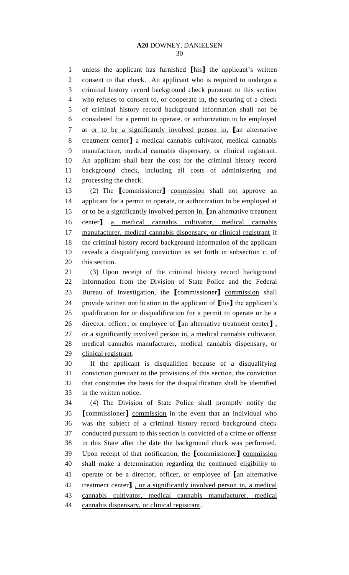unless the applicant has furnished **[**his**]** the applicant's written 2 consent to that check. An applicant who is required to undergo a criminal history record background check pursuant to this section who refuses to consent to, or cooperate in, the securing of a check of criminal history record background information shall not be considered for a permit to operate, or authorization to be employed at or to be a significantly involved person in, **[**an alternative treatment center**]** a medical cannabis cultivator, medical cannabis manufacturer, medical cannabis dispensary, or clinical registrant. An applicant shall bear the cost for the criminal history record background check, including all costs of administering and processing the check.

 (2) The **[**commissioner**]** commission shall not approve an applicant for a permit to operate, or authorization to be employed at or to be a significantly involved person in, **[**an alternative treatment center**]** a medical cannabis cultivator, medical cannabis 17 manufacturer, medical cannabis dispensary, or clinical registrant if the criminal history record background information of the applicant reveals a disqualifying conviction as set forth in subsection c. of this section.

 (3) Upon receipt of the criminal history record background information from the Division of State Police and the Federal Bureau of Investigation, the **[**commissioner**]** commission shall provide written notification to the applicant of **[**his**]** the applicant's qualification for or disqualification for a permit to operate or be a director, officer, or employee of **[**an alternative treatment center**]** , or a significantly involved person in, a medical cannabis cultivator, medical cannabis manufacturer, medical cannabis dispensary, or clinical registrant.

 If the applicant is disqualified because of a disqualifying conviction pursuant to the provisions of this section, the conviction that constitutes the basis for the disqualification shall be identified in the written notice.

 (4) The Division of State Police shall promptly notify the **[**commissioner**]** commission in the event that an individual who was the subject of a criminal history record background check conducted pursuant to this section is convicted of a crime or offense in this State after the date the background check was performed. Upon receipt of that notification, the **[**commissioner**]** commission shall make a determination regarding the continued eligibility to operate or be a director, officer, or employee of **[**an alternative treatment center**]** , or a significantly involved person in, a medical cannabis cultivator, medical cannabis manufacturer, medical 44 cannabis dispensary, or clinical registrant.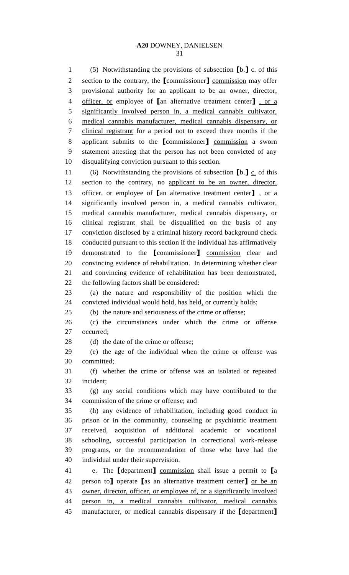(5) Notwithstanding the provisions of subsection **[**b.**]** c. of this section to the contrary, the **[**commissioner**]** commission may offer provisional authority for an applicant to be an owner, director, officer, or employee of **[**an alternative treatment center**]** , or a significantly involved person in, a medical cannabis cultivator, medical cannabis manufacturer, medical cannabis dispensary, or clinical registrant for a period not to exceed three months if the applicant submits to the **[**commissioner**]** commission a sworn statement attesting that the person has not been convicted of any disqualifying conviction pursuant to this section. 11 (6) Notwithstanding the provisions of subsection  $\llbracket b \rrbracket$  c. of this section to the contrary, no applicant to be an owner, director, officer, or employee of **[**an alternative treatment center**]** , or a significantly involved person in, a medical cannabis cultivator, medical cannabis manufacturer, medical cannabis dispensary, or clinical registrant shall be disqualified on the basis of any conviction disclosed by a criminal history record background check conducted pursuant to this section if the individual has affirmatively demonstrated to the **[**commissioner**]** commission clear and convincing evidence of rehabilitation. In determining whether clear

 and convincing evidence of rehabilitation has been demonstrated, the following factors shall be considered:

 (a) the nature and responsibility of the position which the convicted individual would hold, has held, or currently holds;

(b) the nature and seriousness of the crime or offense;

 (c) the circumstances under which the crime or offense occurred;

28 (d) the date of the crime or offense;

 (e) the age of the individual when the crime or offense was committed;

 (f) whether the crime or offense was an isolated or repeated incident;

 (g) any social conditions which may have contributed to the commission of the crime or offense; and

 (h) any evidence of rehabilitation, including good conduct in prison or in the community, counseling or psychiatric treatment received, acquisition of additional academic or vocational schooling, successful participation in correctional work-release programs, or the recommendation of those who have had the individual under their supervision.

 e. The **[**department**]** commission shall issue a permit to **[**a person to**]** operate **[**as an alternative treatment center**]** or be an owner, director, officer, or employee of, or a significantly involved person in, a medical cannabis cultivator, medical cannabis manufacturer, or medical cannabis dispensary if the **[**department**]**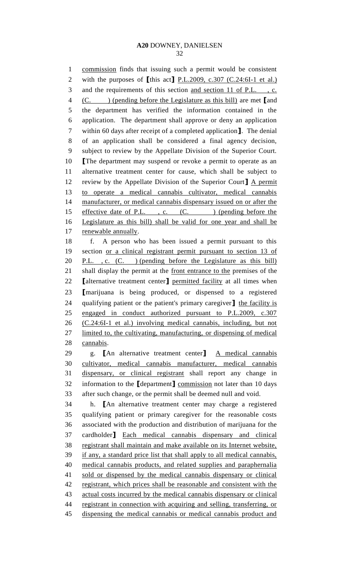commission finds that issuing such a permit would be consistent with the purposes of **[**this act**]** P.L.2009, c.307 (C.24:6I-1 et al.) and the requirements of this section and section 11 of P.L. , c. (C. ) (pending before the Legislature as this bill) are met **[**and the department has verified the information contained in the application. The department shall approve or deny an application within 60 days after receipt of a completed application**]**. The denial of an application shall be considered a final agency decision, subject to review by the Appellate Division of the Superior Court. **[**The department may suspend or revoke a permit to operate as an alternative treatment center for cause, which shall be subject to review by the Appellate Division of the Superior Court**]** A permit to operate a medical cannabis cultivator, medical cannabis manufacturer, or medical cannabis dispensary issued on or after the 15 effective date of P.L., c. (C. ) (pending before the Legislature as this bill) shall be valid for one year and shall be renewable annually. f. A person who has been issued a permit pursuant to this section or a clinical registrant permit pursuant to section 13 of 20 P.L., c. (C.) (pending before the Legislature as this bill) 21 shall display the permit at the <u>front entrance to the</u> premises of the **[**alternative treatment center**]** permitted facility at all times when **[**marijuana is being produced, or dispensed to a registered qualifying patient or the patient's primary caregiver**]** the facility is engaged in conduct authorized pursuant to P.L.2009, c.307 (C.24:6I-1 et al.) involving medical cannabis, including, but not limited to, the cultivating, manufacturing, or dispensing of medical cannabis. g. **[**An alternative treatment center**]** A medical cannabis cultivator, medical cannabis manufacturer, medical cannabis dispensary, or clinical registrant shall report any change in information to the **[**department**]** commission not later than 10 days after such change, or the permit shall be deemed null and void. h. **[**An alternative treatment center may charge a registered qualifying patient or primary caregiver for the reasonable costs associated with the production and distribution of marijuana for the cardholder**]** Each medical cannabis dispensary and clinical registrant shall maintain and make available on its Internet website, if any, a standard price list that shall apply to all medical cannabis, medical cannabis products, and related supplies and paraphernalia sold or dispensed by the medical cannabis dispensary or clinical 42 registrant, which prices shall be reasonable and consistent with the actual costs incurred by the medical cannabis dispensary or clinical 44 registrant in connection with acquiring and selling, transferring, or dispensing the medical cannabis or medical cannabis product and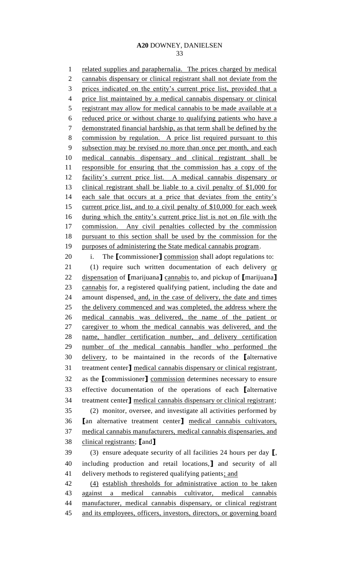related supplies and paraphernalia. The prices charged by medical 2 cannabis dispensary or clinical registrant shall not deviate from the 3 prices indicated on the entity's current price list, provided that a price list maintained by a medical cannabis dispensary or clinical 5 registrant may allow for medical cannabis to be made available at a reduced price or without charge to qualifying patients who have a demonstrated financial hardship, as that term shall be defined by the commission by regulation. A price list required pursuant to this subsection may be revised no more than once per month, and each medical cannabis dispensary and clinical registrant shall be 11 responsible for ensuring that the commission has a copy of the facility's current price list. A medical cannabis dispensary or clinical registrant shall be liable to a civil penalty of \$1,000 for 14 each sale that occurs at a price that deviates from the entity's current price list, and to a civil penalty of \$10,000 for each week during which the entity's current price list is not on file with the 17 commission. Any civil penalties collected by the commission pursuant to this section shall be used by the commission for the purposes of administering the State medical cannabis program. i. The **[**commissioner**]** commission shall adopt regulations to: 21 (1) require such written documentation of each delivery or dispensation of **[**marijuana**]** cannabis to, and pickup of **[**marijuana**]** cannabis for, a registered qualifying patient, including the date and amount dispensed, and, in the case of delivery, the date and times the delivery commenced and was completed, the address where the medical cannabis was delivered, the name of the patient or caregiver to whom the medical cannabis was delivered, and the name, handler certification number, and delivery certification number of the medical cannabis handler who performed the delivery, to be maintained in the records of the **[**alternative treatment center**]** medical cannabis dispensary or clinical registrant, as the **[**commissioner**]** commission determines necessary to ensure effective documentation of the operations of each **[**alternative treatment center**]** medical cannabis dispensary or clinical registrant; (2) monitor, oversee, and investigate all activities performed by **[**an alternative treatment center**]** medical cannabis cultivators, medical cannabis manufacturers, medical cannabis dispensaries, and clinical registrants; **[**and**]** (3) ensure adequate security of all facilities 24 hours per day **[**, including production and retail locations,**]** and security of all 41 delivery methods to registered qualifying patients; and (4) establish thresholds for administrative action to be taken against a medical cannabis cultivator, medical cannabis manufacturer, medical cannabis dispensary, or clinical registrant and its employees, officers, investors, directors, or governing board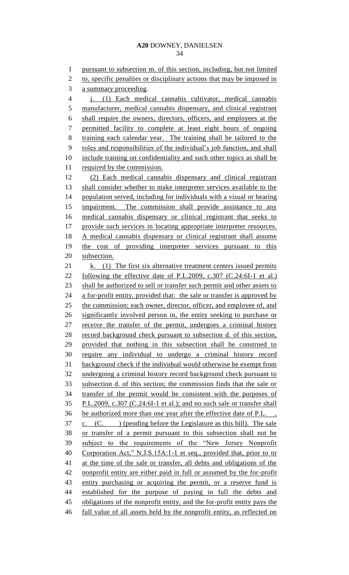pursuant to subsection m. of this section, including, but not limited 2 to, specific penalties or disciplinary actions that may be imposed in a summary proceeding. j. (1) Each medical cannabis cultivator, medical cannabis 5 manufacturer, medical cannabis dispensary, and clinical registrant shall require the owners, directors, officers, and employees at the permitted facility to complete at least eight hours of ongoing training each calendar year. The training shall be tailored to the roles and responsibilities of the individual's job function, and shall 10 include training on confidentiality and such other topics as shall be required by the commission. (2) Each medical cannabis dispensary and clinical registrant shall consider whether to make interpreter services available to the population served, including for individuals with a visual or hearing 15 impairment. The commission shall provide assistance to any medical cannabis dispensary or clinical registrant that seeks to 17 provide such services in locating appropriate interpreter resources. A medical cannabis dispensary or clinical registrant shall assume 19 the cost of providing interpreter services pursuant to this subsection. 21 k. (1) The first six alternative treatment centers issued permits following the effective date of P.L.2009, c.307 (C.24:6I-1 et al.) 23 shall be authorized to sell or transfer such permit and other assets to 24 a for-profit entity, provided that: the sale or transfer is approved by 25 the commission; each owner, director, officer, and employee of, and significantly involved person in, the entity seeking to purchase or receive the transfer of the permit, undergoes a criminal history record background check pursuant to subsection d. of this section, provided that nothing in this subsection shall be construed to require any individual to undergo a criminal history record background check if the individual would otherwise be exempt from undergoing a criminal history record background check pursuant to subsection d. of this section; the commission finds that the sale or transfer of the permit would be consistent with the purposes of P.L.2009, c.307 (C.24:6I-1 et al.); and no such sale or transfer shall be authorized more than one year after the effective date of P.L. , c. (C. ) (pending before the Legislature as this bill). The sale or transfer of a permit pursuant to this subsection shall not be subject to the requirements of the "New Jersey Nonprofit Corporation Act," N.J.S.15A:1-1 et seq., provided that, prior to or at the time of the sale or transfer, all debts and obligations of the nonprofit entity are either paid in full or assumed by the for-profit entity purchasing or acquiring the permit, or a reserve fund is established for the purpose of paying in full the debts and 45 obligations of the nonprofit entity, and the for-profit entity pays the

full value of all assets held by the nonprofit entity, as reflected on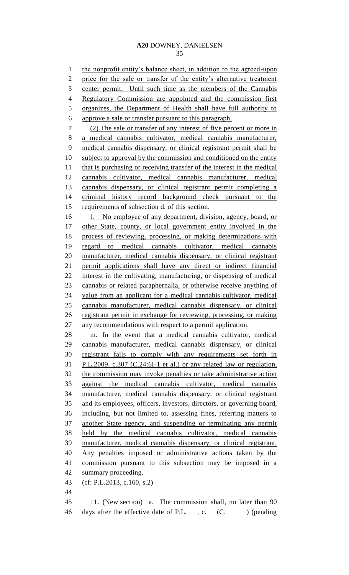the nonprofit entity's balance sheet, in addition to the agreed-upon 2 price for the sale or transfer of the entity's alternative treatment center permit. Until such time as the members of the Cannabis Regulatory Commission are appointed and the commission first organizes, the Department of Health shall have full authority to approve a sale or transfer pursuant to this paragraph. (2) The sale or transfer of any interest of five percent or more in a medical cannabis cultivator, medical cannabis manufacturer, medical cannabis dispensary, or clinical registrant permit shall be 10 subject to approval by the commission and conditioned on the entity 11 that is purchasing or receiving transfer of the interest in the medical cannabis cultivator, medical cannabis manufacturer, medical cannabis dispensary, or clinical registrant permit completing a criminal history record background check pursuant to the requirements of subsection d. of this section. 16 l. No employee of any department, division, agency, board, or other State, county, or local government entity involved in the process of reviewing, processing, or making determinations with regard to medical cannabis cultivator, medical cannabis manufacturer, medical cannabis dispensary, or clinical registrant permit applications shall have any direct or indirect financial interest in the cultivating, manufacturing, or dispensing of medical cannabis or related paraphernalia, or otherwise receive anything of value from an applicant for a medical cannabis cultivator, medical cannabis manufacturer, medical cannabis dispensary, or clinical registrant permit in exchange for reviewing, processing, or making any recommendations with respect to a permit application. m. In the event that a medical cannabis cultivator, medical cannabis manufacturer, medical cannabis dispensary, or clinical registrant fails to comply with any requirements set forth in P.L.2009, c.307 (C.24:6I-1 et al.) or any related law or regulation, the commission may invoke penalties or take administrative action against the medical cannabis cultivator, medical cannabis manufacturer, medical cannabis dispensary, or clinical registrant and its employees, officers, investors, directors, or governing board, including, but not limited to, assessing fines, referring matters to another State agency, and suspending or terminating any permit held by the medical cannabis cultivator, medical cannabis manufacturer, medical cannabis dispensary, or clinical registrant. Any penalties imposed or administrative actions taken by the commission pursuant to this subsection may be imposed in a summary proceeding. (cf: P.L.2013, c.160, s.2) 11. (New section) a. The commission shall, no later than 90 46 days after the effective date of P.L., c. (C.) (pending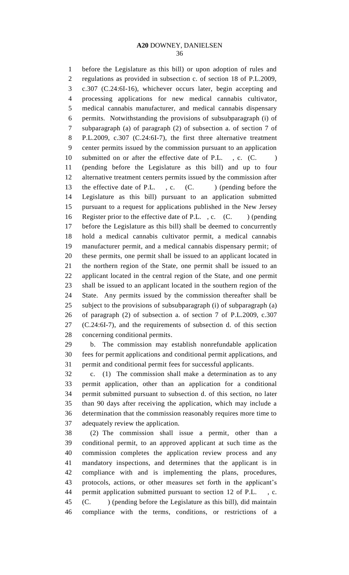before the Legislature as this bill) or upon adoption of rules and regulations as provided in subsection c. of section 18 of P.L.2009, c.307 (C.24:6I-16), whichever occurs later, begin accepting and processing applications for new medical cannabis cultivator, medical cannabis manufacturer, and medical cannabis dispensary permits. Notwithstanding the provisions of subsubparagraph (i) of subparagraph (a) of paragraph (2) of subsection a. of section 7 of P.L.2009, c.307 (C.24:6I-7), the first three alternative treatment center permits issued by the commission pursuant to an application 10 submitted on or after the effective date of P.L., c. (C.) (pending before the Legislature as this bill) and up to four alternative treatment centers permits issued by the commission after 13 the effective date of P.L., c. (C.) (pending before the Legislature as this bill) pursuant to an application submitted pursuant to a request for applications published in the New Jersey 16 Register prior to the effective date of P.L., c. (C. ) (pending before the Legislature as this bill) shall be deemed to concurrently hold a medical cannabis cultivator permit, a medical cannabis manufacturer permit, and a medical cannabis dispensary permit; of these permits, one permit shall be issued to an applicant located in the northern region of the State, one permit shall be issued to an applicant located in the central region of the State, and one permit shall be issued to an applicant located in the southern region of the State. Any permits issued by the commission thereafter shall be subject to the provisions of subsubparagraph (i) of subparagraph (a) of paragraph (2) of subsection a. of section 7 of P.L.2009, c.307 (C.24:6I-7), and the requirements of subsection d. of this section concerning conditional permits.

 b. The commission may establish nonrefundable application fees for permit applications and conditional permit applications, and permit and conditional permit fees for successful applicants.

 c. (1) The commission shall make a determination as to any permit application, other than an application for a conditional permit submitted pursuant to subsection d. of this section, no later than 90 days after receiving the application, which may include a determination that the commission reasonably requires more time to adequately review the application.

 (2) The commission shall issue a permit, other than a conditional permit, to an approved applicant at such time as the commission completes the application review process and any mandatory inspections, and determines that the applicant is in compliance with and is implementing the plans, procedures, protocols, actions, or other measures set forth in the applicant's 44 permit application submitted pursuant to section 12 of P.L. (C. ) (pending before the Legislature as this bill), did maintain compliance with the terms, conditions, or restrictions of a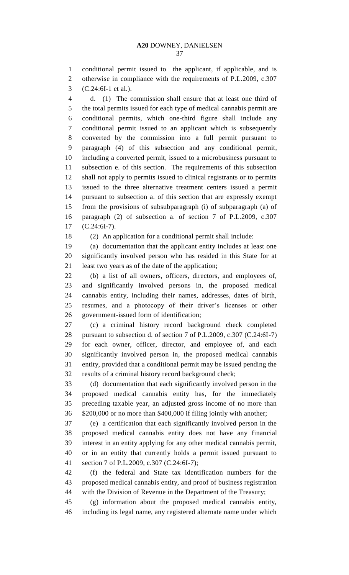conditional permit issued to the applicant, if applicable, and is otherwise in compliance with the requirements of P.L.2009, c.307 (C.24:6I-1 et al.).

 d. (1) The commission shall ensure that at least one third of the total permits issued for each type of medical cannabis permit are conditional permits, which one-third figure shall include any conditional permit issued to an applicant which is subsequently converted by the commission into a full permit pursuant to paragraph (4) of this subsection and any conditional permit, including a converted permit, issued to a microbusiness pursuant to subsection e. of this section. The requirements of this subsection shall not apply to permits issued to clinical registrants or to permits issued to the three alternative treatment centers issued a permit pursuant to subsection a. of this section that are expressly exempt from the provisions of subsubparagraph (i) of subparagraph (a) of paragraph (2) of subsection a. of section 7 of P.L.2009, c.307 (C.24:6I-7).

(2) An application for a conditional permit shall include:

 (a) documentation that the applicant entity includes at least one significantly involved person who has resided in this State for at least two years as of the date of the application;

 (b) a list of all owners, officers, directors, and employees of, and significantly involved persons in, the proposed medical cannabis entity, including their names, addresses, dates of birth, resumes, and a photocopy of their driver's licenses or other government-issued form of identification;

 (c) a criminal history record background check completed pursuant to subsection d. of section 7 of P.L.2009, c.307 (C.24:6I-7) for each owner, officer, director, and employee of, and each significantly involved person in, the proposed medical cannabis entity, provided that a conditional permit may be issued pending the results of a criminal history record background check;

 (d) documentation that each significantly involved person in the proposed medical cannabis entity has, for the immediately preceding taxable year, an adjusted gross income of no more than \$200,000 or no more than \$400,000 if filing jointly with another;

 (e) a certification that each significantly involved person in the proposed medical cannabis entity does not have any financial interest in an entity applying for any other medical cannabis permit, or in an entity that currently holds a permit issued pursuant to section 7 of P.L.2009, c.307 (C.24:6I-7);

 (f) the federal and State tax identification numbers for the proposed medical cannabis entity, and proof of business registration with the Division of Revenue in the Department of the Treasury;

 (g) information about the proposed medical cannabis entity, including its legal name, any registered alternate name under which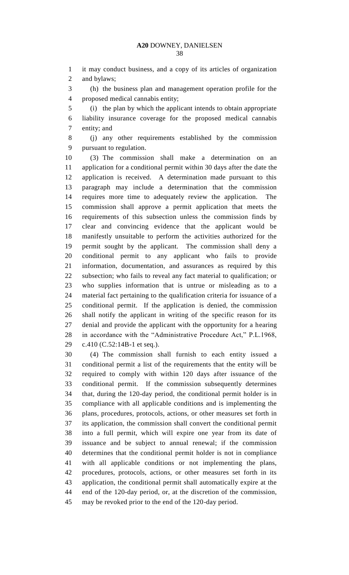it may conduct business, and a copy of its articles of organization and bylaws;

 (h) the business plan and management operation profile for the proposed medical cannabis entity;

 (i) the plan by which the applicant intends to obtain appropriate liability insurance coverage for the proposed medical cannabis entity; and

 (j) any other requirements established by the commission pursuant to regulation.

 (3) The commission shall make a determination on an application for a conditional permit within 30 days after the date the application is received. A determination made pursuant to this paragraph may include a determination that the commission requires more time to adequately review the application. The commission shall approve a permit application that meets the requirements of this subsection unless the commission finds by clear and convincing evidence that the applicant would be manifestly unsuitable to perform the activities authorized for the permit sought by the applicant. The commission shall deny a conditional permit to any applicant who fails to provide information, documentation, and assurances as required by this subsection; who fails to reveal any fact material to qualification; or who supplies information that is untrue or misleading as to a material fact pertaining to the qualification criteria for issuance of a conditional permit. If the application is denied, the commission shall notify the applicant in writing of the specific reason for its denial and provide the applicant with the opportunity for a hearing in accordance with the "Administrative Procedure Act," P.L.1968, c.410 (C.52:14B-1 et seq.).

 (4) The commission shall furnish to each entity issued a conditional permit a list of the requirements that the entity will be required to comply with within 120 days after issuance of the conditional permit. If the commission subsequently determines that, during the 120-day period, the conditional permit holder is in compliance with all applicable conditions and is implementing the plans, procedures, protocols, actions, or other measures set forth in its application, the commission shall convert the conditional permit into a full permit, which will expire one year from its date of issuance and be subject to annual renewal; if the commission determines that the conditional permit holder is not in compliance with all applicable conditions or not implementing the plans, procedures, protocols, actions, or other measures set forth in its application, the conditional permit shall automatically expire at the end of the 120-day period, or, at the discretion of the commission, may be revoked prior to the end of the 120-day period.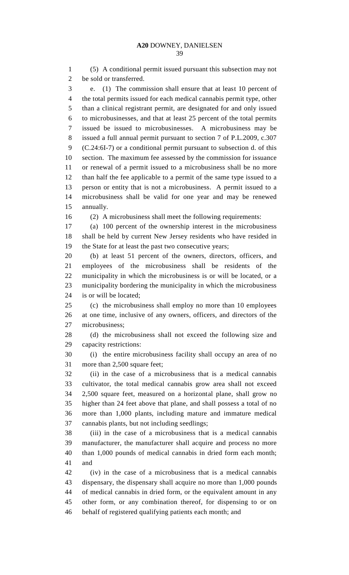(5) A conditional permit issued pursuant this subsection may not be sold or transferred. e. (1) The commission shall ensure that at least 10 percent of the total permits issued for each medical cannabis permit type, other than a clinical registrant permit, are designated for and only issued to microbusinesses, and that at least 25 percent of the total permits issued be issued to microbusinesses. A microbusiness may be issued a full annual permit pursuant to section 7 of P.L.2009, c.307 (C.24:6I-7) or a conditional permit pursuant to subsection d. of this section. The maximum fee assessed by the commission for issuance or renewal of a permit issued to a microbusiness shall be no more than half the fee applicable to a permit of the same type issued to a person or entity that is not a microbusiness. A permit issued to a microbusiness shall be valid for one year and may be renewed annually. (2) A microbusiness shall meet the following requirements: (a) 100 percent of the ownership interest in the microbusiness shall be held by current New Jersey residents who have resided in

the State for at least the past two consecutive years;

 (b) at least 51 percent of the owners, directors, officers, and employees of the microbusiness shall be residents of the municipality in which the microbusiness is or will be located, or a municipality bordering the municipality in which the microbusiness is or will be located;

 (c) the microbusiness shall employ no more than 10 employees at one time, inclusive of any owners, officers, and directors of the microbusiness;

28 (d) the microbusiness shall not exceed the following size and capacity restrictions:

 (i) the entire microbusiness facility shall occupy an area of no more than 2,500 square feet;

 (ii) in the case of a microbusiness that is a medical cannabis cultivator, the total medical cannabis grow area shall not exceed 2,500 square feet, measured on a horizontal plane, shall grow no higher than 24 feet above that plane, and shall possess a total of no more than 1,000 plants, including mature and immature medical cannabis plants, but not including seedlings;

 (iii) in the case of a microbusiness that is a medical cannabis manufacturer, the manufacturer shall acquire and process no more than 1,000 pounds of medical cannabis in dried form each month; and

 (iv) in the case of a microbusiness that is a medical cannabis dispensary, the dispensary shall acquire no more than 1,000 pounds of medical cannabis in dried form, or the equivalent amount in any other form, or any combination thereof, for dispensing to or on behalf of registered qualifying patients each month; and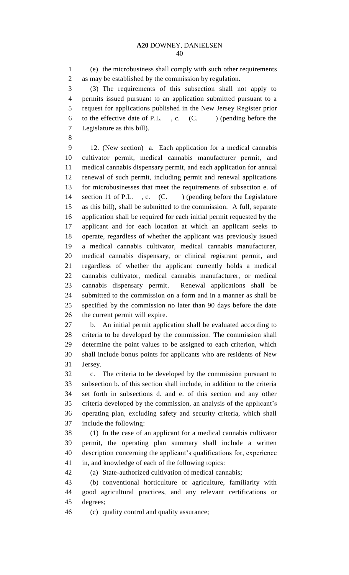(e) the microbusiness shall comply with such other requirements as may be established by the commission by regulation.

 (3) The requirements of this subsection shall not apply to permits issued pursuant to an application submitted pursuant to a request for applications published in the New Jersey Register prior 6 to the effective date of P.L.  $, c.$  (C. ) (pending before the Legislature as this bill).

 12. (New section) a. Each application for a medical cannabis cultivator permit, medical cannabis manufacturer permit, and medical cannabis dispensary permit, and each application for annual renewal of such permit, including permit and renewal applications for microbusinesses that meet the requirements of subsection e. of 14 section 11 of P.L., c. (C.) (pending before the Legislature as this bill), shall be submitted to the commission. A full, separate application shall be required for each initial permit requested by the applicant and for each location at which an applicant seeks to operate, regardless of whether the applicant was previously issued a medical cannabis cultivator, medical cannabis manufacturer, medical cannabis dispensary, or clinical registrant permit, and regardless of whether the applicant currently holds a medical cannabis cultivator, medical cannabis manufacturer, or medical cannabis dispensary permit. Renewal applications shall be submitted to the commission on a form and in a manner as shall be specified by the commission no later than 90 days before the date the current permit will expire.

 b. An initial permit application shall be evaluated according to criteria to be developed by the commission. The commission shall determine the point values to be assigned to each criterion, which shall include bonus points for applicants who are residents of New Jersey.

 c. The criteria to be developed by the commission pursuant to subsection b. of this section shall include, in addition to the criteria set forth in subsections d. and e. of this section and any other criteria developed by the commission, an analysis of the applicant's operating plan, excluding safety and security criteria, which shall include the following:

 (1) In the case of an applicant for a medical cannabis cultivator permit, the operating plan summary shall include a written description concerning the applicant's qualifications for, experience in, and knowledge of each of the following topics:

(a) State-authorized cultivation of medical cannabis;

 (b) conventional horticulture or agriculture, familiarity with good agricultural practices, and any relevant certifications or degrees;

(c) quality control and quality assurance;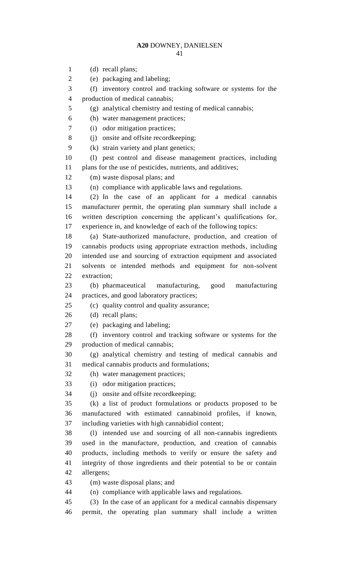(d) recall plans; (e) packaging and labeling; (f) inventory control and tracking software or systems for the production of medical cannabis; (g) analytical chemistry and testing of medical cannabis; (h) water management practices; (i) odor mitigation practices; (j) onsite and offsite recordkeeping; (k) strain variety and plant genetics; (l) pest control and disease management practices, including plans for the use of pesticides, nutrients, and additives; (m) waste disposal plans; and (n) compliance with applicable laws and regulations. (2) In the case of an applicant for a medical cannabis manufacturer permit, the operating plan summary shall include a written description concerning the applicant's qualifications for, experience in, and knowledge of each of the following topics: (a) State-authorized manufacture, production, and creation of cannabis products using appropriate extraction methods, including intended use and sourcing of extraction equipment and associated solvents or intended methods and equipment for non-solvent extraction; (b) pharmaceutical manufacturing, good manufacturing practices, and good laboratory practices; (c) quality control and quality assurance; (d) recall plans; (e) packaging and labeling; (f) inventory control and tracking software or systems for the production of medical cannabis; (g) analytical chemistry and testing of medical cannabis and medical cannabis products and formulations; (h) water management practices; (i) odor mitigation practices; (j) onsite and offsite recordkeeping; (k) a list of product formulations or products proposed to be manufactured with estimated cannabinoid profiles, if known, including varieties with high cannabidiol content; (l) intended use and sourcing of all non-cannabis ingredients used in the manufacture, production, and creation of cannabis products, including methods to verify or ensure the safety and integrity of those ingredients and their potential to be or contain allergens; (m) waste disposal plans; and (n) compliance with applicable laws and regulations. (3) In the case of an applicant for a medical cannabis dispensary permit, the operating plan summary shall include a written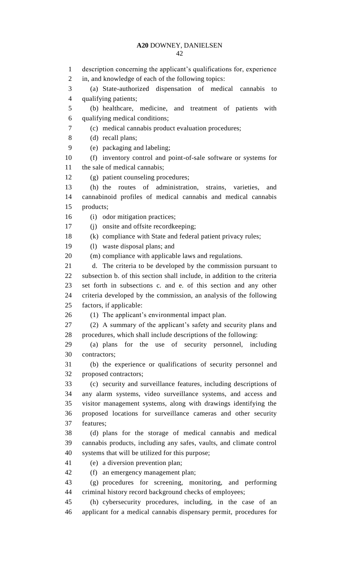description concerning the applicant's qualifications for, experience in, and knowledge of each of the following topics: (a) State-authorized dispensation of medical cannabis to qualifying patients; (b) healthcare, medicine, and treatment of patients with qualifying medical conditions; (c) medical cannabis product evaluation procedures; (d) recall plans; (e) packaging and labeling; (f) inventory control and point-of-sale software or systems for the sale of medical cannabis; (g) patient counseling procedures; (h) the routes of administration, strains, varieties, and cannabinoid profiles of medical cannabis and medical cannabis products; 16 (i) odor mitigation practices; (j) onsite and offsite recordkeeping; (k) compliance with State and federal patient privacy rules; (l) waste disposal plans; and (m) compliance with applicable laws and regulations. d. The criteria to be developed by the commission pursuant to subsection b. of this section shall include, in addition to the criteria set forth in subsections c. and e. of this section and any other criteria developed by the commission, an analysis of the following factors, if applicable: (1) The applicant's environmental impact plan. (2) A summary of the applicant's safety and security plans and procedures, which shall include descriptions of the following: (a) plans for the use of security personnel, including contractors; (b) the experience or qualifications of security personnel and proposed contractors; (c) security and surveillance features, including descriptions of any alarm systems, video surveillance systems, and access and visitor management systems, along with drawings identifying the proposed locations for surveillance cameras and other security features; (d) plans for the storage of medical cannabis and medical cannabis products, including any safes, vaults, and climate control systems that will be utilized for this purpose; (e) a diversion prevention plan; (f) an emergency management plan; (g) procedures for screening, monitoring, and performing criminal history record background checks of employees; (h) cybersecurity procedures, including, in the case of an applicant for a medical cannabis dispensary permit, procedures for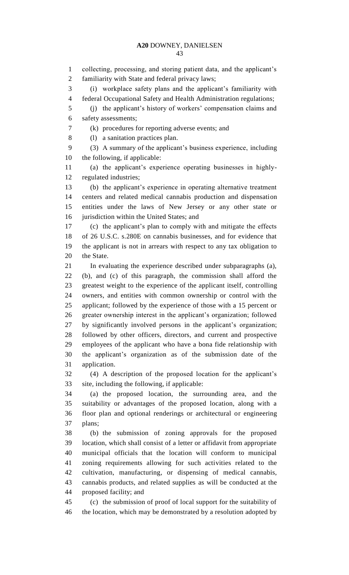collecting, processing, and storing patient data, and the applicant's familiarity with State and federal privacy laws; (i) workplace safety plans and the applicant's familiarity with federal Occupational Safety and Health Administration regulations; (j) the applicant's history of workers' compensation claims and safety assessments; (k) procedures for reporting adverse events; and (l) a sanitation practices plan. (3) A summary of the applicant's business experience, including the following, if applicable: (a) the applicant's experience operating businesses in highly- regulated industries; (b) the applicant's experience in operating alternative treatment centers and related medical cannabis production and dispensation entities under the laws of New Jersey or any other state or jurisdiction within the United States; and (c) the applicant's plan to comply with and mitigate the effects of 26 U.S.C. s.280E on cannabis businesses, and for evidence that the applicant is not in arrears with respect to any tax obligation to the State. In evaluating the experience described under subparagraphs (a), (b), and (c) of this paragraph, the commission shall afford the greatest weight to the experience of the applicant itself, controlling owners, and entities with common ownership or control with the applicant; followed by the experience of those with a 15 percent or greater ownership interest in the applicant's organization; followed by significantly involved persons in the applicant's organization; followed by other officers, directors, and current and prospective employees of the applicant who have a bona fide relationship with the applicant's organization as of the submission date of the application. (4) A description of the proposed location for the applicant's site, including the following, if applicable: (a) the proposed location, the surrounding area, and the suitability or advantages of the proposed location, along with a floor plan and optional renderings or architectural or engineering plans; (b) the submission of zoning approvals for the proposed location, which shall consist of a letter or affidavit from appropriate municipal officials that the location will conform to municipal zoning requirements allowing for such activities related to the cultivation, manufacturing, or dispensing of medical cannabis, cannabis products, and related supplies as will be conducted at the proposed facility; and (c) the submission of proof of local support for the suitability of the location, which may be demonstrated by a resolution adopted by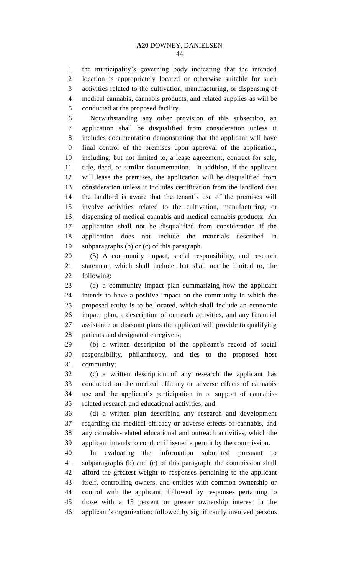the municipality's governing body indicating that the intended location is appropriately located or otherwise suitable for such activities related to the cultivation, manufacturing, or dispensing of medical cannabis, cannabis products, and related supplies as will be conducted at the proposed facility.

 Notwithstanding any other provision of this subsection, an application shall be disqualified from consideration unless it includes documentation demonstrating that the applicant will have final control of the premises upon approval of the application, including, but not limited to, a lease agreement, contract for sale, title, deed, or similar documentation. In addition, if the applicant will lease the premises, the application will be disqualified from consideration unless it includes certification from the landlord that the landlord is aware that the tenant's use of the premises will involve activities related to the cultivation, manufacturing, or dispensing of medical cannabis and medical cannabis products. An application shall not be disqualified from consideration if the application does not include the materials described in subparagraphs (b) or (c) of this paragraph.

 (5) A community impact, social responsibility, and research statement, which shall include, but shall not be limited to, the following:

 (a) a community impact plan summarizing how the applicant intends to have a positive impact on the community in which the proposed entity is to be located, which shall include an economic impact plan, a description of outreach activities, and any financial assistance or discount plans the applicant will provide to qualifying patients and designated caregivers;

 (b) a written description of the applicant's record of social responsibility, philanthropy, and ties to the proposed host community;

 (c) a written description of any research the applicant has conducted on the medical efficacy or adverse effects of cannabis use and the applicant's participation in or support of cannabis-related research and educational activities; and

 (d) a written plan describing any research and development regarding the medical efficacy or adverse effects of cannabis, and any cannabis-related educational and outreach activities, which the applicant intends to conduct if issued a permit by the commission.

 In evaluating the information submitted pursuant to subparagraphs (b) and (c) of this paragraph, the commission shall afford the greatest weight to responses pertaining to the applicant itself, controlling owners, and entities with common ownership or control with the applicant; followed by responses pertaining to those with a 15 percent or greater ownership interest in the applicant's organization; followed by significantly involved persons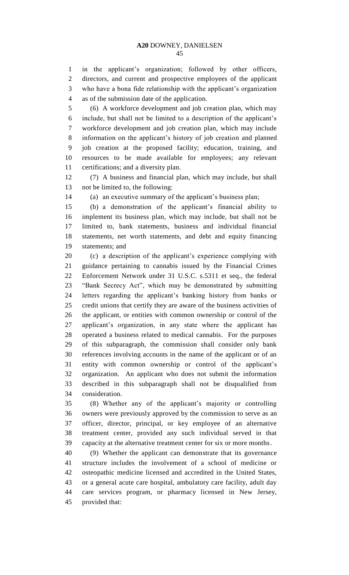in the applicant's organization; followed by other officers, directors, and current and prospective employees of the applicant who have a bona fide relationship with the applicant's organization as of the submission date of the application.

 (6) A workforce development and job creation plan, which may include, but shall not be limited to a description of the applicant's workforce development and job creation plan, which may include information on the applicant's history of job creation and planned job creation at the proposed facility; education, training, and resources to be made available for employees; any relevant certifications; and a diversity plan.

 (7) A business and financial plan, which may include, but shall not be limited to, the following:

(a) an executive summary of the applicant's business plan;

 (b) a demonstration of the applicant's financial ability to implement its business plan, which may include, but shall not be limited to, bank statements, business and individual financial statements, net worth statements, and debt and equity financing statements; and

 (c) a description of the applicant's experience complying with guidance pertaining to cannabis issued by the Financial Crimes Enforcement Network under 31 U.S.C. s.5311 et seq., the federal "Bank Secrecy Act", which may be demonstrated by submitting letters regarding the applicant's banking history from banks or credit unions that certify they are aware of the business activities of the applicant, or entities with common ownership or control of the applicant's organization, in any state where the applicant has operated a business related to medical cannabis. For the purposes of this subparagraph, the commission shall consider only bank references involving accounts in the name of the applicant or of an entity with common ownership or control of the applicant's organization. An applicant who does not submit the information described in this subparagraph shall not be disqualified from consideration.

 (8) Whether any of the applicant's majority or controlling owners were previously approved by the commission to serve as an officer, director, principal, or key employee of an alternative treatment center, provided any such individual served in that capacity at the alternative treatment center for six or more months.

 (9) Whether the applicant can demonstrate that its governance structure includes the involvement of a school of medicine or osteopathic medicine licensed and accredited in the United States, or a general acute care hospital, ambulatory care facility, adult day care services program, or pharmacy licensed in New Jersey, provided that: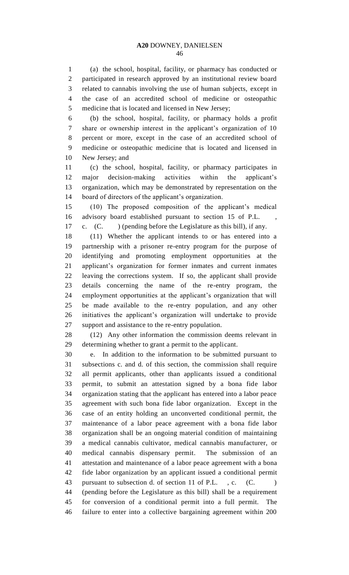(a) the school, hospital, facility, or pharmacy has conducted or participated in research approved by an institutional review board related to cannabis involving the use of human subjects, except in the case of an accredited school of medicine or osteopathic medicine that is located and licensed in New Jersey;

 (b) the school, hospital, facility, or pharmacy holds a profit share or ownership interest in the applicant's organization of 10 percent or more, except in the case of an accredited school of medicine or osteopathic medicine that is located and licensed in New Jersey; and

 (c) the school, hospital, facility, or pharmacy participates in major decision-making activities within the applicant's organization, which may be demonstrated by representation on the board of directors of the applicant's organization.

 (10) The proposed composition of the applicant's medical advisory board established pursuant to section 15 of P.L. , c. (C. ) (pending before the Legislature as this bill), if any.

 (11) Whether the applicant intends to or has entered into a partnership with a prisoner re-entry program for the purpose of identifying and promoting employment opportunities at the applicant's organization for former inmates and current inmates leaving the corrections system. If so, the applicant shall provide details concerning the name of the re-entry program, the employment opportunities at the applicant's organization that will be made available to the re-entry population, and any other initiatives the applicant's organization will undertake to provide support and assistance to the re-entry population.

 (12) Any other information the commission deems relevant in determining whether to grant a permit to the applicant.

 e. In addition to the information to be submitted pursuant to subsections c. and d. of this section, the commission shall require all permit applicants, other than applicants issued a conditional permit, to submit an attestation signed by a bona fide labor organization stating that the applicant has entered into a labor peace agreement with such bona fide labor organization. Except in the case of an entity holding an unconverted conditional permit, the maintenance of a labor peace agreement with a bona fide labor organization shall be an ongoing material condition of maintaining a medical cannabis cultivator, medical cannabis manufacturer, or medical cannabis dispensary permit. The submission of an attestation and maintenance of a labor peace agreement with a bona fide labor organization by an applicant issued a conditional permit 43 pursuant to subsection d. of section 11 of P.L., c. (C. (pending before the Legislature as this bill) shall be a requirement for conversion of a conditional permit into a full permit. The failure to enter into a collective bargaining agreement within 200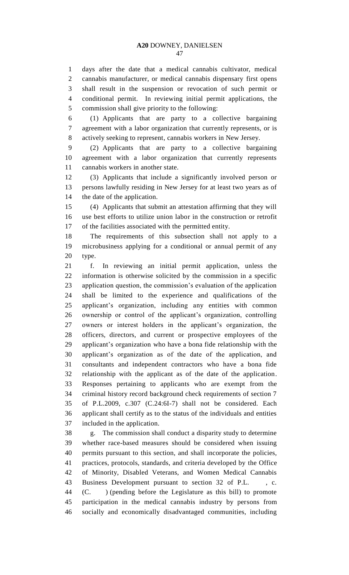days after the date that a medical cannabis cultivator, medical cannabis manufacturer, or medical cannabis dispensary first opens shall result in the suspension or revocation of such permit or conditional permit. In reviewing initial permit applications, the commission shall give priority to the following:

 (1) Applicants that are party to a collective bargaining agreement with a labor organization that currently represents, or is actively seeking to represent, cannabis workers in New Jersey.

 (2) Applicants that are party to a collective bargaining agreement with a labor organization that currently represents cannabis workers in another state.

 (3) Applicants that include a significantly involved person or persons lawfully residing in New Jersey for at least two years as of the date of the application.

 (4) Applicants that submit an attestation affirming that they will use best efforts to utilize union labor in the construction or retrofit of the facilities associated with the permitted entity.

 The requirements of this subsection shall not apply to a microbusiness applying for a conditional or annual permit of any type.

 f. In reviewing an initial permit application, unless the information is otherwise solicited by the commission in a specific application question, the commission's evaluation of the application shall be limited to the experience and qualifications of the applicant's organization, including any entities with common ownership or control of the applicant's organization, controlling owners or interest holders in the applicant's organization, the officers, directors, and current or prospective employees of the applicant's organization who have a bona fide relationship with the applicant's organization as of the date of the application, and consultants and independent contractors who have a bona fide relationship with the applicant as of the date of the application. Responses pertaining to applicants who are exempt from the criminal history record background check requirements of section 7 of P.L.2009, c.307 (C.24:6I-7) shall not be considered. Each applicant shall certify as to the status of the individuals and entities included in the application.

 g. The commission shall conduct a disparity study to determine whether race-based measures should be considered when issuing permits pursuant to this section, and shall incorporate the policies, practices, protocols, standards, and criteria developed by the Office of Minority, Disabled Veterans, and Women Medical Cannabis Business Development pursuant to section 32 of P.L. , c. (C. ) (pending before the Legislature as this bill) to promote participation in the medical cannabis industry by persons from socially and economically disadvantaged communities, including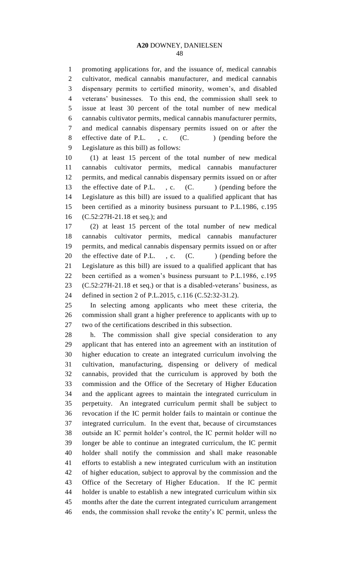promoting applications for, and the issuance of, medical cannabis cultivator, medical cannabis manufacturer, and medical cannabis dispensary permits to certified minority, women's, and disabled veterans' businesses. To this end, the commission shall seek to issue at least 30 percent of the total number of new medical cannabis cultivator permits, medical cannabis manufacturer permits, and medical cannabis dispensary permits issued on or after the 8 effective date of P.L., c. (C. ) (pending before the Legislature as this bill) as follows:

 (1) at least 15 percent of the total number of new medical cannabis cultivator permits, medical cannabis manufacturer permits, and medical cannabis dispensary permits issued on or after 13 the effective date of P.L., c. (C. ) (pending before the Legislature as this bill) are issued to a qualified applicant that has been certified as a minority business pursuant to P.L.1986, c.195 (C.52:27H-21.18 et seq.); and

 (2) at least 15 percent of the total number of new medical cannabis cultivator permits, medical cannabis manufacturer permits, and medical cannabis dispensary permits issued on or after 20 the effective date of P.L., c. (C.) (pending before the Legislature as this bill) are issued to a qualified applicant that has been certified as a women's business pursuant to P.L.1986, c.195 (C.52:27H-21.18 et seq.) or that is a disabled-veterans' business, as defined in section 2 of P.L.2015, c.116 (C.52:32-31.2).

 In selecting among applicants who meet these criteria, the commission shall grant a higher preference to applicants with up to two of the certifications described in this subsection.

 h. The commission shall give special consideration to any applicant that has entered into an agreement with an institution of higher education to create an integrated curriculum involving the cultivation, manufacturing, dispensing or delivery of medical cannabis, provided that the curriculum is approved by both the commission and the Office of the Secretary of Higher Education and the applicant agrees to maintain the integrated curriculum in perpetuity. An integrated curriculum permit shall be subject to revocation if the IC permit holder fails to maintain or continue the integrated curriculum. In the event that, because of circumstances outside an IC permit holder's control, the IC permit holder will no longer be able to continue an integrated curriculum, the IC permit holder shall notify the commission and shall make reasonable efforts to establish a new integrated curriculum with an institution of higher education, subject to approval by the commission and the Office of the Secretary of Higher Education. If the IC permit holder is unable to establish a new integrated curriculum within six months after the date the current integrated curriculum arrangement ends, the commission shall revoke the entity's IC permit, unless the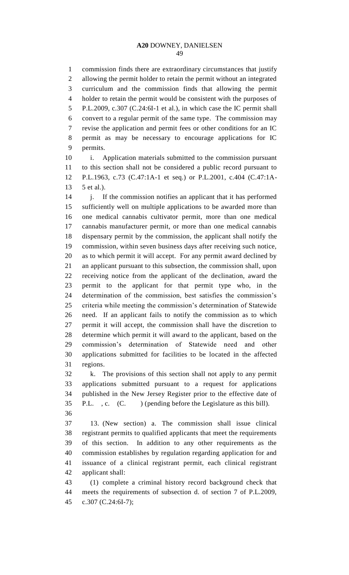commission finds there are extraordinary circumstances that justify allowing the permit holder to retain the permit without an integrated curriculum and the commission finds that allowing the permit holder to retain the permit would be consistent with the purposes of P.L.2009, c.307 (C.24:6I-1 et al.), in which case the IC permit shall convert to a regular permit of the same type. The commission may revise the application and permit fees or other conditions for an IC permit as may be necessary to encourage applications for IC permits.

 i. Application materials submitted to the commission pursuant to this section shall not be considered a public record pursuant to P.L.1963, c.73 (C.47:1A-1 et seq.) or P.L.2001, c.404 (C.47:1A-5 et al.).

 j. If the commission notifies an applicant that it has performed sufficiently well on multiple applications to be awarded more than one medical cannabis cultivator permit, more than one medical cannabis manufacturer permit, or more than one medical cannabis dispensary permit by the commission, the applicant shall notify the commission, within seven business days after receiving such notice, as to which permit it will accept. For any permit award declined by an applicant pursuant to this subsection, the commission shall, upon receiving notice from the applicant of the declination, award the permit to the applicant for that permit type who, in the determination of the commission, best satisfies the commission's criteria while meeting the commission's determination of Statewide need. If an applicant fails to notify the commission as to which permit it will accept, the commission shall have the discretion to determine which permit it will award to the applicant, based on the commission's determination of Statewide need and other applications submitted for facilities to be located in the affected regions.

 k. The provisions of this section shall not apply to any permit applications submitted pursuant to a request for applications published in the New Jersey Register prior to the effective date of P.L. , c. (C. ) (pending before the Legislature as this bill). 

 13. (New section) a. The commission shall issue clinical registrant permits to qualified applicants that meet the requirements of this section. In addition to any other requirements as the commission establishes by regulation regarding application for and issuance of a clinical registrant permit, each clinical registrant applicant shall:

 (1) complete a criminal history record background check that meets the requirements of subsection d. of section 7 of P.L.2009, c.307 (C.24:6I-7);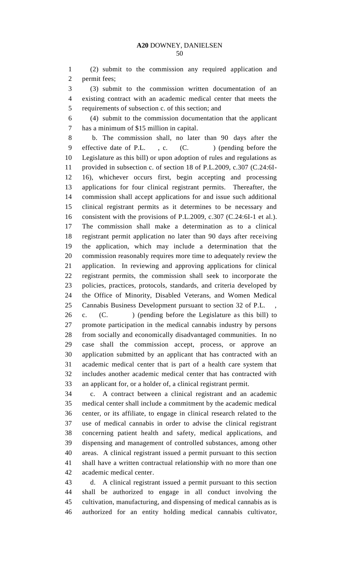(2) submit to the commission any required application and permit fees;

 (3) submit to the commission written documentation of an existing contract with an academic medical center that meets the requirements of subsection c. of this section; and

 (4) submit to the commission documentation that the applicant has a minimum of \$15 million in capital.

 b. The commission shall, no later than 90 days after the 9 effective date of P.L., c. (C. ) (pending before the Legislature as this bill) or upon adoption of rules and regulations as provided in subsection c. of section 18 of P.L.2009, c.307 (C.24:6I- 16), whichever occurs first, begin accepting and processing applications for four clinical registrant permits. Thereafter, the commission shall accept applications for and issue such additional clinical registrant permits as it determines to be necessary and consistent with the provisions of P.L.2009, c.307 (C.24:6I-1 et al.). The commission shall make a determination as to a clinical registrant permit application no later than 90 days after receiving the application, which may include a determination that the commission reasonably requires more time to adequately review the application. In reviewing and approving applications for clinical registrant permits, the commission shall seek to incorporate the policies, practices, protocols, standards, and criteria developed by the Office of Minority, Disabled Veterans, and Women Medical Cannabis Business Development pursuant to section 32 of P.L. ,

26 c. (C. ) (pending before the Legislature as this bill) to promote participation in the medical cannabis industry by persons from socially and economically disadvantaged communities. In no case shall the commission accept, process, or approve an application submitted by an applicant that has contracted with an academic medical center that is part of a health care system that includes another academic medical center that has contracted with an applicant for, or a holder of, a clinical registrant permit.

 c. A contract between a clinical registrant and an academic medical center shall include a commitment by the academic medical center, or its affiliate, to engage in clinical research related to the use of medical cannabis in order to advise the clinical registrant concerning patient health and safety, medical applications, and dispensing and management of controlled substances, among other areas. A clinical registrant issued a permit pursuant to this section shall have a written contractual relationship with no more than one academic medical center.

 d. A clinical registrant issued a permit pursuant to this section shall be authorized to engage in all conduct involving the cultivation, manufacturing, and dispensing of medical cannabis as is authorized for an entity holding medical cannabis cultivator,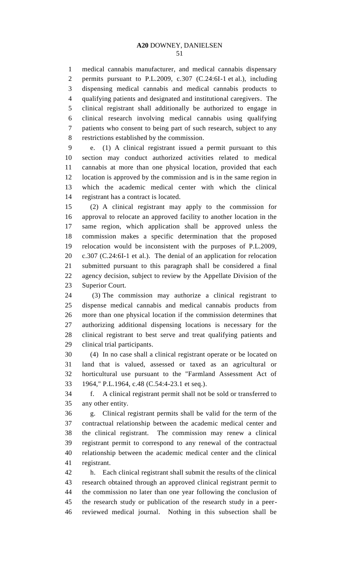medical cannabis manufacturer, and medical cannabis dispensary permits pursuant to P.L.2009, c.307 (C.24:6I-1 et al.), including dispensing medical cannabis and medical cannabis products to qualifying patients and designated and institutional caregivers. The clinical registrant shall additionally be authorized to engage in clinical research involving medical cannabis using qualifying patients who consent to being part of such research, subject to any restrictions established by the commission.

 e. (1) A clinical registrant issued a permit pursuant to this section may conduct authorized activities related to medical cannabis at more than one physical location, provided that each location is approved by the commission and is in the same region in which the academic medical center with which the clinical registrant has a contract is located.

 (2) A clinical registrant may apply to the commission for approval to relocate an approved facility to another location in the same region, which application shall be approved unless the commission makes a specific determination that the proposed relocation would be inconsistent with the purposes of P.L.2009, c.307 (C.24:6I-1 et al.). The denial of an application for relocation submitted pursuant to this paragraph shall be considered a final agency decision, subject to review by the Appellate Division of the Superior Court.

 (3) The commission may authorize a clinical registrant to dispense medical cannabis and medical cannabis products from more than one physical location if the commission determines that authorizing additional dispensing locations is necessary for the clinical registrant to best serve and treat qualifying patients and clinical trial participants.

 (4) In no case shall a clinical registrant operate or be located on land that is valued, assessed or taxed as an agricultural or horticultural use pursuant to the "Farmland Assessment Act of 1964," P.L.1964, c.48 (C.54:4-23.1 et seq.).

 f. A clinical registrant permit shall not be sold or transferred to any other entity.

 g. Clinical registrant permits shall be valid for the term of the contractual relationship between the academic medical center and the clinical registrant. The commission may renew a clinical registrant permit to correspond to any renewal of the contractual relationship between the academic medical center and the clinical registrant.

 h. Each clinical registrant shall submit the results of the clinical research obtained through an approved clinical registrant permit to the commission no later than one year following the conclusion of the research study or publication of the research study in a peer-reviewed medical journal. Nothing in this subsection shall be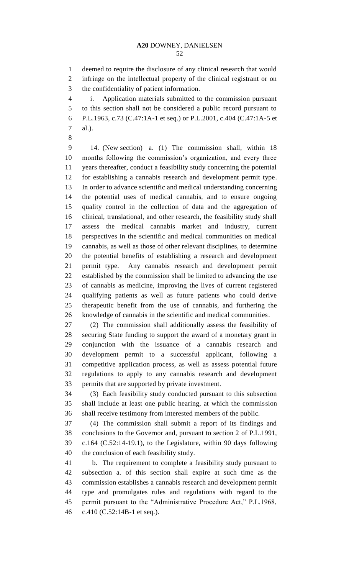deemed to require the disclosure of any clinical research that would infringe on the intellectual property of the clinical registrant or on the confidentiality of patient information.

 i. Application materials submitted to the commission pursuant to this section shall not be considered a public record pursuant to P.L.1963, c.73 (C.47:1A-1 et seq.) or P.L.2001, c.404 (C.47:1A-5 et al.).

 14. (New section) a. (1) The commission shall, within 18 months following the commission's organization, and every three years thereafter, conduct a feasibility study concerning the potential for establishing a cannabis research and development permit type. In order to advance scientific and medical understanding concerning the potential uses of medical cannabis, and to ensure ongoing quality control in the collection of data and the aggregation of clinical, translational, and other research, the feasibility study shall assess the medical cannabis market and industry, current perspectives in the scientific and medical communities on medical cannabis, as well as those of other relevant disciplines, to determine the potential benefits of establishing a research and development permit type. Any cannabis research and development permit established by the commission shall be limited to advancing the use of cannabis as medicine, improving the lives of current registered qualifying patients as well as future patients who could derive therapeutic benefit from the use of cannabis, and furthering the knowledge of cannabis in the scientific and medical communities.

 (2) The commission shall additionally assess the feasibility of securing State funding to support the award of a monetary grant in conjunction with the issuance of a cannabis research and development permit to a successful applicant, following a competitive application process, as well as assess potential future regulations to apply to any cannabis research and development permits that are supported by private investment.

 (3) Each feasibility study conducted pursuant to this subsection shall include at least one public hearing, at which the commission shall receive testimony from interested members of the public.

 (4) The commission shall submit a report of its findings and conclusions to the Governor and, pursuant to section 2 of P.L.1991, c.164 (C.52:14-19.1), to the Legislature, within 90 days following the conclusion of each feasibility study.

 b. The requirement to complete a feasibility study pursuant to subsection a. of this section shall expire at such time as the commission establishes a cannabis research and development permit type and promulgates rules and regulations with regard to the permit pursuant to the "Administrative Procedure Act," P.L.1968, c.410 (C.52:14B-1 et seq.).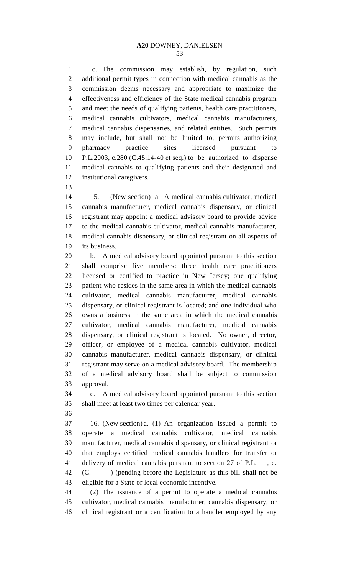c. The commission may establish, by regulation, such additional permit types in connection with medical cannabis as the commission deems necessary and appropriate to maximize the effectiveness and efficiency of the State medical cannabis program and meet the needs of qualifying patients, health care practitioners, medical cannabis cultivators, medical cannabis manufacturers, medical cannabis dispensaries, and related entities. Such permits may include, but shall not be limited to, permits authorizing pharmacy practice sites licensed pursuant to P.L.2003, c.280 (C.45:14-40 et seq.) to be authorized to dispense medical cannabis to qualifying patients and their designated and institutional caregivers.

 15. (New section) a. A medical cannabis cultivator, medical cannabis manufacturer, medical cannabis dispensary, or clinical registrant may appoint a medical advisory board to provide advice to the medical cannabis cultivator, medical cannabis manufacturer, medical cannabis dispensary, or clinical registrant on all aspects of its business.

 b. A medical advisory board appointed pursuant to this section shall comprise five members: three health care practitioners licensed or certified to practice in New Jersey; one qualifying patient who resides in the same area in which the medical cannabis cultivator, medical cannabis manufacturer, medical cannabis dispensary, or clinical registrant is located; and one individual who owns a business in the same area in which the medical cannabis cultivator, medical cannabis manufacturer, medical cannabis dispensary, or clinical registrant is located. No owner, director, officer, or employee of a medical cannabis cultivator, medical cannabis manufacturer, medical cannabis dispensary, or clinical registrant may serve on a medical advisory board. The membership of a medical advisory board shall be subject to commission approval.

 c. A medical advisory board appointed pursuant to this section shall meet at least two times per calendar year.

 16. (New section) a. (1) An organization issued a permit to operate a medical cannabis cultivator, medical cannabis manufacturer, medical cannabis dispensary, or clinical registrant or that employs certified medical cannabis handlers for transfer or delivery of medical cannabis pursuant to section 27 of P.L. , c. (C. ) (pending before the Legislature as this bill shall not be eligible for a State or local economic incentive.

 (2) The issuance of a permit to operate a medical cannabis cultivator, medical cannabis manufacturer, cannabis dispensary, or clinical registrant or a certification to a handler employed by any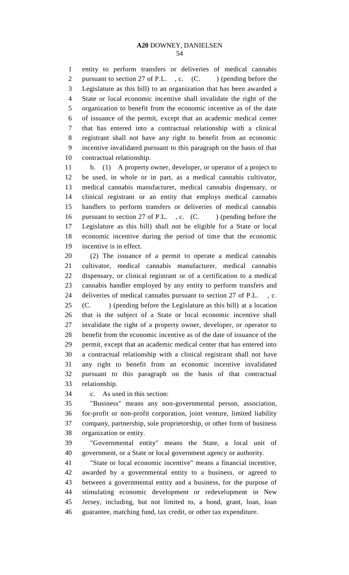entity to perform transfers or deliveries of medical cannabis 2 pursuant to section 27 of P.L., c. (C. ) (pending before the Legislature as this bill) to an organization that has been awarded a State or local economic incentive shall invalidate the right of the organization to benefit from the economic incentive as of the date of issuance of the permit, except that an academic medical center that has entered into a contractual relationship with a clinical registrant shall not have any right to benefit from an economic incentive invalidated pursuant to this paragraph on the basis of that contractual relationship.

 b. (1) A property owner, developer, or operator of a project to be used, in whole or in part, as a medical cannabis cultivator, medical cannabis manufacturer, medical cannabis dispensary, or clinical registrant or an entity that employs medical cannabis handlers to perform transfers or deliveries of medical cannabis 16 pursuant to section 27 of P.L., c. (C.) (pending before the Legislature as this bill) shall not be eligible for a State or local economic incentive during the period of time that the economic incentive is in effect.

 (2) The issuance of a permit to operate a medical cannabis cultivator, medical cannabis manufacturer, medical cannabis dispensary, or clinical registrant or of a certification to a medical cannabis handler employed by any entity to perform transfers and deliveries of medical cannabis pursuant to section 27 of P.L. , c. (C. ) (pending before the Legislature as this bill) at a location that is the subject of a State or local economic incentive shall invalidate the right of a property owner, developer, or operator to benefit from the economic incentive as of the date of issuance of the permit, except that an academic medical center that has entered into a contractual relationship with a clinical registrant shall not have any right to benefit from an economic incentive invalidated pursuant to this paragraph on the basis of that contractual relationship.

c. As used in this section:

 "Business" means any non-governmental person, association, for-profit or non-profit corporation, joint venture, limited liability company, partnership, sole proprietorship, or other form of business organization or entity.

 "Governmental entity" means the State, a local unit of government, or a State or local government agency or authority.

 "State or local economic incentive" means a financial incentive, awarded by a governmental entity to a business, or agreed to between a governmental entity and a business, for the purpose of stimulating economic development or redevelopment in New Jersey, including, but not limited to, a bond, grant, loan, loan guarantee, matching fund, tax credit, or other tax expenditure.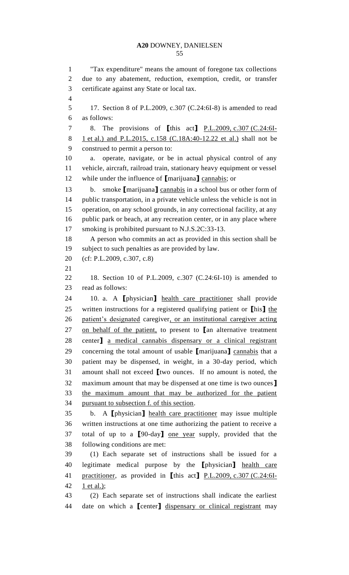"Tax expenditure" means the amount of foregone tax collections due to any abatement, reduction, exemption, credit, or transfer certificate against any State or local tax. 17. Section 8 of P.L.2009, c.307 (C.24:6I-8) is amended to read as follows: 8. The provisions of **[**this act**]** P.L.2009, c.307 (C.24:6I- 1 et al.) and P.L.2015, c.158 (C.18A:40-12.22 et al.) shall not be construed to permit a person to: a. operate, navigate, or be in actual physical control of any vehicle, aircraft, railroad train, stationary heavy equipment or vessel while under the influence of **[**marijuana**]** cannabis; or b. smoke **[**marijuana**]** cannabis in a school bus or other form of public transportation, in a private vehicle unless the vehicle is not in operation, on any school grounds, in any correctional facility, at any public park or beach, at any recreation center, or in any place where smoking is prohibited pursuant to N.J.S.2C:33-13. A person who commits an act as provided in this section shall be subject to such penalties as are provided by law. (cf: P.L.2009, c.307, c.8) 18. Section 10 of P.L.2009, c.307 (C.24:6I-10) is amended to read as follows: 10. a. A **[**physician**]** health care practitioner shall provide written instructions for a registered qualifying patient or **[**his**]** the patient's designated caregiver, or an institutional caregiver acting on behalf of the patient, to present to **[**an alternative treatment center**]** a medical cannabis dispensary or a clinical registrant concerning the total amount of usable **[**marijuana**]** cannabis that a patient may be dispensed, in weight, in a 30-day period, which amount shall not exceed **[**two ounces. If no amount is noted, the maximum amount that may be dispensed at one time is two ounces**]** the maximum amount that may be authorized for the patient pursuant to subsection f. of this section. b. A **[**physician**]** health care practitioner may issue multiple written instructions at one time authorizing the patient to receive a total of up to a **[**90-day**]** one year supply, provided that the following conditions are met: (1) Each separate set of instructions shall be issued for a legitimate medical purpose by the **[**physician**]** health care practitioner, as provided in **[**this act**]** P.L.2009, c.307 (C.24:6I-42 1 et al.); (2) Each separate set of instructions shall indicate the earliest date on which a **[**center**]** dispensary or clinical registrant may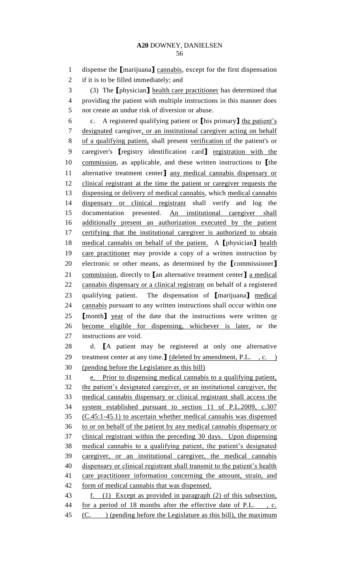dispense the **[**marijuana**]** cannabis, except for the first dispensation

if it is to be filled immediately; and

 (3) The **[**physician**]** health care practitioner has determined that providing the patient with multiple instructions in this manner does not create an undue risk of diversion or abuse. c. A registered qualifying patient or **[**his primary**]** the patient's designated caregiver, or an institutional caregiver acting on behalf of a qualifying patient, shall present verification of the patient's or caregiver's **[**registry identification card**]** registration with the commission, as applicable, and these written instructions to **[**the alternative treatment center**]** any medical cannabis dispensary or clinical registrant at the time the patient or caregiver requests the dispensing or delivery of medical cannabis, which medical cannabis dispensary or clinical registrant shall verify and log the documentation presented. An institutional caregiver shall additionally present an authorization executed by the patient 17 certifying that the institutional caregiver is authorized to obtain medical cannabis on behalf of the patient. A **[**physician**]** health care practitioner may provide a copy of a written instruction by electronic or other means, as determined by the **[**commissioner**]** commission, directly to **[**an alternative treatment center**]** a medical cannabis dispensary or a clinical registrant on behalf of a registered qualifying patient. The dispensation of **[**marijuana**]** medical cannabis pursuant to any written instructions shall occur within one **[**month**]** year of the date that the instructions were written or become eligible for dispensing, whichever is later, or the instructions are void. d. **[**A patient may be registered at only one alternative treatment center at any time.**]** (deleted by amendment, P.L. , c. ) (pending before the Legislature as this bill) e. Prior to dispensing medical cannabis to a qualifying patient, the patient's designated caregiver, or an institutional caregiver, the medical cannabis dispensary or clinical registrant shall access the system established pursuant to section 11 of P.L.2009, c.307 (C.45:1-45.1) to ascertain whether medical cannabis was dispensed to or on behalf of the patient by any medical cannabis dispensary or clinical registrant within the preceding 30 days. Upon dispensing medical cannabis to a qualifying patient, the patient's designated caregiver, or an institutional caregiver, the medical cannabis 40 dispensary or clinical registrant shall transmit to the patient's health care practitioner information concerning the amount, strain, and form of medical cannabis that was dispensed.

 f. (1) Except as provided in paragraph (2) of this subsection, for a period of 18 months after the effective date of P.L. , c. 45 (C. ) (pending before the Legislature as this bill), the maximum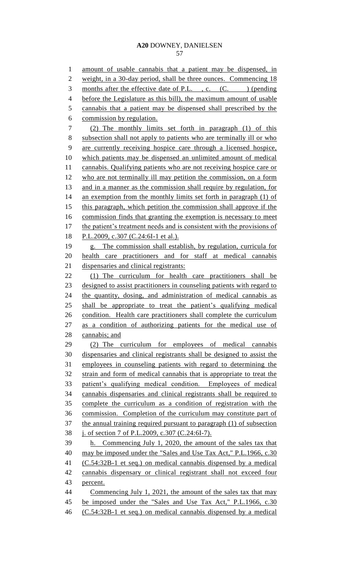amount of usable cannabis that a patient may be dispensed, in weight, in a 30-day period, shall be three ounces. Commencing 18 3 months after the effective date of P.L., c. (C. ) (pending before the Legislature as this bill), the maximum amount of usable cannabis that a patient may be dispensed shall prescribed by the commission by regulation. (2) The monthly limits set forth in paragraph (1) of this subsection shall not apply to patients who are terminally ill or who are currently receiving hospice care through a licensed hospice, which patients may be dispensed an unlimited amount of medical cannabis. Qualifying patients who are not receiving hospice care or who are not terminally ill may petition the commission, on a form and in a manner as the commission shall require by regulation, for 14 an exemption from the monthly limits set forth in paragraph (1) of this paragraph, which petition the commission shall approve if the commission finds that granting the exemption is necessary to meet 17 the patient's treatment needs and is consistent with the provisions of 18 P.L.2009, c.307 (C.24:6I-1 et al.). g. The commission shall establish, by regulation, curricula for health care practitioners and for staff at medical cannabis dispensaries and clinical registrants: (1) The curriculum for health care practitioners shall be 23 designed to assist practitioners in counseling patients with regard to the quantity, dosing, and administration of medical cannabis as shall be appropriate to treat the patient's qualifying medical condition. Health care practitioners shall complete the curriculum as a condition of authorizing patients for the medical use of cannabis; and (2) The curriculum for employees of medical cannabis dispensaries and clinical registrants shall be designed to assist the employees in counseling patients with regard to determining the strain and form of medical cannabis that is appropriate to treat the patient's qualifying medical condition. Employees of medical cannabis dispensaries and clinical registrants shall be required to complete the curriculum as a condition of registration with the commission. Completion of the curriculum may constitute part of the annual training required pursuant to paragraph (1) of subsection j. of section 7 of P.L.2009, c.307 (C.24:6I-7). h. Commencing July 1, 2020, the amount of the sales tax that 40 may be imposed under the "Sales and Use Tax Act," P.L.1966, c.30 (C.54:32B-1 et seq.) on medical cannabis dispensed by a medical cannabis dispensary or clinical registrant shall not exceed four percent. 44 Commencing July 1, 2021, the amount of the sales tax that may 45 be imposed under the "Sales and Use Tax Act," P.L.1966, c.30 (C.54:32B-1 et seq.) on medical cannabis dispensed by a medical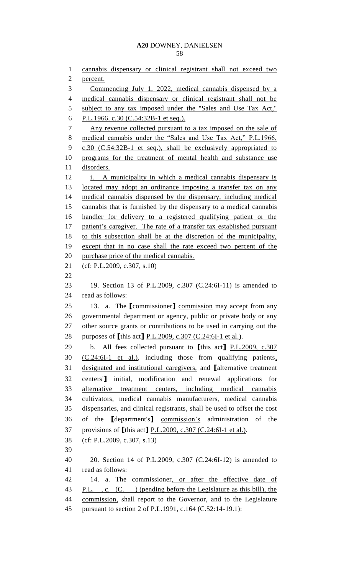cannabis dispensary or clinical registrant shall not exceed two percent. Commencing July 1, 2022, medical cannabis dispensed by a medical cannabis dispensary or clinical registrant shall not be 5 subject to any tax imposed under the "Sales and Use Tax Act," P.L.1966, c.30 (C.54:32B-1 et seq.). Any revenue collected pursuant to a tax imposed on the sale of 8 medical cannabis under the "Sales and Use Tax Act," P.L.1966, c.30 (C.54:32B-1 et seq.), shall be exclusively appropriated to programs for the treatment of mental health and substance use disorders. 12 i. A municipality in which a medical cannabis dispensary is located may adopt an ordinance imposing a transfer tax on any medical cannabis dispensed by the dispensary, including medical cannabis that is furnished by the dispensary to a medical cannabis handler for delivery to a registered qualifying patient or the 17 patient's caregiver. The rate of a transfer tax established pursuant to this subsection shall be at the discretion of the municipality, except that in no case shall the rate exceed two percent of the 20 purchase price of the medical cannabis. (cf: P.L.2009, c.307, s.10) 19. Section 13 of P.L.2009, c.307 (C.24:6I-11) is amended to read as follows: 13. a. The **[**commissioner**]** commission may accept from any governmental department or agency, public or private body or any other source grants or contributions to be used in carrying out the purposes of **[**this act**]** P.L.2009, c.307 (C.24:6I-1 et al.). b. All fees collected pursuant to **[**this act**]** P.L.2009, c.307 (C.24:6I-1 et al.), including those from qualifying patients, designated and institutional caregivers, and **[**alternative treatment centers'**]** initial, modification and renewal applications for alternative treatment centers, including medical cannabis cultivators, medical cannabis manufacturers, medical cannabis dispensaries, and clinical registrants, shall be used to offset the cost of the **[**department's**]** commission's administration of the provisions of **[**this act**]** P.L.2009, c.307 (C.24:6I-1 et al.). (cf: P.L.2009, c.307, s.13) 20. Section 14 of P.L.2009, c.307 (C.24:6I-12) is amended to read as follows: 14. a. The commissioner, or after the effective date of 43 P.L., c. (C.) (pending before the Legislature as this bill), the commission, shall report to the Governor, and to the Legislature pursuant to section 2 of P.L.1991, c.164 (C.52:14-19.1):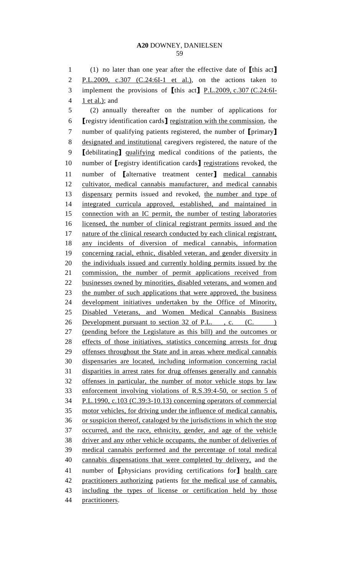(1) no later than one year after the effective date of **[**this act**]** P.L.2009, c.307 (C.24:6I-1 et al.), on the actions taken to implement the provisions of **[**this act**]** P.L.2009, c.307 (C.24:6I- $4 \quad \underline{1 \text{ et al.}};$  and (2) annually thereafter on the number of applications for **[**registry identification cards**]** registration with the commission, the number of qualifying patients registered, the number of **[**primary**]** designated and institutional caregivers registered, the nature of the **[**debilitating**]** qualifying medical conditions of the patients, the number of **[**registry identification cards**]** registrations revoked, the number of **[**alternative treatment center**]** medical cannabis cultivator, medical cannabis manufacturer, and medical cannabis dispensary permits issued and revoked, the number and type of integrated curricula approved, established, and maintained in 15 connection with an IC permit, the number of testing laboratories licensed, the number of clinical registrant permits issued and the nature of the clinical research conducted by each clinical registrant, any incidents of diversion of medical cannabis, information concerning racial, ethnic, disabled veteran, and gender diversity in the individuals issued and currently holding permits issued by the commission, the number of permit applications received from businesses owned by minorities, disabled veterans, and women and 23 the number of such applications that were approved, the business development initiatives undertaken by the Office of Minority, Disabled Veterans, and Women Medical Cannabis Business 26 Development pursuant to section 32 of P.L., c. (C. ) (pending before the Legislature as this bill) and the outcomes or effects of those initiatives, statistics concerning arrests for drug offenses throughout the State and in areas where medical cannabis dispensaries are located, including information concerning racial disparities in arrest rates for drug offenses generally and cannabis offenses in particular, the number of motor vehicle stops by law enforcement involving violations of R.S.39:4-50, or section 5 of P.L.1990, c.103 (C.39:3-10.13) concerning operators of commercial motor vehicles, for driving under the influence of medical cannabis, or suspicion thereof, cataloged by the jurisdictions in which the stop occurred, and the race, ethnicity, gender, and age of the vehicle driver and any other vehicle occupants, the number of deliveries of medical cannabis performed and the percentage of total medical cannabis dispensations that were completed by delivery, and the number of **[**physicians providing certifications for**]** health care practitioners authorizing patients for the medical use of cannabis, including the types of license or certification held by those practitioners.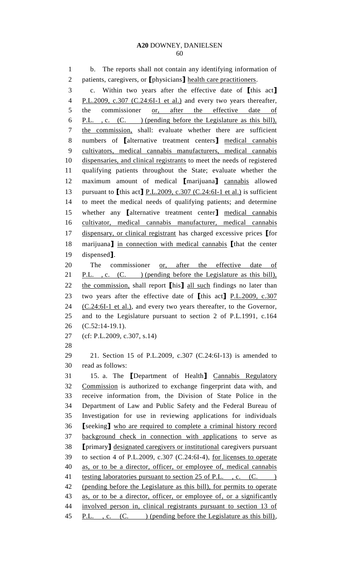b. The reports shall not contain any identifying information of patients, caregivers, or **[**physicians**]** health care practitioners. c. Within two years after the effective date of **[**this act**]** 4 P.L.2009, c.307 (C.24:6I-1 et al.) and every two years thereafter, the commissioner or, after the effective date of P.L. , c. (C. ) (pending before the Legislature as this bill), the commission, shall: evaluate whether there are sufficient numbers of **[**alternative treatment centers**]** medical cannabis cultivators, medical cannabis manufacturers, medical cannabis dispensaries, and clinical registrants to meet the needs of registered qualifying patients throughout the State; evaluate whether the maximum amount of medical **[**marijuana**]** cannabis allowed pursuant to **[**this act**]** P.L.2009, c.307 (C.24:6I-1 et al.) is sufficient to meet the medical needs of qualifying patients; and determine whether any **[**alternative treatment center**]** medical cannabis cultivator, medical cannabis manufacturer, medical cannabis dispensary, or clinical registrant has charged excessive prices **[**for marijuana**]** in connection with medical cannabis **[**that the center dispensed**]**. 20 The commissioner or, after the effective date of 21 P.L., c. (C. ) (pending before the Legislature as this bill), the commission, shall report **[**his**]** all such findings no later than two years after the effective date of **[**this act**]** P.L.2009, c.307 (C.24:6I-1 et al.), and every two years thereafter, to the Governor, and to the Legislature pursuant to section 2 of P.L.1991, c.164 (C.52:14-19.1). (cf: P.L.2009, c.307, s.14) 21. Section 15 of P.L.2009, c.307 (C.24:6I-13) is amended to read as follows: 15. a. The **[**Department of Health**]** Cannabis Regulatory Commission is authorized to exchange fingerprint data with, and receive information from, the Division of State Police in the Department of Law and Public Safety and the Federal Bureau of Investigation for use in reviewing applications for individuals **[**seeking**]** who are required to complete a criminal history record background check in connection with applications to serve as **[**primary**]** designated caregivers or institutional caregivers pursuant to section 4 of P.L.2009, c.307 (C.24:6I-4), for licenses to operate as, or to be a director, officer, or employee of, medical cannabis 41 testing laboratories pursuant to section 25 of P.L., c. (C. ) (pending before the Legislature as this bill), for permits to operate as, or to be a director, officer, or employee of, or a significantly involved person in, clinical registrants pursuant to section 13 of 45 P.L., c. (C.) (pending before the Legislature as this bill),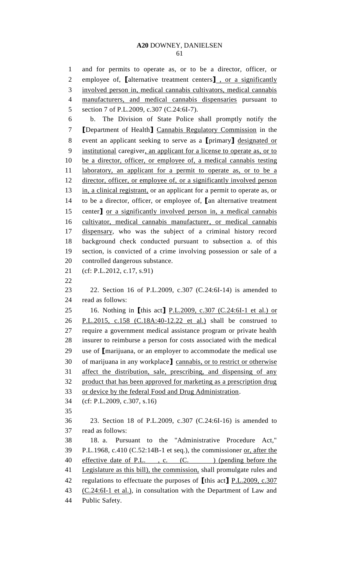and for permits to operate as, or to be a director, officer, or employee of, **[**alternative treatment centers**]** , or a significantly involved person in, medical cannabis cultivators, medical cannabis manufacturers, and medical cannabis dispensaries pursuant to 5 section 7 of P.L.2009, c.307 (C.24:6I-7). b. The Division of State Police shall promptly notify the **[**Department of Health**]** Cannabis Regulatory Commission in the event an applicant seeking to serve as a **[**primary**]** designated or institutional caregiver, an applicant for a license to operate as, or to be a director, officer, or employee of, a medical cannabis testing 11 laboratory, an applicant for a permit to operate as, or to be a 12 director, officer, or employee of, or a significantly involved person 13 in, a clinical registrant, or an applicant for a permit to operate as, or to be a director, officer, or employee of, **[**an alternative treatment center**]** or a significantly involved person in, a medical cannabis cultivator, medical cannabis manufacturer, or medical cannabis dispensary, who was the subject of a criminal history record background check conducted pursuant to subsection a. of this section, is convicted of a crime involving possession or sale of a controlled dangerous substance. (cf: P.L.2012, c.17, s.91) 22. Section 16 of P.L.2009, c.307 (C.24:6I-14) is amended to read as follows: 16. Nothing in **[**this act**]** P.L.2009, c.307 (C.24:6I-1 et al.) or P.L.2015, c.158 (C.18A:40-12.22 et al.) shall be construed to require a government medical assistance program or private health insurer to reimburse a person for costs associated with the medical use of **[**marijuana, or an employer to accommodate the medical use of marijuana in any workplace**]** cannabis, or to restrict or otherwise affect the distribution, sale, prescribing, and dispensing of any product that has been approved for marketing as a prescription drug or device by the federal Food and Drug Administration. (cf: P.L.2009, c.307, s.16) 23. Section 18 of P.L.2009, c.307 (C.24:6I-16) is amended to read as follows: 18. a. Pursuant to the "Administrative Procedure Act," P.L.1968, c.410 (C.52:14B-1 et seq.), the commissioner or, after the 40 effective date of P.L., c. (C.) (pending before the 41 Legislature as this bill), the commission, shall promulgate rules and regulations to effectuate the purposes of **[**this act**]** P.L.2009, c.307 (C.24:6I-1 et al.), in consultation with the Department of Law and Public Safety.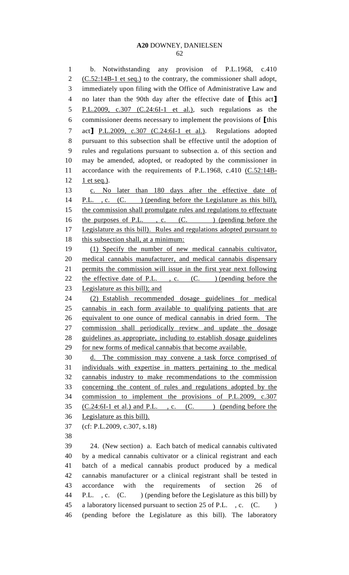b. Notwithstanding any provision of P.L.1968, c.410 2 (C.52:14B-1 et seq.) to the contrary, the commissioner shall adopt, immediately upon filing with the Office of Administrative Law and no later than the 90th day after the effective date of **[**this act**]** 5 P.L.2009, c.307 (C.24:6I-1 et al.), such regulations as the commissioner deems necessary to implement the provisions of **[**this act**]** P.L.2009, c.307 (C.24:6I-1 et al.). Regulations adopted pursuant to this subsection shall be effective until the adoption of rules and regulations pursuant to subsection a. of this section and may be amended, adopted, or readopted by the commissioner in 11 accordance with the requirements of P.L.1968, c.410 (C.52:14B-1 et seq.).

 c. No later than 180 days after the effective date of 14 P.L., c. (C. ) (pending before the Legislature as this bill), 15 the commission shall promulgate rules and regulations to effectuate 16 the purposes of P.L., c. (C.) (pending before the 17 Legislature as this bill). Rules and regulations adopted pursuant to 18 this subsection shall, at a minimum: (1) Specify the number of new medical cannabis cultivator, medical cannabis manufacturer, and medical cannabis dispensary permits the commission will issue in the first year next following 22 the effective date of P.L., c. (C.) (pending before the Legislature as this bill); and (2) Establish recommended dosage guidelines for medical cannabis in each form available to qualifying patients that are equivalent to one ounce of medical cannabis in dried form. The commission shall periodically review and update the dosage guidelines as appropriate, including to establish dosage guidelines 29 for new forms of medical cannabis that become available. d. The commission may convene a task force comprised of

 individuals with expertise in matters pertaining to the medical cannabis industry to make recommendations to the commission concerning the content of rules and regulations adopted by the commission to implement the provisions of P.L.2009, c.307  $(C.24:6I-1$  et al.) and P.L., c.  $(C.$  (C. ) (pending before the Legislature as this bill).

(cf: P.L.2009, c.307, s.18)

 24. (New section) a. Each batch of medical cannabis cultivated by a medical cannabis cultivator or a clinical registrant and each batch of a medical cannabis product produced by a medical cannabis manufacturer or a clinical registrant shall be tested in accordance with the requirements of section 26 of 44 P.L., c. (C. ) (pending before the Legislature as this bill) by a laboratory licensed pursuant to section 25 of P.L. , c. (C. ) (pending before the Legislature as this bill). The laboratory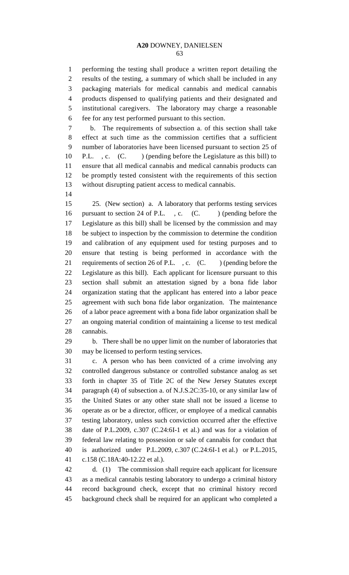performing the testing shall produce a written report detailing the results of the testing, a summary of which shall be included in any packaging materials for medical cannabis and medical cannabis products dispensed to qualifying patients and their designated and institutional caregivers. The laboratory may charge a reasonable fee for any test performed pursuant to this section.

 b. The requirements of subsection a. of this section shall take effect at such time as the commission certifies that a sufficient number of laboratories have been licensed pursuant to section 25 of 10 P.L. , c. (C. ) (pending before the Legislature as this bill) to ensure that all medical cannabis and medical cannabis products can be promptly tested consistent with the requirements of this section without disrupting patient access to medical cannabis.

 25. (New section) a. A laboratory that performs testing services 16 pursuant to section 24 of P.L., c. (C. ) (pending before the Legislature as this bill) shall be licensed by the commission and may be subject to inspection by the commission to determine the condition and calibration of any equipment used for testing purposes and to ensure that testing is being performed in accordance with the 21 requirements of section 26 of P.L., c. (C.) (pending before the Legislature as this bill). Each applicant for licensure pursuant to this section shall submit an attestation signed by a bona fide labor organization stating that the applicant has entered into a labor peace agreement with such bona fide labor organization. The maintenance of a labor peace agreement with a bona fide labor organization shall be an ongoing material condition of maintaining a license to test medical cannabis.

 b. There shall be no upper limit on the number of laboratories that may be licensed to perform testing services.

 c. A person who has been convicted of a crime involving any controlled dangerous substance or controlled substance analog as set forth in chapter 35 of Title 2C of the New Jersey Statutes except paragraph (4) of subsection a. of N.J.S.2C:35-10, or any similar law of the United States or any other state shall not be issued a license to operate as or be a director, officer, or employee of a medical cannabis testing laboratory, unless such conviction occurred after the effective date of P.L.2009, c.307 (C.24:6I-1 et al.) and was for a violation of federal law relating to possession or sale of cannabis for conduct that is authorized under P.L.2009, c.307 (C.24:6I-1 et al.) or P.L.2015, c.158 (C.18A:40-12.22 et al.).

 d. (1) The commission shall require each applicant for licensure as a medical cannabis testing laboratory to undergo a criminal history record background check, except that no criminal history record background check shall be required for an applicant who completed a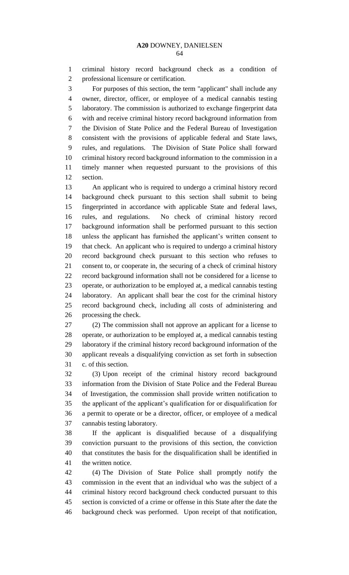criminal history record background check as a condition of professional licensure or certification.

 For purposes of this section, the term "applicant" shall include any owner, director, officer, or employee of a medical cannabis testing laboratory. The commission is authorized to exchange fingerprint data with and receive criminal history record background information from the Division of State Police and the Federal Bureau of Investigation consistent with the provisions of applicable federal and State laws, rules, and regulations. The Division of State Police shall forward criminal history record background information to the commission in a timely manner when requested pursuant to the provisions of this section.

 An applicant who is required to undergo a criminal history record background check pursuant to this section shall submit to being fingerprinted in accordance with applicable State and federal laws, rules, and regulations. No check of criminal history record background information shall be performed pursuant to this section unless the applicant has furnished the applicant's written consent to that check. An applicant who is required to undergo a criminal history record background check pursuant to this section who refuses to consent to, or cooperate in, the securing of a check of criminal history record background information shall not be considered for a license to operate, or authorization to be employed at, a medical cannabis testing laboratory. An applicant shall bear the cost for the criminal history record background check, including all costs of administering and processing the check.

 (2) The commission shall not approve an applicant for a license to operate, or authorization to be employed at, a medical cannabis testing laboratory if the criminal history record background information of the applicant reveals a disqualifying conviction as set forth in subsection c. of this section.

 (3) Upon receipt of the criminal history record background information from the Division of State Police and the Federal Bureau of Investigation, the commission shall provide written notification to the applicant of the applicant's qualification for or disqualification for a permit to operate or be a director, officer, or employee of a medical cannabis testing laboratory.

 If the applicant is disqualified because of a disqualifying conviction pursuant to the provisions of this section, the conviction that constitutes the basis for the disqualification shall be identified in the written notice.

 (4) The Division of State Police shall promptly notify the commission in the event that an individual who was the subject of a criminal history record background check conducted pursuant to this section is convicted of a crime or offense in this State after the date the background check was performed. Upon receipt of that notification,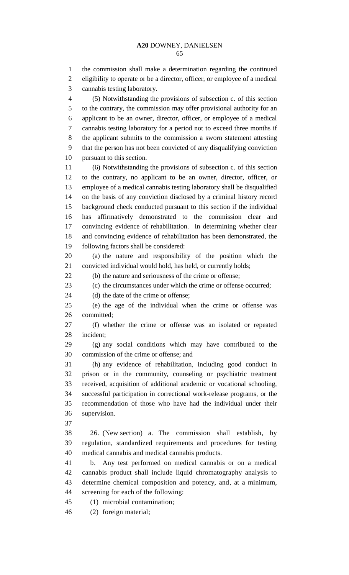the commission shall make a determination regarding the continued eligibility to operate or be a director, officer, or employee of a medical cannabis testing laboratory. (5) Notwithstanding the provisions of subsection c. of this section

 to the contrary, the commission may offer provisional authority for an applicant to be an owner, director, officer, or employee of a medical cannabis testing laboratory for a period not to exceed three months if the applicant submits to the commission a sworn statement attesting that the person has not been convicted of any disqualifying conviction pursuant to this section.

 (6) Notwithstanding the provisions of subsection c. of this section to the contrary, no applicant to be an owner, director, officer, or employee of a medical cannabis testing laboratory shall be disqualified on the basis of any conviction disclosed by a criminal history record background check conducted pursuant to this section if the individual has affirmatively demonstrated to the commission clear and convincing evidence of rehabilitation. In determining whether clear and convincing evidence of rehabilitation has been demonstrated, the following factors shall be considered:

 (a) the nature and responsibility of the position which the convicted individual would hold, has held, or currently holds;

(b) the nature and seriousness of the crime or offense;

(c) the circumstances under which the crime or offense occurred;

24 (d) the date of the crime or offense;

 (e) the age of the individual when the crime or offense was committed;

 (f) whether the crime or offense was an isolated or repeated incident;

 (g) any social conditions which may have contributed to the commission of the crime or offense; and

 (h) any evidence of rehabilitation, including good conduct in prison or in the community, counseling or psychiatric treatment received, acquisition of additional academic or vocational schooling, successful participation in correctional work-release programs, or the recommendation of those who have had the individual under their supervision.

 26. (New section) a. The commission shall establish, by regulation, standardized requirements and procedures for testing medical cannabis and medical cannabis products.

 b. Any test performed on medical cannabis or on a medical cannabis product shall include liquid chromatography analysis to determine chemical composition and potency, and, at a minimum, screening for each of the following:

(1) microbial contamination;

(2) foreign material;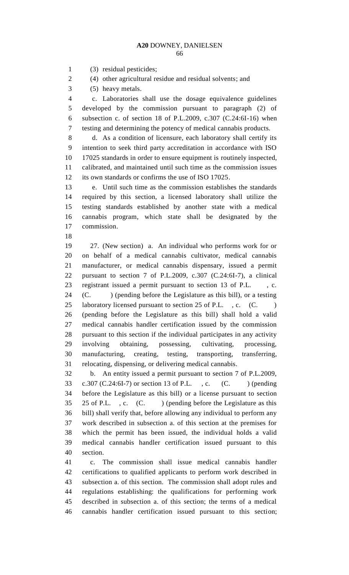(3) residual pesticides;

(4) other agricultural residue and residual solvents; and

(5) heavy metals.

 c. Laboratories shall use the dosage equivalence guidelines developed by the commission pursuant to paragraph (2) of subsection c. of section 18 of P.L.2009, c.307 (C.24:6I-16) when testing and determining the potency of medical cannabis products.

 d. As a condition of licensure, each laboratory shall certify its intention to seek third party accreditation in accordance with ISO 17025 standards in order to ensure equipment is routinely inspected, calibrated, and maintained until such time as the commission issues its own standards or confirms the use of ISO 17025.

 e. Until such time as the commission establishes the standards required by this section, a licensed laboratory shall utilize the testing standards established by another state with a medical cannabis program, which state shall be designated by the commission.

 27. (New section) a. An individual who performs work for or on behalf of a medical cannabis cultivator, medical cannabis manufacturer, or medical cannabis dispensary, issued a permit pursuant to section 7 of P.L.2009, c.307 (C.24:6I-7), a clinical registrant issued a permit pursuant to section 13 of P.L. , c. (C. ) (pending before the Legislature as this bill), or a testing 25 laboratory licensed pursuant to section 25 of P.L., c. (C. ) (pending before the Legislature as this bill) shall hold a valid medical cannabis handler certification issued by the commission pursuant to this section if the individual participates in any activity involving obtaining, possessing, cultivating, processing, manufacturing, creating, testing, transporting, transferring, relocating, dispensing, or delivering medical cannabis.

 b. An entity issued a permit pursuant to section 7 of P.L.2009, 33 c.307 (C.24:6I-7) or section 13 of P.L., c. (C. ) (pending before the Legislature as this bill) or a license pursuant to section 35 25 of P.L., c. (C.) (pending before the Legislature as this bill) shall verify that, before allowing any individual to perform any work described in subsection a. of this section at the premises for which the permit has been issued, the individual holds a valid medical cannabis handler certification issued pursuant to this section.

 c. The commission shall issue medical cannabis handler certifications to qualified applicants to perform work described in subsection a. of this section. The commission shall adopt rules and regulations establishing: the qualifications for performing work described in subsection a. of this section; the terms of a medical cannabis handler certification issued pursuant to this section;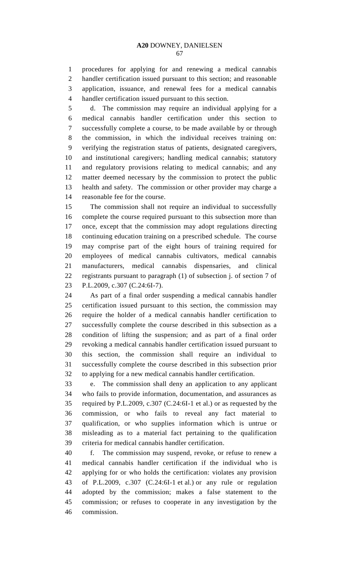procedures for applying for and renewing a medical cannabis handler certification issued pursuant to this section; and reasonable application, issuance, and renewal fees for a medical cannabis handler certification issued pursuant to this section.

 d. The commission may require an individual applying for a medical cannabis handler certification under this section to successfully complete a course, to be made available by or through the commission, in which the individual receives training on: verifying the registration status of patients, designated caregivers, and institutional caregivers; handling medical cannabis; statutory and regulatory provisions relating to medical cannabis; and any matter deemed necessary by the commission to protect the public health and safety. The commission or other provider may charge a reasonable fee for the course.

 The commission shall not require an individual to successfully complete the course required pursuant to this subsection more than once, except that the commission may adopt regulations directing continuing education training on a prescribed schedule. The course may comprise part of the eight hours of training required for employees of medical cannabis cultivators, medical cannabis manufacturers, medical cannabis dispensaries, and clinical registrants pursuant to paragraph (1) of subsection j. of section 7 of P.L.2009, c.307 (C.24:6I-7).

 As part of a final order suspending a medical cannabis handler certification issued pursuant to this section, the commission may require the holder of a medical cannabis handler certification to successfully complete the course described in this subsection as a condition of lifting the suspension; and as part of a final order revoking a medical cannabis handler certification issued pursuant to this section, the commission shall require an individual to successfully complete the course described in this subsection prior to applying for a new medical cannabis handler certification.

 e. The commission shall deny an application to any applicant who fails to provide information, documentation, and assurances as required by P.L.2009, c.307 (C.24:6I-1 et al.) or as requested by the commission, or who fails to reveal any fact material to qualification, or who supplies information which is untrue or misleading as to a material fact pertaining to the qualification criteria for medical cannabis handler certification.

 f. The commission may suspend, revoke, or refuse to renew a medical cannabis handler certification if the individual who is applying for or who holds the certification: violates any provision of P.L.2009, c.307 (C.24:6I-1 et al.) or any rule or regulation adopted by the commission; makes a false statement to the commission; or refuses to cooperate in any investigation by the commission.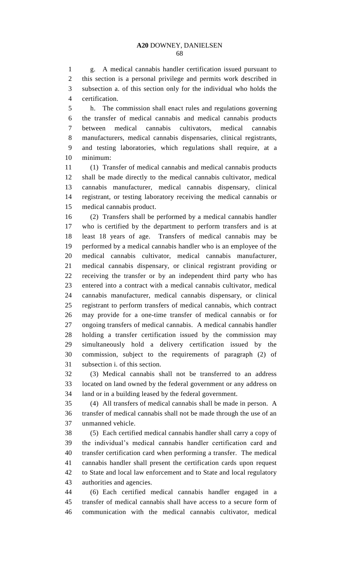g. A medical cannabis handler certification issued pursuant to this section is a personal privilege and permits work described in subsection a. of this section only for the individual who holds the certification.

 h. The commission shall enact rules and regulations governing the transfer of medical cannabis and medical cannabis products between medical cannabis cultivators, medical cannabis manufacturers, medical cannabis dispensaries, clinical registrants, and testing laboratories, which regulations shall require, at a minimum:

 (1) Transfer of medical cannabis and medical cannabis products shall be made directly to the medical cannabis cultivator, medical cannabis manufacturer, medical cannabis dispensary, clinical registrant, or testing laboratory receiving the medical cannabis or medical cannabis product.

 (2) Transfers shall be performed by a medical cannabis handler who is certified by the department to perform transfers and is at least 18 years of age. Transfers of medical cannabis may be performed by a medical cannabis handler who is an employee of the medical cannabis cultivator, medical cannabis manufacturer, medical cannabis dispensary, or clinical registrant providing or receiving the transfer or by an independent third party who has entered into a contract with a medical cannabis cultivator, medical cannabis manufacturer, medical cannabis dispensary, or clinical registrant to perform transfers of medical cannabis, which contract may provide for a one-time transfer of medical cannabis or for ongoing transfers of medical cannabis. A medical cannabis handler holding a transfer certification issued by the commission may simultaneously hold a delivery certification issued by the commission, subject to the requirements of paragraph (2) of subsection i. of this section.

 (3) Medical cannabis shall not be transferred to an address located on land owned by the federal government or any address on land or in a building leased by the federal government.

 (4) All transfers of medical cannabis shall be made in person. A transfer of medical cannabis shall not be made through the use of an unmanned vehicle.

 (5) Each certified medical cannabis handler shall carry a copy of the individual's medical cannabis handler certification card and transfer certification card when performing a transfer. The medical cannabis handler shall present the certification cards upon request to State and local law enforcement and to State and local regulatory authorities and agencies.

 (6) Each certified medical cannabis handler engaged in a transfer of medical cannabis shall have access to a secure form of communication with the medical cannabis cultivator, medical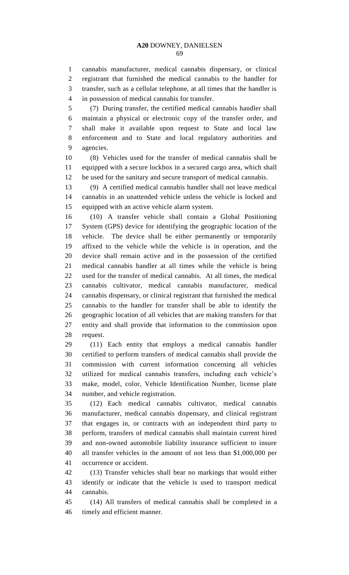cannabis manufacturer, medical cannabis dispensary, or clinical registrant that furnished the medical cannabis to the handler for transfer, such as a cellular telephone, at all times that the handler is in possession of medical cannabis for transfer.

 (7) During transfer, the certified medical cannabis handler shall maintain a physical or electronic copy of the transfer order, and shall make it available upon request to State and local law enforcement and to State and local regulatory authorities and agencies.

 (8) Vehicles used for the transfer of medical cannabis shall be equipped with a secure lockbox in a secured cargo area, which shall be used for the sanitary and secure transport of medical cannabis.

 (9) A certified medical cannabis handler shall not leave medical cannabis in an unattended vehicle unless the vehicle is locked and equipped with an active vehicle alarm system.

 (10) A transfer vehicle shall contain a Global Positioning System (GPS) device for identifying the geographic location of the vehicle. The device shall be either permanently or temporarily affixed to the vehicle while the vehicle is in operation, and the device shall remain active and in the possession of the certified medical cannabis handler at all times while the vehicle is being used for the transfer of medical cannabis. At all times, the medical cannabis cultivator, medical cannabis manufacturer, medical cannabis dispensary, or clinical registrant that furnished the medical cannabis to the handler for transfer shall be able to identify the geographic location of all vehicles that are making transfers for that entity and shall provide that information to the commission upon request.

 (11) Each entity that employs a medical cannabis handler certified to perform transfers of medical cannabis shall provide the commission with current information concerning all vehicles utilized for medical cannabis transfers, including each vehicle's make, model, color, Vehicle Identification Number, license plate number, and vehicle registration.

 (12) Each medical cannabis cultivator, medical cannabis manufacturer, medical cannabis dispensary, and clinical registrant that engages in, or contracts with an independent third party to perform, transfers of medical cannabis shall maintain current hired and non-owned automobile liability insurance sufficient to insure all transfer vehicles in the amount of not less than \$1,000,000 per occurrence or accident.

 (13) Transfer vehicles shall bear no markings that would either identify or indicate that the vehicle is used to transport medical cannabis.

 (14) All transfers of medical cannabis shall be completed in a timely and efficient manner.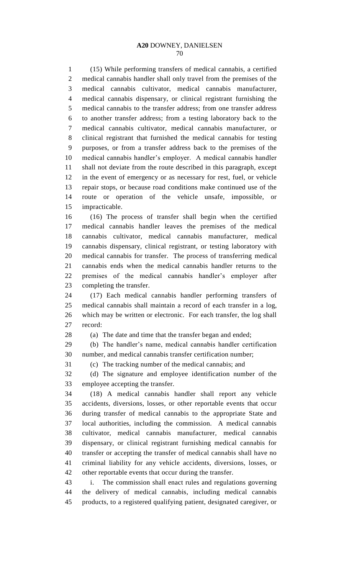(15) While performing transfers of medical cannabis, a certified medical cannabis handler shall only travel from the premises of the medical cannabis cultivator, medical cannabis manufacturer, medical cannabis dispensary, or clinical registrant furnishing the medical cannabis to the transfer address; from one transfer address to another transfer address; from a testing laboratory back to the medical cannabis cultivator, medical cannabis manufacturer, or clinical registrant that furnished the medical cannabis for testing purposes, or from a transfer address back to the premises of the medical cannabis handler's employer. A medical cannabis handler shall not deviate from the route described in this paragraph, except in the event of emergency or as necessary for rest, fuel, or vehicle repair stops, or because road conditions make continued use of the route or operation of the vehicle unsafe, impossible, or

impracticable.

 (16) The process of transfer shall begin when the certified medical cannabis handler leaves the premises of the medical cannabis cultivator, medical cannabis manufacturer, medical cannabis dispensary, clinical registrant, or testing laboratory with medical cannabis for transfer. The process of transferring medical cannabis ends when the medical cannabis handler returns to the premises of the medical cannabis handler's employer after completing the transfer.

 (17) Each medical cannabis handler performing transfers of medical cannabis shall maintain a record of each transfer in a log, which may be written or electronic. For each transfer, the log shall record:

28 (a) The date and time that the transfer began and ended;

 (b) The handler's name, medical cannabis handler certification number, and medical cannabis transfer certification number;

(c) The tracking number of the medical cannabis; and

 (d) The signature and employee identification number of the employee accepting the transfer.

 (18) A medical cannabis handler shall report any vehicle accidents, diversions, losses, or other reportable events that occur during transfer of medical cannabis to the appropriate State and local authorities, including the commission. A medical cannabis cultivator, medical cannabis manufacturer, medical cannabis dispensary, or clinical registrant furnishing medical cannabis for transfer or accepting the transfer of medical cannabis shall have no criminal liability for any vehicle accidents, diversions, losses, or other reportable events that occur during the transfer.

 i. The commission shall enact rules and regulations governing the delivery of medical cannabis, including medical cannabis products, to a registered qualifying patient, designated caregiver, or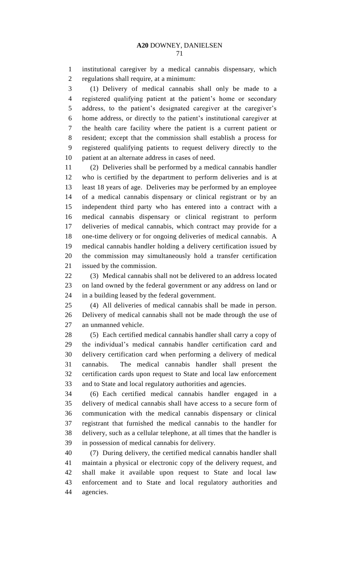institutional caregiver by a medical cannabis dispensary, which regulations shall require, at a minimum:

 (1) Delivery of medical cannabis shall only be made to a registered qualifying patient at the patient's home or secondary address, to the patient's designated caregiver at the caregiver's home address, or directly to the patient's institutional caregiver at the health care facility where the patient is a current patient or resident; except that the commission shall establish a process for registered qualifying patients to request delivery directly to the patient at an alternate address in cases of need.

 (2) Deliveries shall be performed by a medical cannabis handler who is certified by the department to perform deliveries and is at least 18 years of age. Deliveries may be performed by an employee of a medical cannabis dispensary or clinical registrant or by an independent third party who has entered into a contract with a medical cannabis dispensary or clinical registrant to perform deliveries of medical cannabis, which contract may provide for a one-time delivery or for ongoing deliveries of medical cannabis. A medical cannabis handler holding a delivery certification issued by the commission may simultaneously hold a transfer certification issued by the commission.

 (3) Medical cannabis shall not be delivered to an address located on land owned by the federal government or any address on land or in a building leased by the federal government.

 (4) All deliveries of medical cannabis shall be made in person. Delivery of medical cannabis shall not be made through the use of an unmanned vehicle.

 (5) Each certified medical cannabis handler shall carry a copy of the individual's medical cannabis handler certification card and delivery certification card when performing a delivery of medical cannabis. The medical cannabis handler shall present the certification cards upon request to State and local law enforcement and to State and local regulatory authorities and agencies.

 (6) Each certified medical cannabis handler engaged in a delivery of medical cannabis shall have access to a secure form of communication with the medical cannabis dispensary or clinical registrant that furnished the medical cannabis to the handler for delivery, such as a cellular telephone, at all times that the handler is in possession of medical cannabis for delivery.

 (7) During delivery, the certified medical cannabis handler shall maintain a physical or electronic copy of the delivery request, and shall make it available upon request to State and local law enforcement and to State and local regulatory authorities and agencies.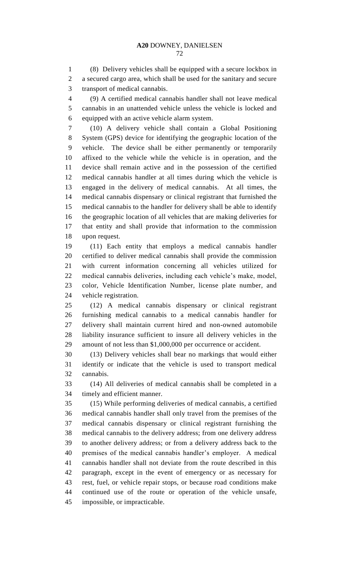(8) Delivery vehicles shall be equipped with a secure lockbox in a secured cargo area, which shall be used for the sanitary and secure transport of medical cannabis.

 (9) A certified medical cannabis handler shall not leave medical cannabis in an unattended vehicle unless the vehicle is locked and equipped with an active vehicle alarm system.

 (10) A delivery vehicle shall contain a Global Positioning System (GPS) device for identifying the geographic location of the vehicle. The device shall be either permanently or temporarily affixed to the vehicle while the vehicle is in operation, and the device shall remain active and in the possession of the certified medical cannabis handler at all times during which the vehicle is engaged in the delivery of medical cannabis. At all times, the medical cannabis dispensary or clinical registrant that furnished the medical cannabis to the handler for delivery shall be able to identify the geographic location of all vehicles that are making deliveries for that entity and shall provide that information to the commission upon request.

 (11) Each entity that employs a medical cannabis handler certified to deliver medical cannabis shall provide the commission with current information concerning all vehicles utilized for medical cannabis deliveries, including each vehicle's make, model, color, Vehicle Identification Number, license plate number, and vehicle registration.

 (12) A medical cannabis dispensary or clinical registrant furnishing medical cannabis to a medical cannabis handler for delivery shall maintain current hired and non-owned automobile liability insurance sufficient to insure all delivery vehicles in the amount of not less than \$1,000,000 per occurrence or accident.

 (13) Delivery vehicles shall bear no markings that would either identify or indicate that the vehicle is used to transport medical cannabis.

 (14) All deliveries of medical cannabis shall be completed in a timely and efficient manner.

 (15) While performing deliveries of medical cannabis, a certified medical cannabis handler shall only travel from the premises of the medical cannabis dispensary or clinical registrant furnishing the medical cannabis to the delivery address; from one delivery address to another delivery address; or from a delivery address back to the premises of the medical cannabis handler's employer. A medical cannabis handler shall not deviate from the route described in this paragraph, except in the event of emergency or as necessary for rest, fuel, or vehicle repair stops, or because road conditions make continued use of the route or operation of the vehicle unsafe, impossible, or impracticable.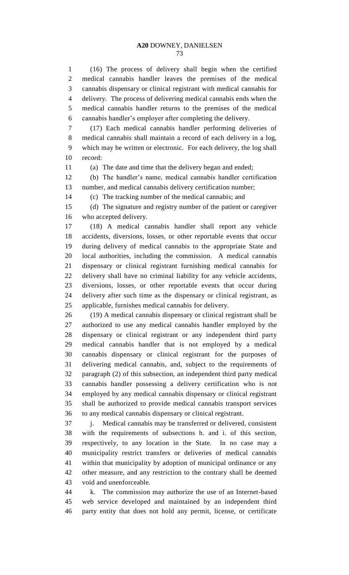(16) The process of delivery shall begin when the certified medical cannabis handler leaves the premises of the medical cannabis dispensary or clinical registrant with medical cannabis for delivery. The process of delivering medical cannabis ends when the medical cannabis handler returns to the premises of the medical cannabis handler's employer after completing the delivery.

 (17) Each medical cannabis handler performing deliveries of medical cannabis shall maintain a record of each delivery in a log, which may be written or electronic. For each delivery, the log shall record:

(a) The date and time that the delivery began and ended;

 (b) The handler's name, medical cannabis handler certification number, and medical cannabis delivery certification number;

(c) The tracking number of the medical cannabis; and

 (d) The signature and registry number of the patient or caregiver who accepted delivery.

 (18) A medical cannabis handler shall report any vehicle accidents, diversions, losses, or other reportable events that occur during delivery of medical cannabis to the appropriate State and local authorities, including the commission. A medical cannabis dispensary or clinical registrant furnishing medical cannabis for delivery shall have no criminal liability for any vehicle accidents, diversions, losses, or other reportable events that occur during delivery after such time as the dispensary or clinical registrant, as applicable, furnishes medical cannabis for delivery.

 (19) A medical cannabis dispensary or clinical registrant shall be authorized to use any medical cannabis handler employed by the dispensary or clinical registrant or any independent third party medical cannabis handler that is not employed by a medical cannabis dispensary or clinical registrant for the purposes of delivering medical cannabis, and, subject to the requirements of paragraph (2) of this subsection, an independent third party medical cannabis handler possessing a delivery certification who is not employed by any medical cannabis dispensary or clinical registrant shall be authorized to provide medical cannabis transport services to any medical cannabis dispensary or clinical registrant.

 j. Medical cannabis may be transferred or delivered, consistent with the requirements of subsections h. and i. of this section, respectively, to any location in the State. In no case may a municipality restrict transfers or deliveries of medical cannabis within that municipality by adoption of municipal ordinance or any other measure, and any restriction to the contrary shall be deemed void and unenforceable.

 k. The commission may authorize the use of an Internet-based web service developed and maintained by an independent third party entity that does not hold any permit, license, or certificate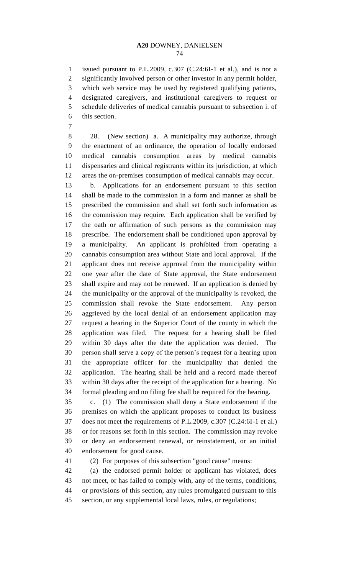issued pursuant to P.L.2009, c.307 (C.24:6I-1 et al.), and is not a significantly involved person or other investor in any permit holder, which web service may be used by registered qualifying patients, designated caregivers, and institutional caregivers to request or schedule deliveries of medical cannabis pursuant to subsection i. of this section.

 28. (New section) a. A municipality may authorize, through the enactment of an ordinance, the operation of locally endorsed medical cannabis consumption areas by medical cannabis dispensaries and clinical registrants within its jurisdiction, at which areas the on-premises consumption of medical cannabis may occur.

 b. Applications for an endorsement pursuant to this section shall be made to the commission in a form and manner as shall be prescribed the commission and shall set forth such information as the commission may require. Each application shall be verified by the oath or affirmation of such persons as the commission may prescribe. The endorsement shall be conditioned upon approval by a municipality. An applicant is prohibited from operating a cannabis consumption area without State and local approval. If the applicant does not receive approval from the municipality within one year after the date of State approval, the State endorsement shall expire and may not be renewed. If an application is denied by the municipality or the approval of the municipality is revoked, the commission shall revoke the State endorsement. Any person aggrieved by the local denial of an endorsement application may request a hearing in the Superior Court of the county in which the application was filed. The request for a hearing shall be filed within 30 days after the date the application was denied. The person shall serve a copy of the person's request for a hearing upon the appropriate officer for the municipality that denied the application. The hearing shall be held and a record made thereof within 30 days after the receipt of the application for a hearing. No formal pleading and no filing fee shall be required for the hearing.

 c. (1) The commission shall deny a State endorsement if the premises on which the applicant proposes to conduct its business does not meet the requirements of P.L.2009, c.307 (C.24:6I-1 et al.) or for reasons set forth in this section. The commission may revoke or deny an endorsement renewal, or reinstatement, or an initial endorsement for good cause.

(2) For purposes of this subsection "good cause" means:

 (a) the endorsed permit holder or applicant has violated, does not meet, or has failed to comply with, any of the terms, conditions, or provisions of this section, any rules promulgated pursuant to this section, or any supplemental local laws, rules, or regulations;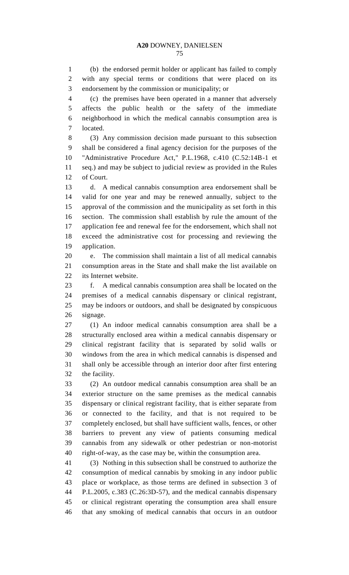(b) the endorsed permit holder or applicant has failed to comply with any special terms or conditions that were placed on its endorsement by the commission or municipality; or

 (c) the premises have been operated in a manner that adversely affects the public health or the safety of the immediate neighborhood in which the medical cannabis consumption area is located.

 (3) Any commission decision made pursuant to this subsection shall be considered a final agency decision for the purposes of the "Administrative Procedure Act," P.L.1968, c.410 (C.52:14B-1 et seq.) and may be subject to judicial review as provided in the Rules of Court.

 d. A medical cannabis consumption area endorsement shall be valid for one year and may be renewed annually, subject to the approval of the commission and the municipality as set forth in this section. The commission shall establish by rule the amount of the application fee and renewal fee for the endorsement, which shall not exceed the administrative cost for processing and reviewing the application.

 e. The commission shall maintain a list of all medical cannabis consumption areas in the State and shall make the list available on its Internet website.

 f. A medical cannabis consumption area shall be located on the premises of a medical cannabis dispensary or clinical registrant, may be indoors or outdoors, and shall be designated by conspicuous signage.

 (1) An indoor medical cannabis consumption area shall be a structurally enclosed area within a medical cannabis dispensary or clinical registrant facility that is separated by solid walls or windows from the area in which medical cannabis is dispensed and shall only be accessible through an interior door after first entering the facility.

 (2) An outdoor medical cannabis consumption area shall be an exterior structure on the same premises as the medical cannabis dispensary or clinical registrant facility, that is either separate from or connected to the facility, and that is not required to be completely enclosed, but shall have sufficient walls, fences, or other barriers to prevent any view of patients consuming medical cannabis from any sidewalk or other pedestrian or non-motorist right-of-way, as the case may be, within the consumption area.

 (3) Nothing in this subsection shall be construed to authorize the consumption of medical cannabis by smoking in any indoor public place or workplace, as those terms are defined in subsection 3 of P.L.2005, c.383 (C.26:3D-57), and the medical cannabis dispensary or clinical registrant operating the consumption area shall ensure that any smoking of medical cannabis that occurs in an outdoor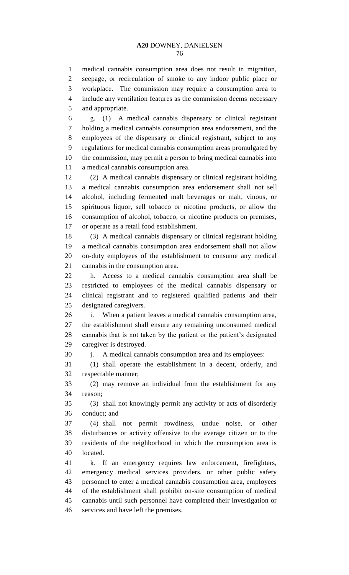medical cannabis consumption area does not result in migration, seepage, or recirculation of smoke to any indoor public place or workplace. The commission may require a consumption area to include any ventilation features as the commission deems necessary and appropriate.

 g. (1) A medical cannabis dispensary or clinical registrant holding a medical cannabis consumption area endorsement, and the employees of the dispensary or clinical registrant, subject to any regulations for medical cannabis consumption areas promulgated by the commission, may permit a person to bring medical cannabis into a medical cannabis consumption area.

 (2) A medical cannabis dispensary or clinical registrant holding a medical cannabis consumption area endorsement shall not sell alcohol, including fermented malt beverages or malt, vinous, or spirituous liquor, sell tobacco or nicotine products, or allow the consumption of alcohol, tobacco, or nicotine products on premises, or operate as a retail food establishment.

 (3) A medical cannabis dispensary or clinical registrant holding a medical cannabis consumption area endorsement shall not allow on-duty employees of the establishment to consume any medical cannabis in the consumption area.

 h. Access to a medical cannabis consumption area shall be restricted to employees of the medical cannabis dispensary or clinical registrant and to registered qualified patients and their designated caregivers.

 i. When a patient leaves a medical cannabis consumption area, the establishment shall ensure any remaining unconsumed medical cannabis that is not taken by the patient or the patient's designated caregiver is destroyed.

j. A medical cannabis consumption area and its employees:

 (1) shall operate the establishment in a decent, orderly, and respectable manner;

 (2) may remove an individual from the establishment for any reason;

 (3) shall not knowingly permit any activity or acts of disorderly conduct; and

 (4) shall not permit rowdiness, undue noise, or other disturbances or activity offensive to the average citizen or to the residents of the neighborhood in which the consumption area is located.

 k. If an emergency requires law enforcement, firefighters, emergency medical services providers, or other public safety personnel to enter a medical cannabis consumption area, employees of the establishment shall prohibit on-site consumption of medical cannabis until such personnel have completed their investigation or services and have left the premises.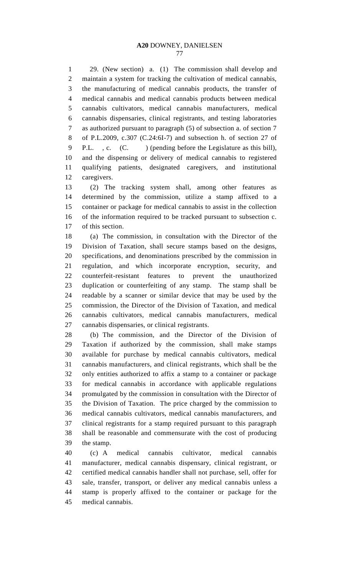29. (New section) a. (1) The commission shall develop and maintain a system for tracking the cultivation of medical cannabis, the manufacturing of medical cannabis products, the transfer of medical cannabis and medical cannabis products between medical cannabis cultivators, medical cannabis manufacturers, medical cannabis dispensaries, clinical registrants, and testing laboratories as authorized pursuant to paragraph (5) of subsection a. of section 7 of P.L.2009, c.307 (C.24:6I-7) and subsection h. of section 27 of 9 P.L., c. (C. ) (pending before the Legislature as this bill), and the dispensing or delivery of medical cannabis to registered qualifying patients, designated caregivers, and institutional caregivers.

 (2) The tracking system shall, among other features as determined by the commission, utilize a stamp affixed to a container or package for medical cannabis to assist in the collection of the information required to be tracked pursuant to subsection c. of this section.

 (a) The commission, in consultation with the Director of the Division of Taxation, shall secure stamps based on the designs, specifications, and denominations prescribed by the commission in regulation, and which incorporate encryption, security, and counterfeit-resistant features to prevent the unauthorized duplication or counterfeiting of any stamp. The stamp shall be readable by a scanner or similar device that may be used by the commission, the Director of the Division of Taxation, and medical cannabis cultivators, medical cannabis manufacturers, medical cannabis dispensaries, or clinical registrants.

 (b) The commission, and the Director of the Division of Taxation if authorized by the commission, shall make stamps available for purchase by medical cannabis cultivators, medical cannabis manufacturers, and clinical registrants, which shall be the only entities authorized to affix a stamp to a container or package for medical cannabis in accordance with applicable regulations promulgated by the commission in consultation with the Director of the Division of Taxation. The price charged by the commission to medical cannabis cultivators, medical cannabis manufacturers, and clinical registrants for a stamp required pursuant to this paragraph shall be reasonable and commensurate with the cost of producing the stamp.

 (c) A medical cannabis cultivator, medical cannabis manufacturer, medical cannabis dispensary, clinical registrant, or certified medical cannabis handler shall not purchase, sell, offer for sale, transfer, transport, or deliver any medical cannabis unless a stamp is properly affixed to the container or package for the medical cannabis.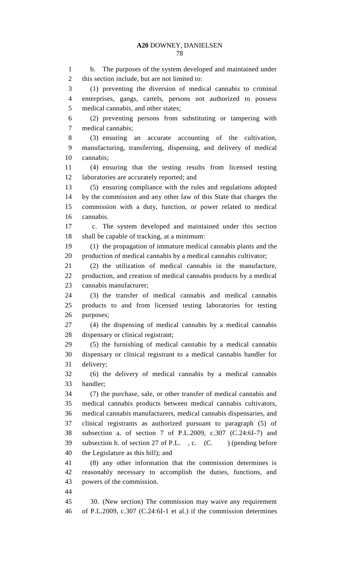b. The purposes of the system developed and maintained under this section include, but are not limited to: (1) preventing the diversion of medical cannabis to criminal enterprises, gangs, cartels, persons not authorized to possess medical cannabis, and other states; (2) preventing persons from substituting or tampering with medical cannabis; (3) ensuring an accurate accounting of the cultivation, manufacturing, transferring, dispensing, and delivery of medical cannabis; (4) ensuring that the testing results from licensed testing laboratories are accurately reported; and (5) ensuring compliance with the rules and regulations adopted by the commission and any other law of this State that charges the commission with a duty, function, or power related to medical cannabis. c. The system developed and maintained under this section shall be capable of tracking, at a minimum: (1) the propagation of immature medical cannabis plants and the production of medical cannabis by a medical cannabis cultivator; (2) the utilization of medical cannabis in the manufacture, production, and creation of medical cannabis products by a medical cannabis manufacturer; (3) the transfer of medical cannabis and medical cannabis products to and from licensed testing laboratories for testing purposes; (4) the dispensing of medical cannabis by a medical cannabis dispensary or clinical registrant; (5) the furnishing of medical cannabis by a medical cannabis dispensary or clinical registrant to a medical cannabis handler for delivery; (6) the delivery of medical cannabis by a medical cannabis handler; (7) the purchase, sale, or other transfer of medical cannabis and medical cannabis products between medical cannabis cultivators, medical cannabis manufacturers, medical cannabis dispensaries, and clinical registrants as authorized pursuant to paragraph (5) of subsection a. of section 7 of P.L.2009, c.307 (C.24:6I-7) and 39 subsection h. of section 27 of P.L., c. (C. ) (pending before the Legislature as this bill); and (8) any other information that the commission determines is reasonably necessary to accomplish the duties, functions, and powers of the commission. 30. (New section) The commission may waive any requirement of P.L.2009, c.307 (C.24:6I-1 et al.) if the commission determines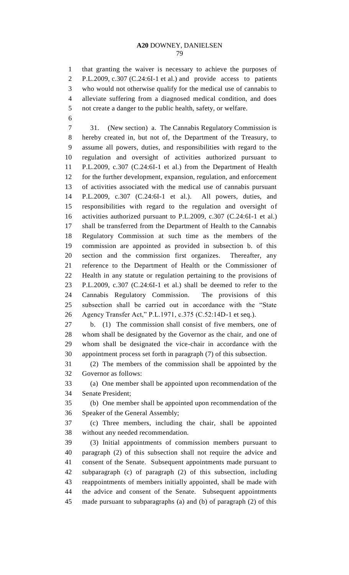that granting the waiver is necessary to achieve the purposes of P.L.2009, c.307 (C.24:6I-1 et al.) and provide access to patients who would not otherwise qualify for the medical use of cannabis to alleviate suffering from a diagnosed medical condition, and does not create a danger to the public health, safety, or welfare.

 31. (New section) a. The Cannabis Regulatory Commission is hereby created in, but not of, the Department of the Treasury, to assume all powers, duties, and responsibilities with regard to the regulation and oversight of activities authorized pursuant to P.L.2009, c.307 (C.24:6I-1 et al.) from the Department of Health for the further development, expansion, regulation, and enforcement of activities associated with the medical use of cannabis pursuant P.L.2009, c.307 (C.24:6I-1 et al.). All powers, duties, and responsibilities with regard to the regulation and oversight of activities authorized pursuant to P.L.2009, c.307 (C.24:6I-1 et al.) shall be transferred from the Department of Health to the Cannabis Regulatory Commission at such time as the members of the commission are appointed as provided in subsection b. of this section and the commission first organizes. Thereafter, any reference to the Department of Health or the Commissioner of Health in any statute or regulation pertaining to the provisions of P.L.2009, c.307 (C.24:6I-1 et al.) shall be deemed to refer to the Cannabis Regulatory Commission. The provisions of this subsection shall be carried out in accordance with the "State Agency Transfer Act," P.L.1971, c.375 (C.52:14D-1 et seq.).

 b. (1) The commission shall consist of five members, one of whom shall be designated by the Governor as the chair, and one of whom shall be designated the vice-chair in accordance with the appointment process set forth in paragraph (7) of this subsection.

 (2) The members of the commission shall be appointed by the Governor as follows:

 (a) One member shall be appointed upon recommendation of the Senate President;

 (b) One member shall be appointed upon recommendation of the Speaker of the General Assembly;

 (c) Three members, including the chair, shall be appointed without any needed recommendation.

 (3) Initial appointments of commission members pursuant to paragraph (2) of this subsection shall not require the advice and consent of the Senate. Subsequent appointments made pursuant to subparagraph (c) of paragraph (2) of this subsection, including reappointments of members initially appointed, shall be made with the advice and consent of the Senate. Subsequent appointments made pursuant to subparagraphs (a) and (b) of paragraph (2) of this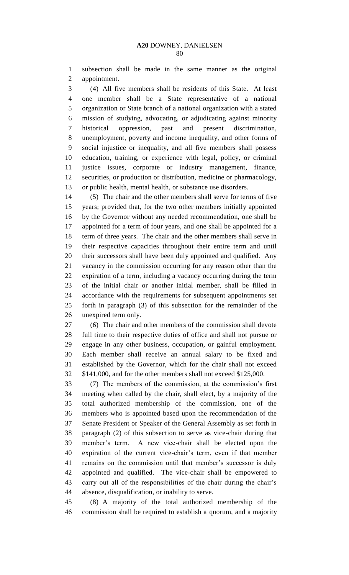subsection shall be made in the same manner as the original appointment.

 (4) All five members shall be residents of this State. At least one member shall be a State representative of a national organization or State branch of a national organization with a stated mission of studying, advocating, or adjudicating against minority historical oppression, past and present discrimination, unemployment, poverty and income inequality, and other forms of social injustice or inequality, and all five members shall possess education, training, or experience with legal, policy, or criminal justice issues, corporate or industry management, finance, securities, or production or distribution, medicine or pharmacology, or public health, mental health, or substance use disorders.

 (5) The chair and the other members shall serve for terms of five years; provided that, for the two other members initially appointed by the Governor without any needed recommendation, one shall be appointed for a term of four years, and one shall be appointed for a term of three years. The chair and the other members shall serve in their respective capacities throughout their entire term and until their successors shall have been duly appointed and qualified. Any vacancy in the commission occurring for any reason other than the expiration of a term, including a vacancy occurring during the term of the initial chair or another initial member, shall be filled in accordance with the requirements for subsequent appointments set forth in paragraph (3) of this subsection for the remainder of the unexpired term only.

 (6) The chair and other members of the commission shall devote full time to their respective duties of office and shall not pursue or engage in any other business, occupation, or gainful employment. Each member shall receive an annual salary to be fixed and established by the Governor, which for the chair shall not exceed \$141,000, and for the other members shall not exceed \$125,000.

 (7) The members of the commission, at the commission's first meeting when called by the chair, shall elect, by a majority of the total authorized membership of the commission, one of the members who is appointed based upon the recommendation of the Senate President or Speaker of the General Assembly as set forth in paragraph (2) of this subsection to serve as vice-chair during that member's term. A new vice-chair shall be elected upon the expiration of the current vice-chair's term, even if that member remains on the commission until that member's successor is duly appointed and qualified. The vice-chair shall be empowered to carry out all of the responsibilities of the chair during the chair's absence, disqualification, or inability to serve.

 (8) A majority of the total authorized membership of the commission shall be required to establish a quorum, and a majority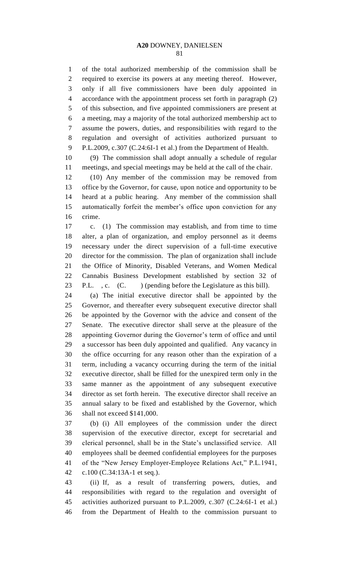of the total authorized membership of the commission shall be required to exercise its powers at any meeting thereof. However, only if all five commissioners have been duly appointed in accordance with the appointment process set forth in paragraph (2) of this subsection, and five appointed commissioners are present at a meeting, may a majority of the total authorized membership act to assume the powers, duties, and responsibilities with regard to the regulation and oversight of activities authorized pursuant to P.L.2009, c.307 (C.24:6I-1 et al.) from the Department of Health.

 (9) The commission shall adopt annually a schedule of regular meetings, and special meetings may be held at the call of the chair.

 (10) Any member of the commission may be removed from office by the Governor, for cause, upon notice and opportunity to be heard at a public hearing. Any member of the commission shall automatically forfeit the member's office upon conviction for any crime.

 c. (1) The commission may establish, and from time to time alter, a plan of organization, and employ personnel as it deems necessary under the direct supervision of a full-time executive director for the commission. The plan of organization shall include the Office of Minority, Disabled Veterans, and Women Medical Cannabis Business Development established by section 32 of 23 P.L., c. (C. ) (pending before the Legislature as this bill).

 (a) The initial executive director shall be appointed by the Governor, and thereafter every subsequent executive director shall be appointed by the Governor with the advice and consent of the Senate. The executive director shall serve at the pleasure of the appointing Governor during the Governor's term of office and until a successor has been duly appointed and qualified. Any vacancy in the office occurring for any reason other than the expiration of a term, including a vacancy occurring during the term of the initial executive director, shall be filled for the unexpired term only in the same manner as the appointment of any subsequent executive director as set forth herein. The executive director shall receive an annual salary to be fixed and established by the Governor, which shall not exceed \$141,000.

 (b) (i) All employees of the commission under the direct supervision of the executive director, except for secretarial and clerical personnel, shall be in the State's unclassified service. All employees shall be deemed confidential employees for the purposes of the "New Jersey Employer-Employee Relations Act," P.L.1941, c.100 (C.34:13A-1 et seq.).

 (ii) If, as a result of transferring powers, duties, and responsibilities with regard to the regulation and oversight of activities authorized pursuant to P.L.2009, c.307 (C.24:6I-1 et al.) from the Department of Health to the commission pursuant to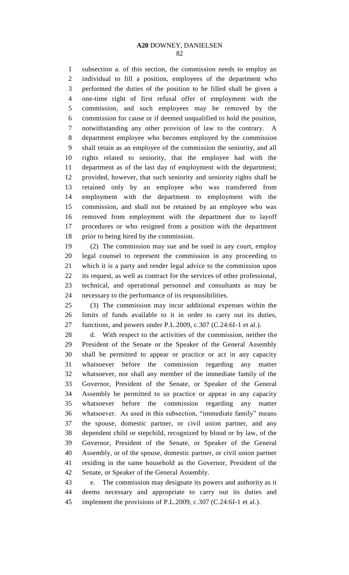subsection a. of this section, the commission needs to employ an individual to fill a position, employees of the department who performed the duties of the position to be filled shall be given a one-time right of first refusal offer of employment with the commission, and such employees may be removed by the commission for cause or if deemed unqualified to hold the position, notwithstanding any other provision of law to the contrary. A department employee who becomes employed by the commission shall retain as an employee of the commission the seniority, and all rights related to seniority, that the employee had with the department as of the last day of employment with the department; provided, however, that such seniority and seniority rights shall be retained only by an employee who was transferred from employment with the department to employment with the commission, and shall not be retained by an employee who was removed from employment with the department due to layoff procedures or who resigned from a position with the department prior to being hired by the commission.

 (2) The commission may sue and be sued in any court, employ legal counsel to represent the commission in any proceeding to which it is a party and render legal advice to the commission upon its request, as well as contract for the services of other professional, technical, and operational personnel and consultants as may be necessary to the performance of its responsibilities.

 (3) The commission may incur additional expenses within the limits of funds available to it in order to carry out its duties, functions, and powers under P.L.2009, c.307 (C.24:6I-1 et al.).

 d. With respect to the activities of the commission, neither the President of the Senate or the Speaker of the General Assembly shall be permitted to appear or practice or act in any capacity whatsoever before the commission regarding any matter whatsoever, nor shall any member of the immediate family of the Governor, President of the Senate, or Speaker of the General Assembly be permitted to so practice or appear in any capacity whatsoever before the commission regarding any matter whatsoever. As used in this subsection, "immediate family" means the spouse, domestic partner, or civil union partner, and any dependent child or stepchild, recognized by blood or by law, of the Governor, President of the Senate, or Speaker of the General Assembly, or of the spouse, domestic partner, or civil union partner residing in the same household as the Governor, President of the Senate, or Speaker of the General Assembly.

 e. The commission may designate its powers and authority as it deems necessary and appropriate to carry out its duties and implement the provisions of P.L.2009, c.307 (C.24:6I-1 et al.).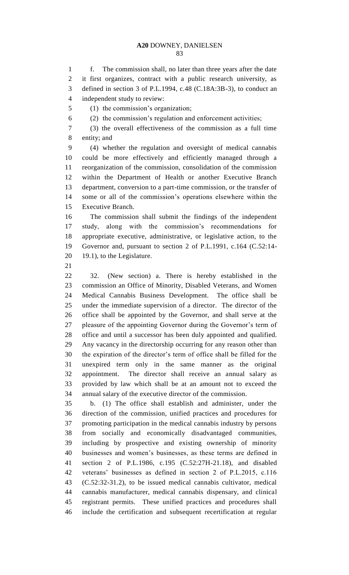f. The commission shall, no later than three years after the date it first organizes, contract with a public research university, as defined in section 3 of P.L.1994, c.48 (C.18A:3B-3), to conduct an independent study to review:

(1) the commission's organization;

(2) the commission's regulation and enforcement activities;

 (3) the overall effectiveness of the commission as a full time entity; and

 (4) whether the regulation and oversight of medical cannabis could be more effectively and efficiently managed through a reorganization of the commission, consolidation of the commission within the Department of Health or another Executive Branch department, conversion to a part-time commission, or the transfer of some or all of the commission's operations elsewhere within the Executive Branch.

 The commission shall submit the findings of the independent study, along with the commission's recommendations for appropriate executive, administrative, or legislative action, to the Governor and, pursuant to section 2 of P.L.1991, c.164 (C.52:14- 19.1), to the Legislature.

 32. (New section) a. There is hereby established in the commission an Office of Minority, Disabled Veterans, and Women Medical Cannabis Business Development. The office shall be under the immediate supervision of a director. The director of the office shall be appointed by the Governor, and shall serve at the pleasure of the appointing Governor during the Governor's term of office and until a successor has been duly appointed and qualified. Any vacancy in the directorship occurring for any reason other than the expiration of the director's term of office shall be filled for the unexpired term only in the same manner as the original appointment. The director shall receive an annual salary as provided by law which shall be at an amount not to exceed the annual salary of the executive director of the commission.

 b. (1) The office shall establish and administer, under the direction of the commission, unified practices and procedures for promoting participation in the medical cannabis industry by persons from socially and economically disadvantaged communities, including by prospective and existing ownership of minority businesses and women's businesses, as these terms are defined in section 2 of P.L.1986, c.195 (C.52:27H-21.18), and disabled veterans' businesses as defined in section 2 of P.L.2015, c.116 (C.52:32-31.2), to be issued medical cannabis cultivator, medical cannabis manufacturer, medical cannabis dispensary, and clinical registrant permits. These unified practices and procedures shall include the certification and subsequent recertification at regular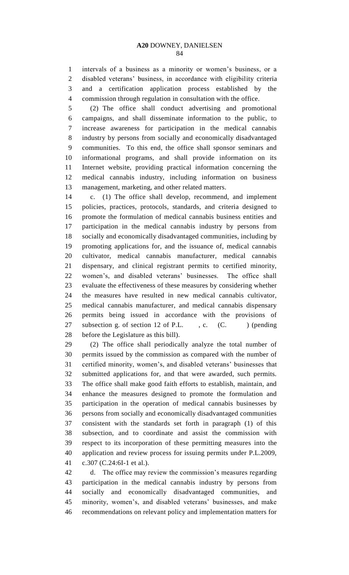intervals of a business as a minority or women's business, or a disabled veterans' business, in accordance with eligibility criteria and a certification application process established by the commission through regulation in consultation with the office.

 (2) The office shall conduct advertising and promotional campaigns, and shall disseminate information to the public, to increase awareness for participation in the medical cannabis industry by persons from socially and economically disadvantaged communities. To this end, the office shall sponsor seminars and informational programs, and shall provide information on its Internet website, providing practical information concerning the medical cannabis industry, including information on business management, marketing, and other related matters.

 c. (1) The office shall develop, recommend, and implement policies, practices, protocols, standards, and criteria designed to promote the formulation of medical cannabis business entities and participation in the medical cannabis industry by persons from socially and economically disadvantaged communities, including by promoting applications for, and the issuance of, medical cannabis cultivator, medical cannabis manufacturer, medical cannabis dispensary, and clinical registrant permits to certified minority, women's, and disabled veterans' businesses. The office shall evaluate the effectiveness of these measures by considering whether the measures have resulted in new medical cannabis cultivator, medical cannabis manufacturer, and medical cannabis dispensary permits being issued in accordance with the provisions of 27 subsection g. of section 12 of P.L. , c. (C. ) (pending before the Legislature as this bill).

 (2) The office shall periodically analyze the total number of permits issued by the commission as compared with the number of certified minority, women's, and disabled veterans' businesses that submitted applications for, and that were awarded, such permits. The office shall make good faith efforts to establish, maintain, and enhance the measures designed to promote the formulation and participation in the operation of medical cannabis businesses by persons from socially and economically disadvantaged communities consistent with the standards set forth in paragraph (1) of this subsection, and to coordinate and assist the commission with respect to its incorporation of these permitting measures into the application and review process for issuing permits under P.L.2009, c.307 (C.24:6I-1 et al.).

 d. The office may review the commission's measures regarding participation in the medical cannabis industry by persons from socially and economically disadvantaged communities, and minority, women's, and disabled veterans' businesses, and make recommendations on relevant policy and implementation matters for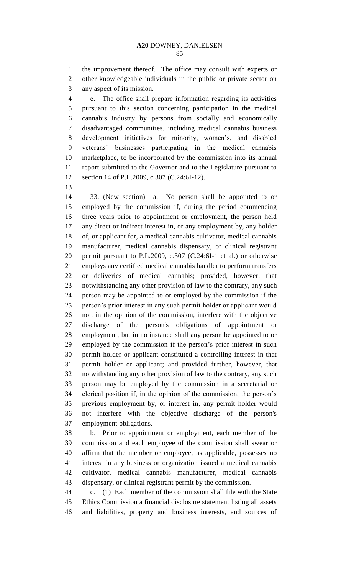the improvement thereof. The office may consult with experts or other knowledgeable individuals in the public or private sector on any aspect of its mission.

 e. The office shall prepare information regarding its activities pursuant to this section concerning participation in the medical cannabis industry by persons from socially and economically disadvantaged communities, including medical cannabis business development initiatives for minority, women's, and disabled veterans' businesses participating in the medical cannabis marketplace, to be incorporated by the commission into its annual report submitted to the Governor and to the Legislature pursuant to section 14 of P.L.2009, c.307 (C.24:6I-12).

 33. (New section) a. No person shall be appointed to or employed by the commission if, during the period commencing three years prior to appointment or employment, the person held any direct or indirect interest in, or any employment by, any holder of, or applicant for, a medical cannabis cultivator, medical cannabis manufacturer, medical cannabis dispensary, or clinical registrant permit pursuant to P.L.2009, c.307 (C.24:6I-1 et al.) or otherwise employs any certified medical cannabis handler to perform transfers or deliveries of medical cannabis; provided, however, that notwithstanding any other provision of law to the contrary, any such person may be appointed to or employed by the commission if the person's prior interest in any such permit holder or applicant would not, in the opinion of the commission, interfere with the objective discharge of the person's obligations of appointment or employment, but in no instance shall any person be appointed to or employed by the commission if the person's prior interest in such permit holder or applicant constituted a controlling interest in that permit holder or applicant; and provided further, however, that notwithstanding any other provision of law to the contrary, any such person may be employed by the commission in a secretarial or clerical position if, in the opinion of the commission, the person's previous employment by, or interest in, any permit holder would not interfere with the objective discharge of the person's employment obligations.

 b. Prior to appointment or employment, each member of the commission and each employee of the commission shall swear or affirm that the member or employee, as applicable, possesses no interest in any business or organization issued a medical cannabis cultivator, medical cannabis manufacturer, medical cannabis dispensary, or clinical registrant permit by the commission.

 c. (1) Each member of the commission shall file with the State Ethics Commission a financial disclosure statement listing all assets and liabilities, property and business interests, and sources of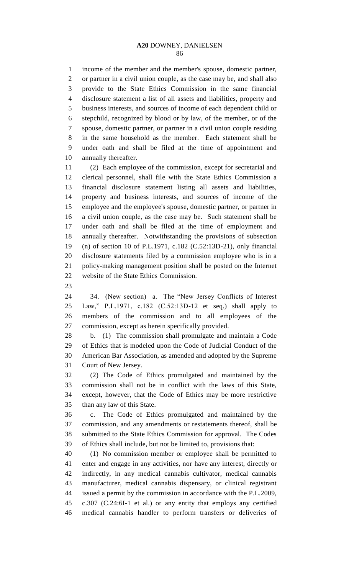income of the member and the member's spouse, domestic partner, or partner in a civil union couple, as the case may be, and shall also provide to the State Ethics Commission in the same financial disclosure statement a list of all assets and liabilities, property and business interests, and sources of income of each dependent child or stepchild, recognized by blood or by law, of the member, or of the spouse, domestic partner, or partner in a civil union couple residing in the same household as the member. Each statement shall be under oath and shall be filed at the time of appointment and annually thereafter.

 (2) Each employee of the commission, except for secretarial and clerical personnel, shall file with the State Ethics Commission a financial disclosure statement listing all assets and liabilities, property and business interests, and sources of income of the employee and the employee's spouse, domestic partner, or partner in a civil union couple, as the case may be. Such statement shall be under oath and shall be filed at the time of employment and annually thereafter. Notwithstanding the provisions of subsection (n) of section 10 of P.L.1971, c.182 (C.52:13D-21), only financial disclosure statements filed by a commission employee who is in a policy-making management position shall be posted on the Internet website of the State Ethics Commission.

 34. (New section) a. The "New Jersey Conflicts of Interest Law," P.L.1971, c.182 (C.52:13D-12 et seq.) shall apply to members of the commission and to all employees of the commission, except as herein specifically provided.

 b. (1) The commission shall promulgate and maintain a Code of Ethics that is modeled upon the Code of Judicial Conduct of the American Bar Association, as amended and adopted by the Supreme Court of New Jersey.

 (2) The Code of Ethics promulgated and maintained by the commission shall not be in conflict with the laws of this State, except, however, that the Code of Ethics may be more restrictive than any law of this State.

 c. The Code of Ethics promulgated and maintained by the commission, and any amendments or restatements thereof, shall be submitted to the State Ethics Commission for approval. The Codes of Ethics shall include, but not be limited to, provisions that:

 (1) No commission member or employee shall be permitted to enter and engage in any activities, nor have any interest, directly or indirectly, in any medical cannabis cultivator, medical cannabis manufacturer, medical cannabis dispensary, or clinical registrant issued a permit by the commission in accordance with the P.L.2009, c.307 (C.24:6I-1 et al.) or any entity that employs any certified medical cannabis handler to perform transfers or deliveries of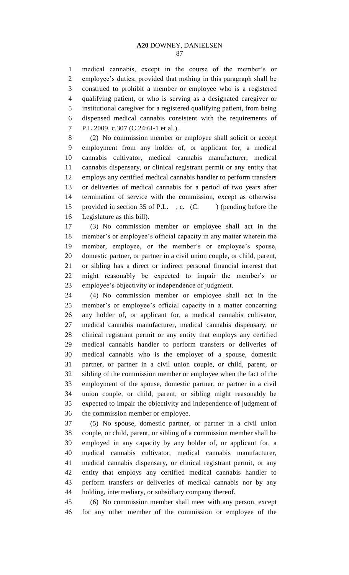medical cannabis, except in the course of the member's or employee's duties; provided that nothing in this paragraph shall be construed to prohibit a member or employee who is a registered qualifying patient, or who is serving as a designated caregiver or institutional caregiver for a registered qualifying patient, from being dispensed medical cannabis consistent with the requirements of P.L.2009, c.307 (C.24:6I-1 et al.).

 (2) No commission member or employee shall solicit or accept employment from any holder of, or applicant for, a medical cannabis cultivator, medical cannabis manufacturer, medical cannabis dispensary, or clinical registrant permit or any entity that employs any certified medical cannabis handler to perform transfers or deliveries of medical cannabis for a period of two years after termination of service with the commission, except as otherwise 15 provided in section 35 of P.L., c. (C.) (pending before the Legislature as this bill).

 (3) No commission member or employee shall act in the member's or employee's official capacity in any matter wherein the member, employee, or the member's or employee's spouse, domestic partner, or partner in a civil union couple, or child, parent, or sibling has a direct or indirect personal financial interest that might reasonably be expected to impair the member's or employee's objectivity or independence of judgment.

 (4) No commission member or employee shall act in the member's or employee's official capacity in a matter concerning any holder of, or applicant for, a medical cannabis cultivator, medical cannabis manufacturer, medical cannabis dispensary, or clinical registrant permit or any entity that employs any certified medical cannabis handler to perform transfers or deliveries of medical cannabis who is the employer of a spouse, domestic partner, or partner in a civil union couple, or child, parent, or sibling of the commission member or employee when the fact of the employment of the spouse, domestic partner, or partner in a civil union couple, or child, parent, or sibling might reasonably be expected to impair the objectivity and independence of judgment of the commission member or employee.

 (5) No spouse, domestic partner, or partner in a civil union couple, or child, parent, or sibling of a commission member shall be employed in any capacity by any holder of, or applicant for, a medical cannabis cultivator, medical cannabis manufacturer, medical cannabis dispensary, or clinical registrant permit, or any entity that employs any certified medical cannabis handler to perform transfers or deliveries of medical cannabis nor by any holding, intermediary, or subsidiary company thereof.

 (6) No commission member shall meet with any person, except for any other member of the commission or employee of the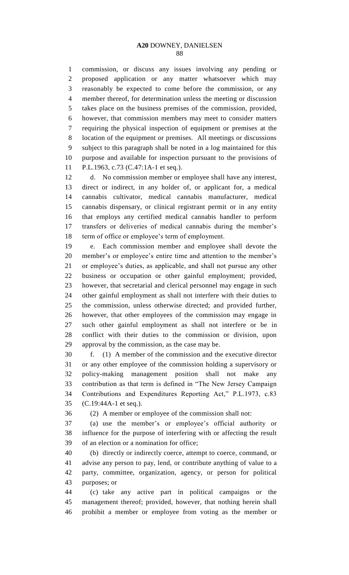commission, or discuss any issues involving any pending or proposed application or any matter whatsoever which may reasonably be expected to come before the commission, or any member thereof, for determination unless the meeting or discussion takes place on the business premises of the commission, provided, however, that commission members may meet to consider matters requiring the physical inspection of equipment or premises at the location of the equipment or premises. All meetings or discussions subject to this paragraph shall be noted in a log maintained for this purpose and available for inspection pursuant to the provisions of P.L.1963, c.73 (C.47:1A-1 et seq.).

 d. No commission member or employee shall have any interest, direct or indirect, in any holder of, or applicant for, a medical cannabis cultivator, medical cannabis manufacturer, medical cannabis dispensary, or clinical registrant permit or in any entity that employs any certified medical cannabis handler to perform transfers or deliveries of medical cannabis during the member's term of office or employee's term of employment.

 e. Each commission member and employee shall devote the member's or employee's entire time and attention to the member's or employee's duties, as applicable, and shall not pursue any other business or occupation or other gainful employment; provided, however, that secretarial and clerical personnel may engage in such other gainful employment as shall not interfere with their duties to the commission, unless otherwise directed; and provided further, however, that other employees of the commission may engage in such other gainful employment as shall not interfere or be in conflict with their duties to the commission or division, upon approval by the commission, as the case may be.

 f. (1) A member of the commission and the executive director or any other employee of the commission holding a supervisory or policy-making management position shall not make any contribution as that term is defined in "The New Jersey Campaign Contributions and Expenditures Reporting Act," P.L.1973, c.83 (C.19:44A-1 et seq.).

(2) A member or employee of the commission shall not:

 (a) use the member's or employee's official authority or influence for the purpose of interfering with or affecting the result of an election or a nomination for office;

 (b) directly or indirectly coerce, attempt to coerce, command, or advise any person to pay, lend, or contribute anything of value to a party, committee, organization, agency, or person for political purposes; or

 (c) take any active part in political campaigns or the management thereof; provided, however, that nothing herein shall prohibit a member or employee from voting as the member or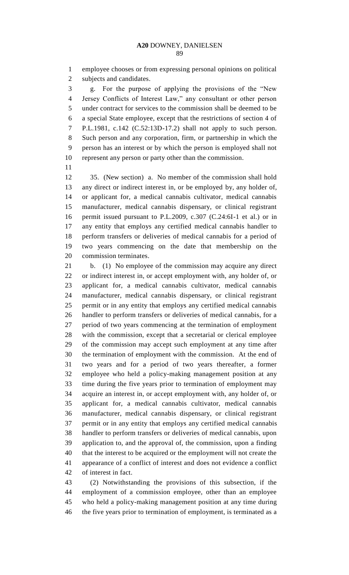employee chooses or from expressing personal opinions on political subjects and candidates.

 g. For the purpose of applying the provisions of the "New Jersey Conflicts of Interest Law," any consultant or other person under contract for services to the commission shall be deemed to be a special State employee, except that the restrictions of section 4 of P.L.1981, c.142 (C.52:13D-17.2) shall not apply to such person. Such person and any corporation, firm, or partnership in which the person has an interest or by which the person is employed shall not represent any person or party other than the commission.

 35. (New section) a. No member of the commission shall hold any direct or indirect interest in, or be employed by, any holder of, or applicant for, a medical cannabis cultivator, medical cannabis manufacturer, medical cannabis dispensary, or clinical registrant permit issued pursuant to P.L.2009, c.307 (C.24:6I-1 et al.) or in any entity that employs any certified medical cannabis handler to perform transfers or deliveries of medical cannabis for a period of two years commencing on the date that membership on the commission terminates.

 b. (1) No employee of the commission may acquire any direct or indirect interest in, or accept employment with, any holder of, or applicant for, a medical cannabis cultivator, medical cannabis manufacturer, medical cannabis dispensary, or clinical registrant permit or in any entity that employs any certified medical cannabis handler to perform transfers or deliveries of medical cannabis, for a period of two years commencing at the termination of employment with the commission, except that a secretarial or clerical employee of the commission may accept such employment at any time after the termination of employment with the commission. At the end of two years and for a period of two years thereafter, a former employee who held a policy-making management position at any time during the five years prior to termination of employment may acquire an interest in, or accept employment with, any holder of, or applicant for, a medical cannabis cultivator, medical cannabis manufacturer, medical cannabis dispensary, or clinical registrant permit or in any entity that employs any certified medical cannabis handler to perform transfers or deliveries of medical cannabis, upon application to, and the approval of, the commission, upon a finding that the interest to be acquired or the employment will not create the appearance of a conflict of interest and does not evidence a conflict of interest in fact.

 (2) Notwithstanding the provisions of this subsection, if the employment of a commission employee, other than an employee who held a policy-making management position at any time during the five years prior to termination of employment, is terminated as a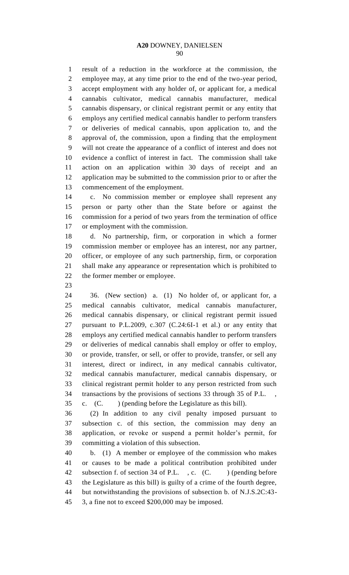result of a reduction in the workforce at the commission, the employee may, at any time prior to the end of the two-year period, accept employment with any holder of, or applicant for, a medical cannabis cultivator, medical cannabis manufacturer, medical cannabis dispensary, or clinical registrant permit or any entity that employs any certified medical cannabis handler to perform transfers or deliveries of medical cannabis, upon application to, and the approval of, the commission, upon a finding that the employment will not create the appearance of a conflict of interest and does not evidence a conflict of interest in fact. The commission shall take action on an application within 30 days of receipt and an application may be submitted to the commission prior to or after the commencement of the employment.

 c. No commission member or employee shall represent any person or party other than the State before or against the commission for a period of two years from the termination of office or employment with the commission.

 d. No partnership, firm, or corporation in which a former commission member or employee has an interest, nor any partner, officer, or employee of any such partnership, firm, or corporation shall make any appearance or representation which is prohibited to the former member or employee.

 36. (New section) a. (1) No holder of, or applicant for, a medical cannabis cultivator, medical cannabis manufacturer, medical cannabis dispensary, or clinical registrant permit issued pursuant to P.L.2009, c.307 (C.24:6I-1 et al.) or any entity that employs any certified medical cannabis handler to perform transfers or deliveries of medical cannabis shall employ or offer to employ, or provide, transfer, or sell, or offer to provide, transfer, or sell any interest, direct or indirect, in any medical cannabis cultivator, medical cannabis manufacturer, medical cannabis dispensary, or clinical registrant permit holder to any person restricted from such transactions by the provisions of sections 33 through 35 of P.L. , c. (C. ) (pending before the Legislature as this bill).

 (2) In addition to any civil penalty imposed pursuant to subsection c. of this section, the commission may deny an application, or revoke or suspend a permit holder's permit, for committing a violation of this subsection.

 b. (1) A member or employee of the commission who makes or causes to be made a political contribution prohibited under 42 subsection f. of section 34 of P.L., c. (C. ) (pending before the Legislature as this bill) is guilty of a crime of the fourth degree, but notwithstanding the provisions of subsection b. of N.J.S.2C:43- 3, a fine not to exceed \$200,000 may be imposed.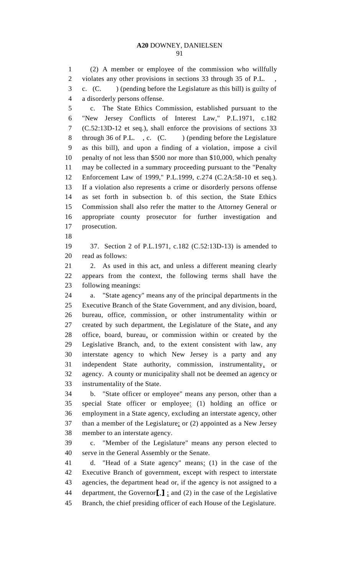(2) A member or employee of the commission who willfully 2 violates any other provisions in sections 33 through 35 of P.L. c. (C. ) (pending before the Legislature as this bill) is guilty of a disorderly persons offense.

 c. The State Ethics Commission, established pursuant to the "New Jersey Conflicts of Interest Law," P.L.1971, c.182 (C.52:13D-12 et seq.), shall enforce the provisions of sections 33 8 through 36 of P.L., c. (C.) (pending before the Legislature as this bill), and upon a finding of a violation, impose a civil penalty of not less than \$500 nor more than \$10,000, which penalty may be collected in a summary proceeding pursuant to the "Penalty Enforcement Law of 1999," P.L.1999, c.274 (C.2A:58-10 et seq.). If a violation also represents a crime or disorderly persons offense as set forth in subsection b. of this section, the State Ethics Commission shall also refer the matter to the Attorney General or appropriate county prosecutor for further investigation and prosecution.

 37. Section 2 of P.L.1971, c.182 (C.52:13D-13) is amended to read as follows:

 2. As used in this act, and unless a different meaning clearly appears from the context, the following terms shall have the following meanings:

 a. "State agency" means any of the principal departments in the Executive Branch of the State Government, and any division, board, bureau, office, commission, or other instrumentality within or created by such department, the Legislature of the State, and any office, board, bureau, or commission within or created by the Legislative Branch, and, to the extent consistent with law, any interstate agency to which New Jersey is a party and any independent State authority, commission, instrumentality, or agency. A county or municipality shall not be deemed an agency or instrumentality of the State.

 b. "State officer or employee" means any person, other than a special State officer or employee: (1) holding an office or employment in a State agency, excluding an interstate agency, other than a member of the Legislature; or (2) appointed as a New Jersey member to an interstate agency.

 c. "Member of the Legislature" means any person elected to serve in the General Assembly or the Senate.

 d. "Head of a State agency" means: (1) in the case of the Executive Branch of government, except with respect to interstate agencies, the department head or, if the agency is not assigned to a department, the Governor**[**,**]** ; and (2) in the case of the Legislative Branch, the chief presiding officer of each House of the Legislature.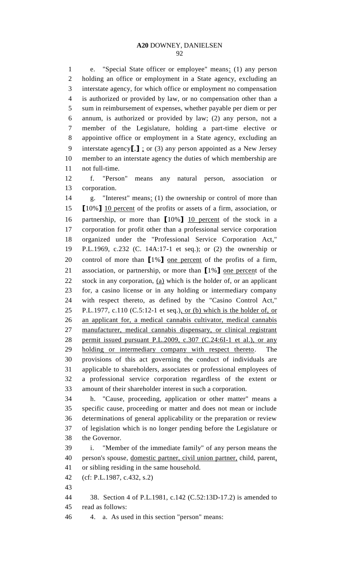e. "Special State officer or employee" means: (1) any person holding an office or employment in a State agency, excluding an interstate agency, for which office or employment no compensation is authorized or provided by law, or no compensation other than a sum in reimbursement of expenses, whether payable per diem or per annum, is authorized or provided by law; (2) any person, not a member of the Legislature, holding a part-time elective or appointive office or employment in a State agency, excluding an interstate agency**[**,**]** ; or (3) any person appointed as a New Jersey member to an interstate agency the duties of which membership are not full-time.

 f. "Person" means any natural person, association or corporation.

14 g. "Interest" means: (1) the ownership or control of more than **[**10%**]** 10 percent of the profits or assets of a firm, association, or partnership, or more than **[**10%**]** 10 percent of the stock in a corporation for profit other than a professional service corporation organized under the "Professional Service Corporation Act," P.L.1969, c.232 (C. 14A:17-1 et seq.); or (2) the ownership or control of more than **[**1%**]** one percent of the profits of a firm, association, or partnership, or more than **[**1%**]** one percent of the 22 stock in any corporation,  $(a)$  which is the holder of, or an applicant for, a casino license or in any holding or intermediary company with respect thereto, as defined by the "Casino Control Act," 25 P.L.1977, c.110 (C.5:12-1 et seq.), or (b) which is the holder of, or an applicant for, a medical cannabis cultivator, medical cannabis manufacturer, medical cannabis dispensary, or clinical registrant permit issued pursuant P.L.2009, c.307 (C.24:6I-1 et al.), or any holding or intermediary company with respect thereto. The provisions of this act governing the conduct of individuals are applicable to shareholders, associates or professional employees of a professional service corporation regardless of the extent or amount of their shareholder interest in such a corporation.

 h. "Cause, proceeding, application or other matter" means a specific cause, proceeding or matter and does not mean or include determinations of general applicability or the preparation or review of legislation which is no longer pending before the Legislature or the Governor.

 i. "Member of the immediate family" of any person means the person's spouse, domestic partner, civil union partner, child, parent, or sibling residing in the same household.

- (cf: P.L.1987, c.432, s.2)
- 

 38. Section 4 of P.L.1981, c.142 (C.52:13D-17.2) is amended to read as follows:

4. a. As used in this section "person" means: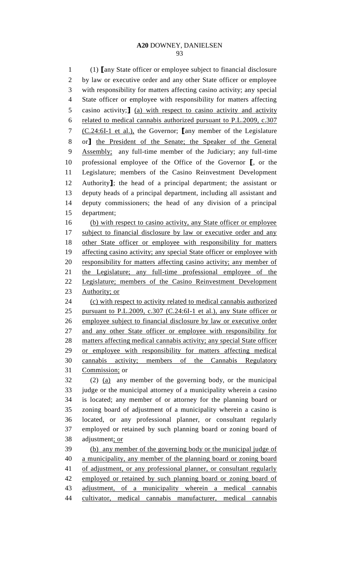(1) **[**any State officer or employee subject to financial disclosure by law or executive order and any other State officer or employee with responsibility for matters affecting casino activity; any special State officer or employee with responsibility for matters affecting casino activity;**]** (a) with respect to casino activity and activity related to medical cannabis authorized pursuant to P.L.2009, c.307 (C.24:6I-1 et al.), the Governor; **[**any member of the Legislature or**]** the President of the Senate; the Speaker of the General Assembly; any full-time member of the Judiciary; any full-time professional employee of the Office of the Governor **[**, or the Legislature; members of the Casino Reinvestment Development Authority**]**; the head of a principal department; the assistant or deputy heads of a principal department, including all assistant and deputy commissioners; the head of any division of a principal department; (b) with respect to casino activity, any State officer or employee

17 subject to financial disclosure by law or executive order and any 18 other State officer or employee with responsibility for matters 19 affecting casino activity; any special State officer or employee with responsibility for matters affecting casino activity; any member of 21 the Legislature; any full-time professional employee of the Legislature; members of the Casino Reinvestment Development 23 Authority; or (c) with respect to activity related to medical cannabis authorized

 pursuant to P.L.2009, c.307 (C.24:6I-1 et al.), any State officer or employee subject to financial disclosure by law or executive order and any other State officer or employee with responsibility for matters affecting medical cannabis activity; any special State officer or employee with responsibility for matters affecting medical cannabis activity; members of the Cannabis Regulatory Commission; or

 (2) (a) any member of the governing body, or the municipal judge or the municipal attorney of a municipality wherein a casino is located; any member of or attorney for the planning board or zoning board of adjustment of a municipality wherein a casino is located, or any professional planner, or consultant regularly employed or retained by such planning board or zoning board of adjustment; or

 (b) any member of the governing body or the municipal judge of a municipality, any member of the planning board or zoning board 41 of adjustment, or any professional planner, or consultant regularly employed or retained by such planning board or zoning board of adjustment, of a municipality wherein a medical cannabis cultivator, medical cannabis manufacturer, medical cannabis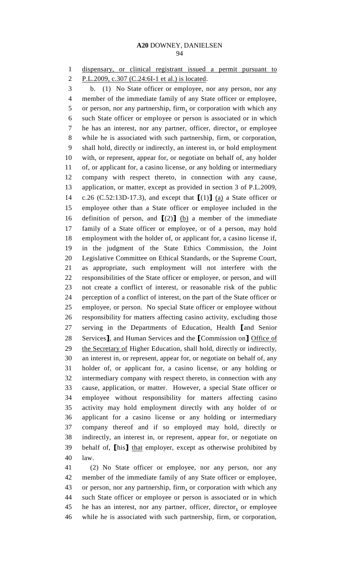dispensary, or clinical registrant issued a permit pursuant to

P.L.2009, c.307 (C.24:6I-1 et al.) is located.

 b. (1) No State officer or employee, nor any person, nor any member of the immediate family of any State officer or employee, 5 or person, nor any partnership, firm, or corporation with which any such State officer or employee or person is associated or in which he has an interest, nor any partner, officer, director, or employee while he is associated with such partnership, firm, or corporation, shall hold, directly or indirectly, an interest in, or hold employment with, or represent, appear for, or negotiate on behalf of, any holder of, or applicant for, a casino license, or any holding or intermediary company with respect thereto, in connection with any cause, application, or matter, except as provided in section 3 of P.L.2009, c.26 (C.52:13D-17.3), and except that **[**(1)**]** (a) a State officer or employee other than a State officer or employee included in the 16 definition of person, and  $[(2)]$  (b) a member of the immediate family of a State officer or employee, or of a person, may hold employment with the holder of, or applicant for, a casino license if, in the judgment of the State Ethics Commission, the Joint Legislative Committee on Ethical Standards, or the Supreme Court, as appropriate, such employment will not interfere with the responsibilities of the State officer or employee, or person, and will not create a conflict of interest, or reasonable risk of the public perception of a conflict of interest, on the part of the State officer or employee, or person. No special State officer or employee without responsibility for matters affecting casino activity, excluding those serving in the Departments of Education, Health **[**and Senior Services**]**, and Human Services and the **[**Commission on**]** Office of the Secretary of Higher Education, shall hold, directly or indirectly, an interest in, or represent, appear for, or negotiate on behalf of, any holder of, or applicant for, a casino license, or any holding or intermediary company with respect thereto, in connection with any cause, application, or matter. However, a special State officer or employee without responsibility for matters affecting casino activity may hold employment directly with any holder of or applicant for a casino license or any holding or intermediary company thereof and if so employed may hold, directly or indirectly, an interest in, or represent, appear for, or negotiate on behalf of, **[**his**]** that employer, except as otherwise prohibited by law.

 (2) No State officer or employee, nor any person, nor any member of the immediate family of any State officer or employee, or person, nor any partnership, firm, or corporation with which any such State officer or employee or person is associated or in which he has an interest, nor any partner, officer, director, or employee while he is associated with such partnership, firm, or corporation,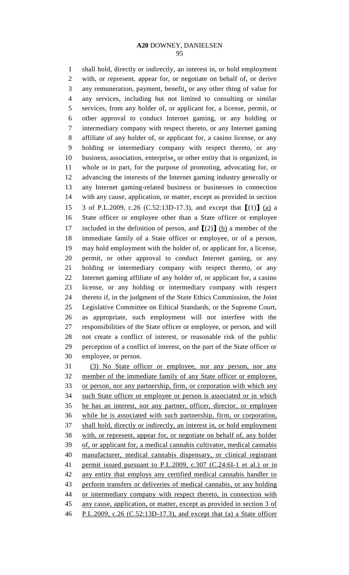shall hold, directly or indirectly, an interest in, or hold employment with, or represent, appear for, or negotiate on behalf of, or derive any remuneration, payment, benefit, or any other thing of value for any services, including but not limited to consulting or similar services, from any holder of, or applicant for, a license, permit, or other approval to conduct Internet gaming, or any holding or intermediary company with respect thereto, or any Internet gaming affiliate of any holder of, or applicant for, a casino license, or any holding or intermediary company with respect thereto, or any business, association, enterprise, or other entity that is organized, in whole or in part, for the purpose of promoting, advocating for, or advancing the interests of the Internet gaming industry generally or any Internet gaming-related business or businesses in connection with any cause, application, or matter, except as provided in section 3 of P.L.2009, c.26 (C.52:13D-17.3), and except that **[**(1)**]** (a) a State officer or employee other than a State officer or employee 17 included in the definition of person, and  $[(2)]$  (b) a member of the immediate family of a State officer or employee, or of a person, may hold employment with the holder of, or applicant for, a license, permit, or other approval to conduct Internet gaming, or any holding or intermediary company with respect thereto, or any Internet gaming affiliate of any holder of, or applicant for, a casino license, or any holding or intermediary company with respect thereto if, in the judgment of the State Ethics Commission, the Joint Legislative Committee on Ethical Standards, or the Supreme Court, as appropriate, such employment will not interfere with the responsibilities of the State officer or employee, or person, and will not create a conflict of interest, or reasonable risk of the public perception of a conflict of interest, on the part of the State officer or employee, or person.

 (3) No State officer or employee, nor any person, nor any member of the immediate family of any State officer or employee, or person, nor any partnership, firm, or corporation with which any such State officer or employee or person is associated or in which he has an interest, nor any partner, officer, director, or employee while he is associated with such partnership, firm, or corporation, shall hold, directly or indirectly, an interest in, or hold employment with, or represent, appear for, or negotiate on behalf of, any holder of, or applicant for, a medical cannabis cultivator, medical cannabis manufacturer, medical cannabis dispensary, or clinical registrant permit issued pursuant to P.L.2009, c.307 (C.24:6I-1 et al.) or in any entity that employs any certified medical cannabis handler to perform transfers or deliveries of medical cannabis, or any holding or intermediary company with respect thereto, in connection with any cause, application, or matter, except as provided in section 3 of P.L.2009, c.26 (C.52:13D-17.3), and except that (a) a State officer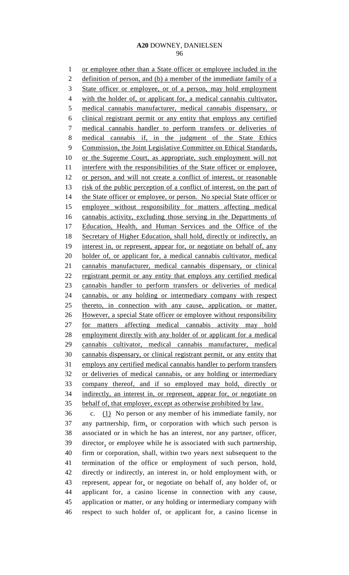or employee other than a State officer or employee included in the 2 definition of person, and (b) a member of the immediate family of a 3 State officer or employee, or of a person, may hold employment with the holder of, or applicant for, a medical cannabis cultivator, medical cannabis manufacturer, medical cannabis dispensary, or clinical registrant permit or any entity that employs any certified medical cannabis handler to perform transfers or deliveries of medical cannabis if, in the judgment of the State Ethics 9 Commission, the Joint Legislative Committee on Ethical Standards, or the Supreme Court, as appropriate, such employment will not interfere with the responsibilities of the State officer or employee, or person, and will not create a conflict of interest, or reasonable risk of the public perception of a conflict of interest, on the part of 14 the State officer or employee, or person. No special State officer or employee without responsibility for matters affecting medical cannabis activity, excluding those serving in the Departments of Education, Health, and Human Services and the Office of the 18 Secretary of Higher Education, shall hold, directly or indirectly, an 19 interest in, or represent, appear for, or negotiate on behalf of, any holder of, or applicant for, a medical cannabis cultivator, medical cannabis manufacturer, medical cannabis dispensary, or clinical registrant permit or any entity that employs any certified medical cannabis handler to perform transfers or deliveries of medical cannabis, or any holding or intermediary company with respect thereto, in connection with any cause, application, or matter. 26 However, a special State officer or employee without responsibility for matters affecting medical cannabis activity may hold employment directly with any holder of or applicant for a medical cannabis cultivator, medical cannabis manufacturer, medical cannabis dispensary, or clinical registrant permit, or any entity that employs any certified medical cannabis handler to perform transfers or deliveries of medical cannabis, or any holding or intermediary company thereof, and if so employed may hold, directly or indirectly, an interest in, or represent, appear for, or negotiate on behalf of, that employer, except as otherwise prohibited by law. c. (1) No person or any member of his immediate family, nor

 any partnership, firm, or corporation with which such person is associated or in which he has an interest, nor any partner, officer, director, or employee while he is associated with such partnership, firm or corporation, shall, within two years next subsequent to the termination of the office or employment of such person, hold, directly or indirectly, an interest in, or hold employment with, or represent, appear for, or negotiate on behalf of, any holder of, or applicant for, a casino license in connection with any cause, application or matter, or any holding or intermediary company with respect to such holder of, or applicant for, a casino license in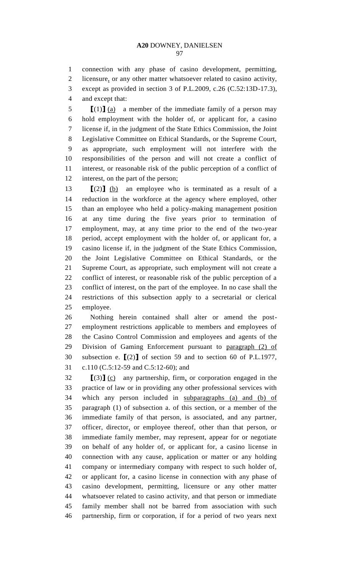connection with any phase of casino development, permitting, licensure, or any other matter whatsoever related to casino activity, except as provided in section 3 of P.L.2009, c.26 (C.52:13D-17.3),

and except that:

 **[**(1)**]** (a) a member of the immediate family of a person may hold employment with the holder of, or applicant for, a casino license if, in the judgment of the State Ethics Commission, the Joint Legislative Committee on Ethical Standards, or the Supreme Court, as appropriate, such employment will not interfere with the responsibilities of the person and will not create a conflict of interest, or reasonable risk of the public perception of a conflict of interest, on the part of the person;

 **[**(2)**]** (b) an employee who is terminated as a result of a reduction in the workforce at the agency where employed, other than an employee who held a policy-making management position at any time during the five years prior to termination of employment, may, at any time prior to the end of the two-year period, accept employment with the holder of, or applicant for, a casino license if, in the judgment of the State Ethics Commission, the Joint Legislative Committee on Ethical Standards, or the Supreme Court, as appropriate, such employment will not create a conflict of interest, or reasonable risk of the public perception of a conflict of interest, on the part of the employee. In no case shall the restrictions of this subsection apply to a secretarial or clerical employee.

 Nothing herein contained shall alter or amend the post- employment restrictions applicable to members and employees of the Casino Control Commission and employees and agents of the Division of Gaming Enforcement pursuant to paragraph (2) of subsection e. **[**(2)**]** of section 59 and to section 60 of P.L.1977, c.110 (C.5:12-59 and C.5:12-60); and

 **[**(3)**]** (c) any partnership, firm, or corporation engaged in the practice of law or in providing any other professional services with which any person included in subparagraphs (a) and (b) of paragraph (1) of subsection a. of this section, or a member of the immediate family of that person, is associated, and any partner, officer, director, or employee thereof, other than that person, or immediate family member, may represent, appear for or negotiate on behalf of any holder of, or applicant for, a casino license in connection with any cause, application or matter or any holding company or intermediary company with respect to such holder of, or applicant for, a casino license in connection with any phase of casino development, permitting, licensure or any other matter whatsoever related to casino activity, and that person or immediate family member shall not be barred from association with such partnership, firm or corporation, if for a period of two years next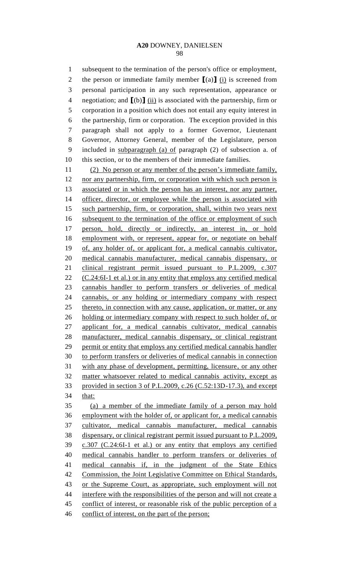subsequent to the termination of the person's office or employment, the person or immediate family member **[**(a)**]** (i) is screened from personal participation in any such representation, appearance or negotiation; and **[**(b)**]** (ii) is associated with the partnership, firm or corporation in a position which does not entail any equity interest in the partnership, firm or corporation. The exception provided in this paragraph shall not apply to a former Governor, Lieutenant Governor, Attorney General, member of the Legislature, person included in subparagraph (a) of paragraph (2) of subsection a. of this section, or to the members of their immediate families. (2) No person or any member of the person's immediate family, 12 nor any partnership, firm, or corporation with which such person is associated or in which the person has an interest, nor any partner, officer, director, or employee while the person is associated with such partnership, firm, or corporation, shall, within two years next subsequent to the termination of the office or employment of such person, hold, directly or indirectly, an interest in, or hold employment with, or represent, appear for, or negotiate on behalf of, any holder of, or applicant for, a medical cannabis cultivator, medical cannabis manufacturer, medical cannabis dispensary, or clinical registrant permit issued pursuant to P.L.2009, c.307 (C.24:6I-1 et al.) or in any entity that employs any certified medical cannabis handler to perform transfers or deliveries of medical cannabis, or any holding or intermediary company with respect thereto, in connection with any cause, application, or matter, or any 26 holding or intermediary company with respect to such holder of, or applicant for, a medical cannabis cultivator, medical cannabis manufacturer, medical cannabis dispensary, or clinical registrant permit or entity that employs any certified medical cannabis handler to perform transfers or deliveries of medical cannabis in connection with any phase of development, permitting, licensure, or any other matter whatsoever related to medical cannabis activity, except as provided in section 3 of P.L.2009, c.26 (C.52:13D-17.3), and except that: (a) a member of the immediate family of a person may hold employment with the holder of, or applicant for, a medical cannabis cultivator, medical cannabis manufacturer, medical cannabis dispensary, or clinical registrant permit issued pursuant to P.L.2009, c.307 (C.24:6I-1 et al.) or any entity that employs any certified medical cannabis handler to perform transfers or deliveries of medical cannabis if, in the judgment of the State Ethics Commission, the Joint Legislative Committee on Ethical Standards, or the Supreme Court, as appropriate, such employment will not interfere with the responsibilities of the person and will not create a 45 conflict of interest, or reasonable risk of the public perception of a conflict of interest, on the part of the person;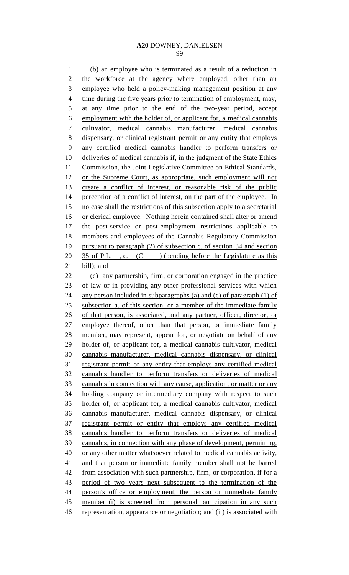(b) an employee who is terminated as a result of a reduction in 2 the workforce at the agency where employed, other than an employee who held a policy-making management position at any 4 time during the five years prior to termination of employment, may, 5 at any time prior to the end of the two-year period, accept employment with the holder of, or applicant for, a medical cannabis cultivator, medical cannabis manufacturer, medical cannabis dispensary, or clinical registrant permit or any entity that employs any certified medical cannabis handler to perform transfers or 10 deliveries of medical cannabis if, in the judgment of the State Ethics 11 Commission, the Joint Legislative Committee on Ethical Standards, or the Supreme Court, as appropriate, such employment will not create a conflict of interest, or reasonable risk of the public 14 perception of a conflict of interest, on the part of the employee. In 15 no case shall the restrictions of this subsection apply to a secretarial 16 or clerical employee. Nothing herein contained shall alter or amend 17 the post-service or post-employment restrictions applicable to members and employees of the Cannabis Regulatory Commission pursuant to paragraph (2) of subsection c. of section 34 and section 20 35 of P.L., c. (C.) (pending before the Legislature as this bill); and (c) any partnership, firm, or corporation engaged in the practice 23 of law or in providing any other professional services with which any person included in subparagraphs (a) and (c) of paragraph (1) of 25 subsection a. of this section, or a member of the immediate family of that person, is associated, and any partner, officer, director, or employee thereof, other than that person, or immediate family member, may represent, appear for, or negotiate on behalf of any holder of, or applicant for, a medical cannabis cultivator, medical cannabis manufacturer, medical cannabis dispensary, or clinical 31 registrant permit or any entity that employs any certified medical cannabis handler to perform transfers or deliveries of medical cannabis in connection with any cause, application, or matter or any holding company or intermediary company with respect to such holder of, or applicant for, a medical cannabis cultivator, medical cannabis manufacturer, medical cannabis dispensary, or clinical registrant permit or entity that employs any certified medical cannabis handler to perform transfers or deliveries of medical cannabis, in connection with any phase of development, permitting, or any other matter whatsoever related to medical cannabis activity, and that person or immediate family member shall not be barred 42 from association with such partnership, firm, or corporation, if for a period of two years next subsequent to the termination of the 44 person's office or employment, the person or immediate family member (i) is screened from personal participation in any such representation, appearance or negotiation; and (ii) is associated with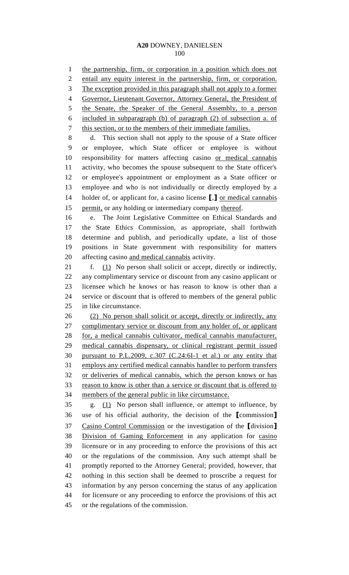1 the partnership, firm, or corporation in a position which does not entail any equity interest in the partnership, firm, or corporation. The exception provided in this paragraph shall not apply to a former Governor, Lieutenant Governor, Attorney General, the President of 5 the Senate, the Speaker of the General Assembly, to a person included in subparagraph (b) of paragraph (2) of subsection a. of this section, or to the members of their immediate families. d. This section shall not apply to the spouse of a State officer or employee, which State officer or employee is without responsibility for matters affecting casino or medical cannabis activity, who becomes the spouse subsequent to the State officer's or employee's appointment or employment as a State officer or employee and who is not individually or directly employed by a holder of, or applicant for, a casino license **[**,**]** or medical cannabis permit, or any holding or intermediary company thereof. e. The Joint Legislative Committee on Ethical Standards and the State Ethics Commission, as appropriate, shall forthwith determine and publish, and periodically update, a list of those positions in State government with responsibility for matters affecting casino and medical cannabis activity. f. (1) No person shall solicit or accept, directly or indirectly, any complimentary service or discount from any casino applicant or licensee which he knows or has reason to know is other than a service or discount that is offered to members of the general public in like circumstance. (2) No person shall solicit or accept, directly or indirectly, any complimentary service or discount from any holder of, or applicant for, a medical cannabis cultivator, medical cannabis manufacturer, medical cannabis dispensary, or clinical registrant permit issued pursuant to P.L.2009, c.307 (C.24:6I-1 et al.) or any entity that employs any certified medical cannabis handler to perform transfers or deliveries of medical cannabis, which the person knows or has reason to know is other than a service or discount that is offered to members of the general public in like circumstance. g. (1) No person shall influence, or attempt to influence, by use of his official authority, the decision of the **[**commission**]**  Casino Control Commission or the investigation of the **[**division**]** Division of Gaming Enforcement in any application for casino licensure or in any proceeding to enforce the provisions of this act or the regulations of the commission. Any such attempt shall be promptly reported to the Attorney General; provided, however, that

 information by any person concerning the status of any application for licensure or any proceeding to enforce the provisions of this act

nothing in this section shall be deemed to proscribe a request for

or the regulations of the commission.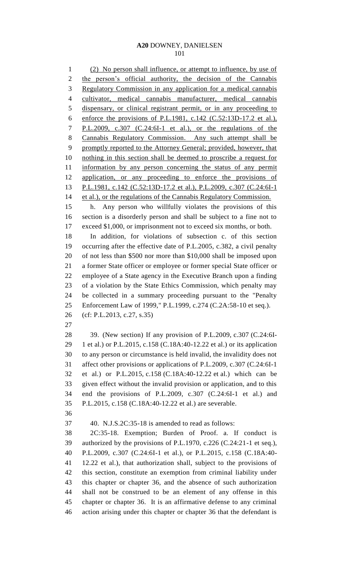(2) No person shall influence, or attempt to influence, by use of 2 the person's official authority, the decision of the Cannabis Regulatory Commission in any application for a medical cannabis cultivator, medical cannabis manufacturer, medical cannabis dispensary, or clinical registrant permit, or in any proceeding to 6 enforce the provisions of P.L.1981, c.142  $(C.52:13D-17.2$  et al.), P.L.2009, c.307 (C.24:6I-1 et al.), or the regulations of the Cannabis Regulatory Commission. Any such attempt shall be 9 promptly reported to the Attorney General; provided, however, that nothing in this section shall be deemed to proscribe a request for information by any person concerning the status of any permit application, or any proceeding to enforce the provisions of P.L.1981, c.142 (C.52:13D-17.2 et al.), P.L.2009, c.307 (C.24:6I-1 14 et al.), or the regulations of the Cannabis Regulatory Commission. h. Any person who willfully violates the provisions of this section is a disorderly person and shall be subject to a fine not to exceed \$1,000, or imprisonment not to exceed six months, or both. In addition, for violations of subsection c. of this section occurring after the effective date of P.L.2005, c.382, a civil penalty of not less than \$500 nor more than \$10,000 shall be imposed upon a former State officer or employee or former special State officer or employee of a State agency in the Executive Branch upon a finding of a violation by the State Ethics Commission, which penalty may be collected in a summary proceeding pursuant to the "Penalty Enforcement Law of 1999," P.L.1999, c.274 (C.2A:58-10 et seq.). (cf: P.L.2013, c.27, s.35) 39. (New section) If any provision of P.L.2009, c.307 (C.24:6I- 1 et al.) or P.L.2015, c.158 (C.18A:40-12.22 et al.) or its application to any person or circumstance is held invalid, the invalidity does not affect other provisions or applications of P.L.2009, c.307 (C.24:6I-1 et al.) or P.L.2015, c.158 (C.18A:40-12.22 et al.) which can be given effect without the invalid provision or application, and to this end the provisions of P.L.2009, c.307 (C.24:6I-1 et al.) and P.L.2015, c.158 (C.18A:40-12.22 et al.) are severable. 40. N.J.S.2C:35-18 is amended to read as follows: 2C:35-18. Exemption; Burden of Proof. a. If conduct is authorized by the provisions of P.L.1970, c.226 (C.24:21-1 et seq.), P.L.2009, c.307 (C.24:6I-1 et al.), or P.L.2015, c.158 (C.18A:40- 12.22 et al.), that authorization shall, subject to the provisions of this section, constitute an exemption from criminal liability under this chapter or chapter 36, and the absence of such authorization shall not be construed to be an element of any offense in this chapter or chapter 36. It is an affirmative defense to any criminal action arising under this chapter or chapter 36 that the defendant is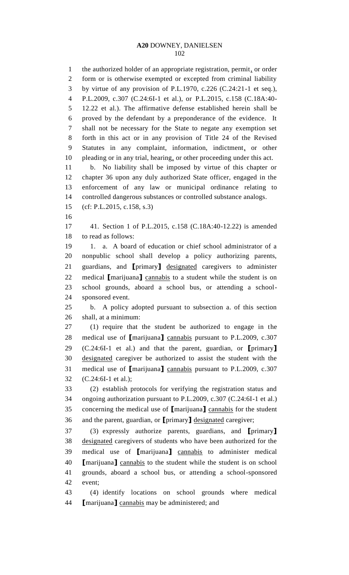1 the authorized holder of an appropriate registration, permit, or order form or is otherwise exempted or excepted from criminal liability by virtue of any provision of P.L.1970, c.226 (C.24:21-1 et seq.), P.L.2009, c.307 (C.24:6I-1 et al.), or P.L.2015, c.158 (C.18A:40- 12.22 et al.). The affirmative defense established herein shall be proved by the defendant by a preponderance of the evidence. It shall not be necessary for the State to negate any exemption set forth in this act or in any provision of Title 24 of the Revised Statutes in any complaint, information, indictment, or other 10 pleading or in any trial, hearing, or other proceeding under this act. b. No liability shall be imposed by virtue of this chapter or chapter 36 upon any duly authorized State officer, engaged in the enforcement of any law or municipal ordinance relating to controlled dangerous substances or controlled substance analogs. (cf: P.L.2015, c.158, s.3) 41. Section 1 of P.L.2015, c.158 (C.18A:40-12.22) is amended to read as follows: 1. a. A board of education or chief school administrator of a nonpublic school shall develop a policy authorizing parents, guardians, and **[**primary**]** designated caregivers to administer medical **[**marijuana**]** cannabis to a student while the student is on school grounds, aboard a school bus, or attending a school- sponsored event. b. A policy adopted pursuant to subsection a. of this section shall, at a minimum: (1) require that the student be authorized to engage in the medical use of **[**marijuana**]** cannabis pursuant to P.L.2009, c.307 (C.24:6I-1 et al.) and that the parent, guardian, or **[**primary**]** designated caregiver be authorized to assist the student with the medical use of **[**marijuana**]** cannabis pursuant to P.L.2009, c.307 (C.24:6I-1 et al.); (2) establish protocols for verifying the registration status and ongoing authorization pursuant to P.L.2009, c.307 (C.24:6I-1 et al.) concerning the medical use of **[**marijuana**]** cannabis for the student and the parent, guardian, or **[**primary**]** designated caregiver; (3) expressly authorize parents, guardians, and **[**primary**]** designated caregivers of students who have been authorized for the medical use of **[**marijuana**]** cannabis to administer medical **[**marijuana**]** cannabis to the student while the student is on school grounds, aboard a school bus, or attending a school-sponsored event; (4) identify locations on school grounds where medical

**[**marijuana**]** cannabis may be administered; and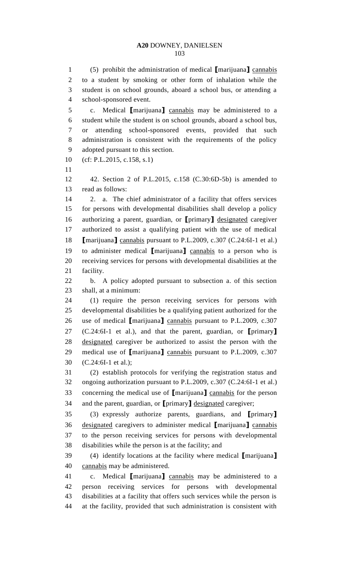(5) prohibit the administration of medical **[**marijuana**]** cannabis to a student by smoking or other form of inhalation while the student is on school grounds, aboard a school bus, or attending a school-sponsored event.

 c. Medical **[**marijuana**]** cannabis may be administered to a student while the student is on school grounds, aboard a school bus, or attending school-sponsored events, provided that such administration is consistent with the requirements of the policy adopted pursuant to this section.

(cf: P.L.2015, c.158, s.1)

 42. Section 2 of P.L.2015, c.158 (C.30:6D-5b) is amended to read as follows:

 2. a. The chief administrator of a facility that offers services for persons with developmental disabilities shall develop a policy authorizing a parent, guardian, or **[**primary**]** designated caregiver authorized to assist a qualifying patient with the use of medical **[**marijuana**]** cannabis pursuant to P.L.2009, c.307 (C.24:6I-1 et al.) to administer medical **[**marijuana**]** cannabis to a person who is receiving services for persons with developmental disabilities at the facility.

 b. A policy adopted pursuant to subsection a. of this section shall, at a minimum:

 (1) require the person receiving services for persons with developmental disabilities be a qualifying patient authorized for the use of medical **[**marijuana**]** cannabis pursuant to P.L.2009, c.307 (C.24:6I-1 et al.), and that the parent, guardian, or **[**primary**]** designated caregiver be authorized to assist the person with the medical use of **[**marijuana**]** cannabis pursuant to P.L.2009, c.307 (C.24:6I-1 et al.);

 (2) establish protocols for verifying the registration status and ongoing authorization pursuant to P.L.2009, c.307 (C.24:6I-1 et al.) concerning the medical use of **[**marijuana**]** cannabis for the person and the parent, guardian, or **[**primary**]** designated caregiver;

 (3) expressly authorize parents, guardians, and **[**primary**]** designated caregivers to administer medical **[**marijuana**]** cannabis to the person receiving services for persons with developmental disabilities while the person is at the facility; and

 (4) identify locations at the facility where medical **[**marijuana**]** cannabis may be administered.

 c. Medical **[**marijuana**]** cannabis may be administered to a person receiving services for persons with developmental disabilities at a facility that offers such services while the person is at the facility, provided that such administration is consistent with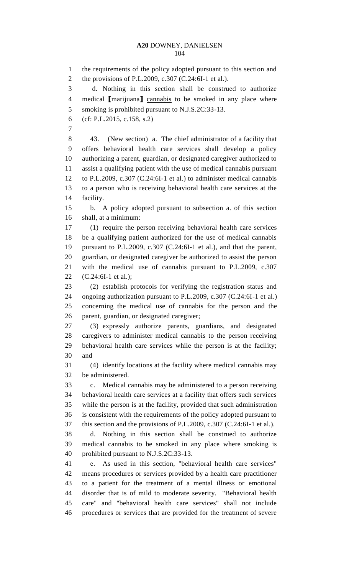the requirements of the policy adopted pursuant to this section and the provisions of P.L.2009, c.307 (C.24:6I-1 et al.). d. Nothing in this section shall be construed to authorize medical **[**marijuana**]** cannabis to be smoked in any place where 5 smoking is prohibited pursuant to N.J.S.2C:33-13. (cf: P.L.2015, c.158, s.2) 43. (New section) a. The chief administrator of a facility that offers behavioral health care services shall develop a policy authorizing a parent, guardian, or designated caregiver authorized to assist a qualifying patient with the use of medical cannabis pursuant to P.L.2009, c.307 (C.24:6I-1 et al.) to administer medical cannabis to a person who is receiving behavioral health care services at the facility. b. A policy adopted pursuant to subsection a. of this section shall, at a minimum: (1) require the person receiving behavioral health care services be a qualifying patient authorized for the use of medical cannabis pursuant to P.L.2009, c.307 (C.24:6I-1 et al.), and that the parent, guardian, or designated caregiver be authorized to assist the person with the medical use of cannabis pursuant to P.L.2009, c.307 (C.24:6I-1 et al.); (2) establish protocols for verifying the registration status and ongoing authorization pursuant to P.L.2009, c.307 (C.24:6I-1 et al.) concerning the medical use of cannabis for the person and the parent, guardian, or designated caregiver; (3) expressly authorize parents, guardians, and designated caregivers to administer medical cannabis to the person receiving behavioral health care services while the person is at the facility; and (4) identify locations at the facility where medical cannabis may be administered. c. Medical cannabis may be administered to a person receiving behavioral health care services at a facility that offers such services while the person is at the facility, provided that such administration is consistent with the requirements of the policy adopted pursuant to this section and the provisions of P.L.2009, c.307 (C.24:6I-1 et al.). d. Nothing in this section shall be construed to authorize medical cannabis to be smoked in any place where smoking is prohibited pursuant to N.J.S.2C:33-13. e. As used in this section, "behavioral health care services" means procedures or services provided by a health care practitioner to a patient for the treatment of a mental illness or emotional disorder that is of mild to moderate severity. "Behavioral health care" and "behavioral health care services" shall not include procedures or services that are provided for the treatment of severe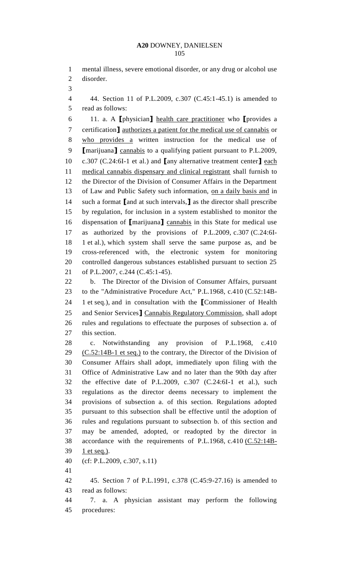mental illness, severe emotional disorder, or any drug or alcohol use disorder. 44. Section 11 of P.L.2009, c.307 (C.45:1-45.1) is amended to read as follows: 11. a. A **[**physician**]** health care practitioner who **[**provides a certification**]** authorizes a patient for the medical use of cannabis or who provides a written instruction for the medical use of **[**marijuana**]** cannabis to a qualifying patient pursuant to P.L.2009, c.307 (C.24:6I-1 et al.) and **[**any alternative treatment center**]** each medical cannabis dispensary and clinical registrant shall furnish to the Director of the Division of Consumer Affairs in the Department 13 of Law and Public Safety such information, on a daily basis and in such a format **[**and at such intervals,**]** as the director shall prescribe by regulation, for inclusion in a system established to monitor the dispensation of **[**marijuana**]** cannabis in this State for medical use as authorized by the provisions of P.L.2009, c.307 (C.24:6I- 1 et al.), which system shall serve the same purpose as, and be cross-referenced with, the electronic system for monitoring controlled dangerous substances established pursuant to section 25 of P.L.2007, c.244 (C.45:1-45). b. The Director of the Division of Consumer Affairs, pursuant to the "Administrative Procedure Act," P.L.1968, c.410 (C.52:14B- 1 et seq.), and in consultation with the **[**Commissioner of Health and Senior Services**]** Cannabis Regulatory Commission, shall adopt rules and regulations to effectuate the purposes of subsection a. of this section. c. Notwithstanding any provision of P.L.1968, c.410  $(C.52:14B-1$  et seq.) to the contrary, the Director of the Division of Consumer Affairs shall adopt, immediately upon filing with the Office of Administrative Law and no later than the 90th day after the effective date of P.L.2009, c.307 (C.24:6I-1 et al.), such regulations as the director deems necessary to implement the provisions of subsection a. of this section. Regulations adopted pursuant to this subsection shall be effective until the adoption of rules and regulations pursuant to subsection b. of this section and may be amended, adopted, or readopted by the director in accordance with the requirements of P.L.1968, c.410 (C.52:14B- 1 et seq.). (cf: P.L.2009, c.307, s.11) 45. Section 7 of P.L.1991, c.378 (C.45:9-27.16) is amended to read as follows: 7. a. A physician assistant may perform the following procedures: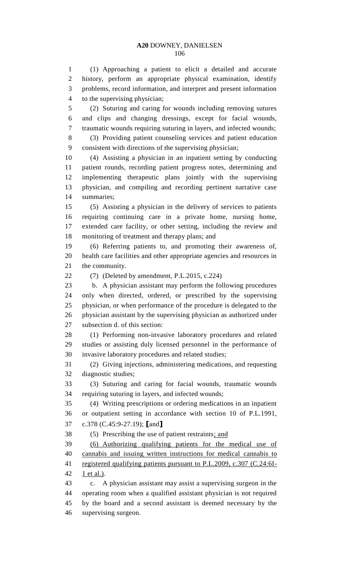(1) Approaching a patient to elicit a detailed and accurate history, perform an appropriate physical examination, identify problems, record information, and interpret and present information to the supervising physician;

 (2) Suturing and caring for wounds including removing sutures and clips and changing dressings, except for facial wounds, traumatic wounds requiring suturing in layers, and infected wounds;

 (3) Providing patient counseling services and patient education consistent with directions of the supervising physician;

 (4) Assisting a physician in an inpatient setting by conducting patient rounds, recording patient progress notes, determining and implementing therapeutic plans jointly with the supervising physician, and compiling and recording pertinent narrative case summaries;

 (5) Assisting a physician in the delivery of services to patients requiring continuing care in a private home, nursing home, extended care facility, or other setting, including the review and monitoring of treatment and therapy plans; and

 (6) Referring patients to, and promoting their awareness of, health care facilities and other appropriate agencies and resources in the community.

22  $(7)$  (Deleted by amendment, P.L.2015, c.224)

 b. A physician assistant may perform the following procedures only when directed, ordered, or prescribed by the supervising physician, or when performance of the procedure is delegated to the physician assistant by the supervising physician as authorized under subsection d. of this section:

 (1) Performing non-invasive laboratory procedures and related studies or assisting duly licensed personnel in the performance of invasive laboratory procedures and related studies;

 (2) Giving injections, administering medications, and requesting diagnostic studies;

 (3) Suturing and caring for facial wounds, traumatic wounds requiring suturing in layers, and infected wounds;

 (4) Writing prescriptions or ordering medications in an inpatient or outpatient setting in accordance with section 10 of P.L.1991, c.378 (C.45:9-27.19); **[**and**]**

(5) Prescribing the use of patient restraints; and

 (6) Authorizing qualifying patients for the medical use of cannabis and issuing written instructions for medical cannabis to registered qualifying patients pursuant to P.L.2009, c.307 (C.24:6I-1 et al.).

 c. A physician assistant may assist a supervising surgeon in the operating room when a qualified assistant physician is not required by the board and a second assistant is deemed necessary by the supervising surgeon.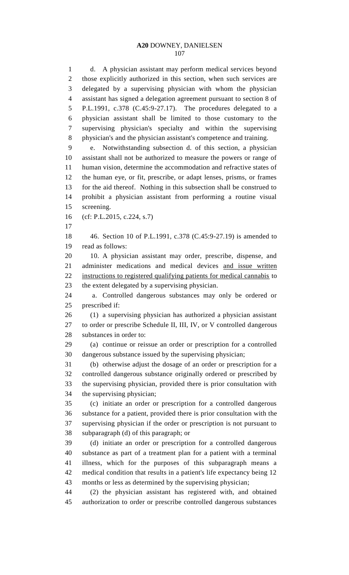d. A physician assistant may perform medical services beyond those explicitly authorized in this section, when such services are delegated by a supervising physician with whom the physician assistant has signed a delegation agreement pursuant to section 8 of P.L.1991, c.378 (C.45:9-27.17). The procedures delegated to a physician assistant shall be limited to those customary to the supervising physician's specialty and within the supervising physician's and the physician assistant's competence and training. e. Notwithstanding subsection d. of this section, a physician

 assistant shall not be authorized to measure the powers or range of human vision, determine the accommodation and refractive states of the human eye, or fit, prescribe, or adapt lenses, prisms, or frames for the aid thereof. Nothing in this subsection shall be construed to prohibit a physician assistant from performing a routine visual screening.

(cf: P.L.2015, c.224, s.7)

 46. Section 10 of P.L.1991, c.378 (C.45:9-27.19) is amended to read as follows:

 10. A physician assistant may order, prescribe, dispense, and administer medications and medical devices and issue written instructions to registered qualifying patients for medical cannabis to the extent delegated by a supervising physician.

 a. Controlled dangerous substances may only be ordered or prescribed if:

 (1) a supervising physician has authorized a physician assistant to order or prescribe Schedule II, III, IV, or V controlled dangerous substances in order to:

 (a) continue or reissue an order or prescription for a controlled dangerous substance issued by the supervising physician;

 (b) otherwise adjust the dosage of an order or prescription for a controlled dangerous substance originally ordered or prescribed by the supervising physician, provided there is prior consultation with the supervising physician;

 (c) initiate an order or prescription for a controlled dangerous substance for a patient, provided there is prior consultation with the supervising physician if the order or prescription is not pursuant to subparagraph (d) of this paragraph; or

 (d) initiate an order or prescription for a controlled dangerous substance as part of a treatment plan for a patient with a terminal illness, which for the purposes of this subparagraph means a medical condition that results in a patient's life expectancy being 12 months or less as determined by the supervising physician;

 (2) the physician assistant has registered with, and obtained authorization to order or prescribe controlled dangerous substances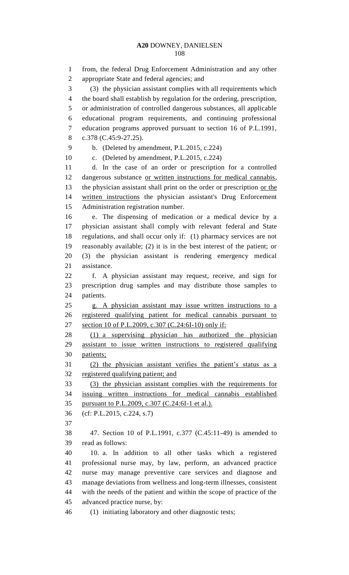from, the federal Drug Enforcement Administration and any other appropriate State and federal agencies; and (3) the physician assistant complies with all requirements which the board shall establish by regulation for the ordering, prescription, or administration of controlled dangerous substances, all applicable educational program requirements, and continuing professional education programs approved pursuant to section 16 of P.L.1991, c.378 (C.45:9-27.25). b. (Deleted by amendment, P.L.2015, c.224) c. (Deleted by amendment, P.L.2015, c.224) d. In the case of an order or prescription for a controlled dangerous substance or written instructions for medical cannabis, 13 the physician assistant shall print on the order or prescription or the written instructions the physician assistant's Drug Enforcement Administration registration number. e. The dispensing of medication or a medical device by a physician assistant shall comply with relevant federal and State regulations, and shall occur only if: (1) pharmacy services are not reasonably available; (2) it is in the best interest of the patient; or (3) the physician assistant is rendering emergency medical assistance. f. A physician assistant may request, receive, and sign for prescription drug samples and may distribute those samples to patients. g. A physician assistant may issue written instructions to a registered qualifying patient for medical cannabis pursuant to section 10 of P.L.2009, c.307 (C.24:6I-10) only if: (1) a supervising physician has authorized the physician assistant to issue written instructions to registered qualifying patients; (2) the physician assistant verifies the patient's status as a registered qualifying patient; and (3) the physician assistant complies with the requirements for issuing written instructions for medical cannabis established pursuant to P.L.2009, c.307 (C.24:6I-1 et al.). (cf: P.L.2015, c.224, s.7) 47. Section 10 of P.L.1991, c.377 (C.45:11-49) is amended to read as follows: 10. a. In addition to all other tasks which a registered professional nurse may, by law, perform, an advanced practice nurse may manage preventive care services and diagnose and manage deviations from wellness and long-term illnesses, consistent with the needs of the patient and within the scope of practice of the advanced practice nurse, by: (1) initiating laboratory and other diagnostic tests;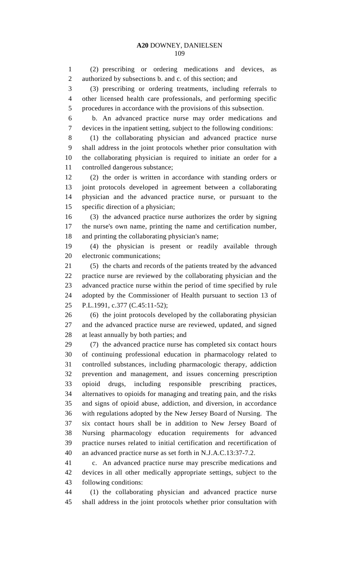(2) prescribing or ordering medications and devices, as authorized by subsections b. and c. of this section; and (3) prescribing or ordering treatments, including referrals to other licensed health care professionals, and performing specific procedures in accordance with the provisions of this subsection. b. An advanced practice nurse may order medications and devices in the inpatient setting, subject to the following conditions: (1) the collaborating physician and advanced practice nurse shall address in the joint protocols whether prior consultation with the collaborating physician is required to initiate an order for a controlled dangerous substance; (2) the order is written in accordance with standing orders or joint protocols developed in agreement between a collaborating physician and the advanced practice nurse, or pursuant to the specific direction of a physician; (3) the advanced practice nurse authorizes the order by signing the nurse's own name, printing the name and certification number, and printing the collaborating physician's name; (4) the physician is present or readily available through electronic communications; (5) the charts and records of the patients treated by the advanced practice nurse are reviewed by the collaborating physician and the advanced practice nurse within the period of time specified by rule adopted by the Commissioner of Health pursuant to section 13 of P.L.1991, c.377 (C.45:11-52); (6) the joint protocols developed by the collaborating physician and the advanced practice nurse are reviewed, updated, and signed at least annually by both parties; and (7) the advanced practice nurse has completed six contact hours of continuing professional education in pharmacology related to controlled substances, including pharmacologic therapy, addiction prevention and management, and issues concerning prescription opioid drugs, including responsible prescribing practices, alternatives to opioids for managing and treating pain, and the risks and signs of opioid abuse, addiction, and diversion, in accordance with regulations adopted by the New Jersey Board of Nursing. The six contact hours shall be in addition to New Jersey Board of Nursing pharmacology education requirements for advanced practice nurses related to initial certification and recertification of an advanced practice nurse as set forth in N.J.A.C.13:37-7.2.

 c. An advanced practice nurse may prescribe medications and devices in all other medically appropriate settings, subject to the following conditions:

 (1) the collaborating physician and advanced practice nurse shall address in the joint protocols whether prior consultation with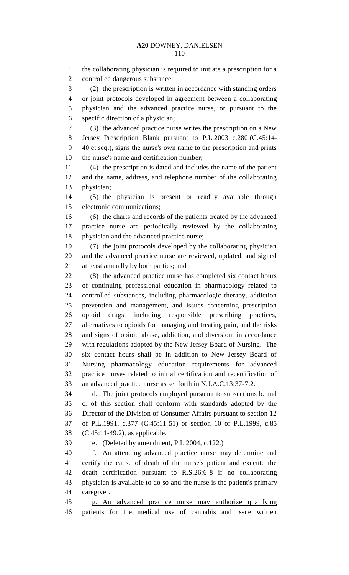the collaborating physician is required to initiate a prescription for a controlled dangerous substance; (2) the prescription is written in accordance with standing orders or joint protocols developed in agreement between a collaborating physician and the advanced practice nurse, or pursuant to the specific direction of a physician; (3) the advanced practice nurse writes the prescription on a New Jersey Prescription Blank pursuant to P.L.2003, c.280 (C.45:14- 40 et seq.), signs the nurse's own name to the prescription and prints the nurse's name and certification number; (4) the prescription is dated and includes the name of the patient and the name, address, and telephone number of the collaborating physician; (5) the physician is present or readily available through electronic communications; (6) the charts and records of the patients treated by the advanced practice nurse are periodically reviewed by the collaborating physician and the advanced practice nurse; (7) the joint protocols developed by the collaborating physician and the advanced practice nurse are reviewed, updated, and signed at least annually by both parties; and (8) the advanced practice nurse has completed six contact hours of continuing professional education in pharmacology related to controlled substances, including pharmacologic therapy, addiction prevention and management, and issues concerning prescription opioid drugs, including responsible prescribing practices, alternatives to opioids for managing and treating pain, and the risks and signs of opioid abuse, addiction, and diversion, in accordance with regulations adopted by the New Jersey Board of Nursing. The six contact hours shall be in addition to New Jersey Board of Nursing pharmacology education requirements for advanced practice nurses related to initial certification and recertification of an advanced practice nurse as set forth in N.J.A.C.13:37-7.2. d. The joint protocols employed pursuant to subsections b. and c. of this section shall conform with standards adopted by the Director of the Division of Consumer Affairs pursuant to section 12 of P.L.1991, c.377 (C.45:11-51) or section 10 of P.L.1999, c.85 (C.45:11-49.2), as applicable. e. (Deleted by amendment, P.L.2004, c.122.) f. An attending advanced practice nurse may determine and

 certify the cause of death of the nurse's patient and execute the death certification pursuant to R.S.26:6-8 if no collaborating physician is available to do so and the nurse is the patient's primary caregiver.

 g. An advanced practice nurse may authorize qualifying patients for the medical use of cannabis and issue written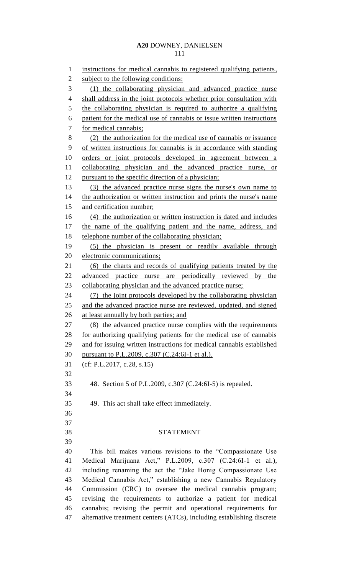instructions for medical cannabis to registered qualifying patients, 2 subject to the following conditions: (1) the collaborating physician and advanced practice nurse 4 shall address in the joint protocols whether prior consultation with 5 the collaborating physician is required to authorize a qualifying patient for the medical use of cannabis or issue written instructions for medical cannabis; (2) the authorization for the medical use of cannabis or issuance of written instructions for cannabis is in accordance with standing orders or joint protocols developed in agreement between a collaborating physician and the advanced practice nurse, or 12 pursuant to the specific direction of a physician; (3) the advanced practice nurse signs the nurse's own name to 14 the authorization or written instruction and prints the nurse's name and certification number; (4) the authorization or written instruction is dated and includes the name of the qualifying patient and the name, address, and 18 telephone number of the collaborating physician; (5) the physician is present or readily available through electronic communications; (6) the charts and records of qualifying patients treated by the advanced practice nurse are periodically reviewed by the collaborating physician and the advanced practice nurse; (7) the joint protocols developed by the collaborating physician and the advanced practice nurse are reviewed, updated, and signed at least annually by both parties; and (8) the advanced practice nurse complies with the requirements for authorizing qualifying patients for the medical use of cannabis and for issuing written instructions for medical cannabis established pursuant to P.L.2009, c.307 (C.24:6I-1 et al.). (cf: P.L.2017, c.28, s.15) 48. Section 5 of P.L.2009, c.307 (C.24:6I-5) is repealed. 49. This act shall take effect immediately. STATEMENT This bill makes various revisions to the "Compassionate Use Medical Marijuana Act," P.L.2009, c.307 (C.24:6I-1 et al.), including renaming the act the "Jake Honig Compassionate Use Medical Cannabis Act," establishing a new Cannabis Regulatory Commission (CRC) to oversee the medical cannabis program; revising the requirements to authorize a patient for medical cannabis; revising the permit and operational requirements for

alternative treatment centers (ATCs), including establishing discrete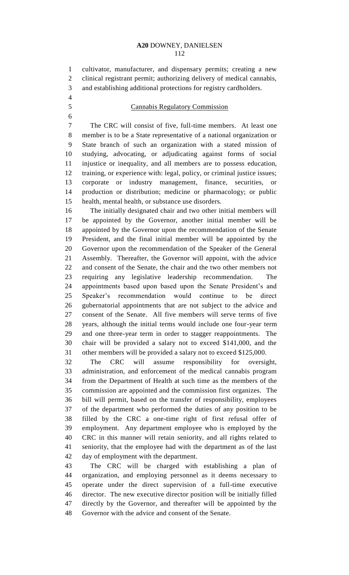cultivator, manufacturer, and dispensary permits; creating a new clinical registrant permit; authorizing delivery of medical cannabis,

 and establishing additional protections for registry cardholders. 

# Cannabis Regulatory Commission

 The CRC will consist of five, full-time members. At least one member is to be a State representative of a national organization or State branch of such an organization with a stated mission of studying, advocating, or adjudicating against forms of social injustice or inequality, and all members are to possess education, training, or experience with: legal, policy, or criminal justice issues; corporate or industry management, finance, securities, or production or distribution; medicine or pharmacology; or public health, mental health, or substance use disorders.

 The initially designated chair and two other initial members will be appointed by the Governor, another initial member will be appointed by the Governor upon the recommendation of the Senate President, and the final initial member will be appointed by the Governor upon the recommendation of the Speaker of the General Assembly. Thereafter, the Governor will appoint, with the advice and consent of the Senate, the chair and the two other members not requiring any legislative leadership recommendation. The appointments based upon based upon the Senate President's and Speaker's recommendation would continue to be direct gubernatorial appointments that are not subject to the advice and consent of the Senate. All five members will serve terms of five years, although the initial terms would include one four-year term and one three-year term in order to stagger reappointments. The chair will be provided a salary not to exceed \$141,000, and the other members will be provided a salary not to exceed \$125,000.

 The CRC will assume responsibility for oversight, administration, and enforcement of the medical cannabis program from the Department of Health at such time as the members of the commission are appointed and the commission first organizes. The bill will permit, based on the transfer of responsibility, employees of the department who performed the duties of any position to be filled by the CRC a one-time right of first refusal offer of employment. Any department employee who is employed by the CRC in this manner will retain seniority, and all rights related to seniority, that the employee had with the department as of the last day of employment with the department.

 The CRC will be charged with establishing a plan of organization, and employing personnel as it deems necessary to operate under the direct supervision of a full-time executive director. The new executive director position will be initially filled directly by the Governor, and thereafter will be appointed by the Governor with the advice and consent of the Senate.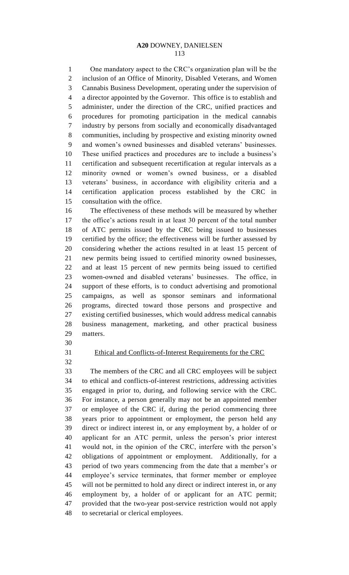One mandatory aspect to the CRC's organization plan will be the inclusion of an Office of Minority, Disabled Veterans, and Women Cannabis Business Development, operating under the supervision of a director appointed by the Governor. This office is to establish and administer, under the direction of the CRC, unified practices and procedures for promoting participation in the medical cannabis industry by persons from socially and economically disadvantaged communities, including by prospective and existing minority owned and women's owned businesses and disabled veterans' businesses. These unified practices and procedures are to include a business's certification and subsequent recertification at regular intervals as a minority owned or women's owned business, or a disabled veterans' business, in accordance with eligibility criteria and a certification application process established by the CRC in consultation with the office.

 The effectiveness of these methods will be measured by whether the office's actions result in at least 30 percent of the total number of ATC permits issued by the CRC being issued to businesses certified by the office; the effectiveness will be further assessed by considering whether the actions resulted in at least 15 percent of new permits being issued to certified minority owned businesses, and at least 15 percent of new permits being issued to certified women-owned and disabled veterans' businesses. The office, in support of these efforts, is to conduct advertising and promotional campaigns, as well as sponsor seminars and informational programs, directed toward those persons and prospective and existing certified businesses, which would address medical cannabis business management, marketing, and other practical business matters.

- 
- 

# Ethical and Conflicts-of-Interest Requirements for the CRC

 The members of the CRC and all CRC employees will be subject to ethical and conflicts-of-interest restrictions, addressing activities engaged in prior to, during, and following service with the CRC. For instance, a person generally may not be an appointed member or employee of the CRC if, during the period commencing three years prior to appointment or employment, the person held any direct or indirect interest in, or any employment by, a holder of or applicant for an ATC permit, unless the person's prior interest would not, in the opinion of the CRC, interfere with the person's obligations of appointment or employment. Additionally, for a period of two years commencing from the date that a member's or employee's service terminates, that former member or employee will not be permitted to hold any direct or indirect interest in, or any employment by, a holder of or applicant for an ATC permit; provided that the two-year post-service restriction would not apply to secretarial or clerical employees.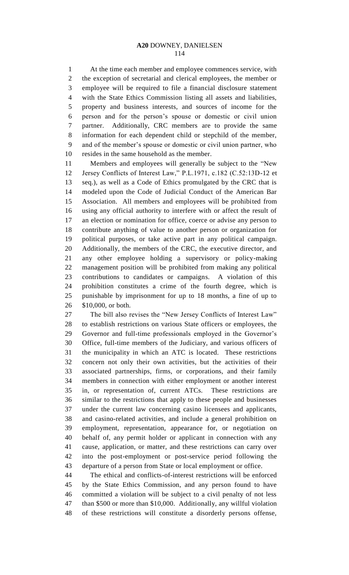At the time each member and employee commences service, with the exception of secretarial and clerical employees, the member or employee will be required to file a financial disclosure statement with the State Ethics Commission listing all assets and liabilities, property and business interests, and sources of income for the person and for the person's spouse or domestic or civil union partner. Additionally, CRC members are to provide the same information for each dependent child or stepchild of the member, and of the member's spouse or domestic or civil union partner, who resides in the same household as the member.

 Members and employees will generally be subject to the "New Jersey Conflicts of Interest Law," P.L.1971, c.182 (C.52:13D-12 et seq.), as well as a Code of Ethics promulgated by the CRC that is modeled upon the Code of Judicial Conduct of the American Bar Association. All members and employees will be prohibited from using any official authority to interfere with or affect the result of an election or nomination for office, coerce or advise any person to contribute anything of value to another person or organization for political purposes, or take active part in any political campaign. Additionally, the members of the CRC, the executive director, and any other employee holding a supervisory or policy-making management position will be prohibited from making any political contributions to candidates or campaigns. A violation of this prohibition constitutes a crime of the fourth degree, which is punishable by imprisonment for up to 18 months, a fine of up to \$10,000, or both.

 The bill also revises the "New Jersey Conflicts of Interest Law" to establish restrictions on various State officers or employees, the Governor and full-time professionals employed in the Governor's Office, full-time members of the Judiciary, and various officers of the municipality in which an ATC is located. These restrictions concern not only their own activities, but the activities of their associated partnerships, firms, or corporations, and their family members in connection with either employment or another interest in, or representation of, current ATCs. These restrictions are similar to the restrictions that apply to these people and businesses under the current law concerning casino licensees and applicants, and casino-related activities, and include a general prohibition on employment, representation, appearance for, or negotiation on behalf of, any permit holder or applicant in connection with any cause, application, or matter, and these restrictions can carry over into the post-employment or post-service period following the departure of a person from State or local employment or office.

 The ethical and conflicts-of-interest restrictions will be enforced by the State Ethics Commission, and any person found to have committed a violation will be subject to a civil penalty of not less than \$500 or more than \$10,000. Additionally, any willful violation of these restrictions will constitute a disorderly persons offense,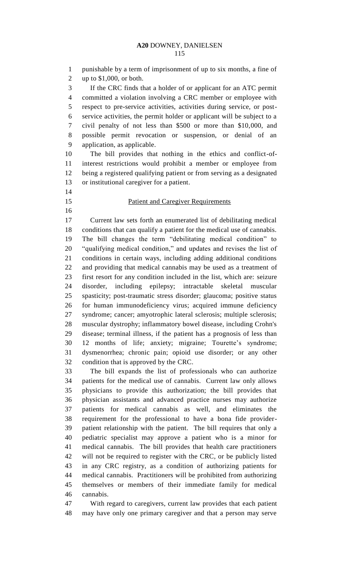punishable by a term of imprisonment of up to six months, a fine of up to \$1,000, or both. If the CRC finds that a holder of or applicant for an ATC permit committed a violation involving a CRC member or employee with respect to pre-service activities, activities during service, or post- service activities, the permit holder or applicant will be subject to a civil penalty of not less than \$500 or more than \$10,000, and possible permit revocation or suspension, or denial of an application, as applicable. The bill provides that nothing in the ethics and conflict-of- interest restrictions would prohibit a member or employee from being a registered qualifying patient or from serving as a designated or institutional caregiver for a patient. **Patient and Caregiver Requirements**  Current law sets forth an enumerated list of debilitating medical conditions that can qualify a patient for the medical use of cannabis. The bill changes the term "debilitating medical condition" to "qualifying medical condition," and updates and revises the list of conditions in certain ways, including adding additional conditions and providing that medical cannabis may be used as a treatment of first resort for any condition included in the list, which are: seizure disorder, including epilepsy; intractable skeletal muscular spasticity; post-traumatic stress disorder; glaucoma; positive status for human immunodeficiency virus; acquired immune deficiency syndrome; cancer; amyotrophic lateral sclerosis; multiple sclerosis; muscular dystrophy; inflammatory bowel disease, including Crohn's disease; terminal illness, if the patient has a prognosis of less than 12 months of life; anxiety; migraine; Tourette's syndrome; dysmenorrhea; chronic pain; opioid use disorder; or any other condition that is approved by the CRC. The bill expands the list of professionals who can authorize patients for the medical use of cannabis. Current law only allows

 physicians to provide this authorization; the bill provides that physician assistants and advanced practice nurses may authorize patients for medical cannabis as well, and eliminates the requirement for the professional to have a bona fide provider- patient relationship with the patient. The bill requires that only a pediatric specialist may approve a patient who is a minor for medical cannabis. The bill provides that health care practitioners will not be required to register with the CRC, or be publicly listed in any CRC registry, as a condition of authorizing patients for medical cannabis. Practitioners will be prohibited from authorizing themselves or members of their immediate family for medical cannabis.

 With regard to caregivers, current law provides that each patient may have only one primary caregiver and that a person may serve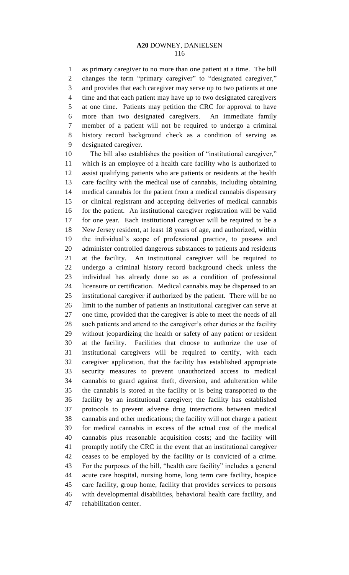as primary caregiver to no more than one patient at a time. The bill changes the term "primary caregiver" to "designated caregiver," and provides that each caregiver may serve up to two patients at one time and that each patient may have up to two designated caregivers at one time. Patients may petition the CRC for approval to have more than two designated caregivers. An immediate family member of a patient will not be required to undergo a criminal history record background check as a condition of serving as designated caregiver.

 The bill also establishes the position of "institutional caregiver," which is an employee of a health care facility who is authorized to assist qualifying patients who are patients or residents at the health care facility with the medical use of cannabis, including obtaining medical cannabis for the patient from a medical cannabis dispensary or clinical registrant and accepting deliveries of medical cannabis for the patient. An institutional caregiver registration will be valid for one year. Each institutional caregiver will be required to be a New Jersey resident, at least 18 years of age, and authorized, within the individual's scope of professional practice, to possess and administer controlled dangerous substances to patients and residents at the facility. An institutional caregiver will be required to undergo a criminal history record background check unless the individual has already done so as a condition of professional licensure or certification. Medical cannabis may be dispensed to an institutional caregiver if authorized by the patient. There will be no limit to the number of patients an institutional caregiver can serve at one time, provided that the caregiver is able to meet the needs of all such patients and attend to the caregiver's other duties at the facility without jeopardizing the health or safety of any patient or resident at the facility. Facilities that choose to authorize the use of institutional caregivers will be required to certify, with each caregiver application, that the facility has established appropriate security measures to prevent unauthorized access to medical cannabis to guard against theft, diversion, and adulteration while the cannabis is stored at the facility or is being transported to the facility by an institutional caregiver; the facility has established protocols to prevent adverse drug interactions between medical cannabis and other medications; the facility will not charge a patient for medical cannabis in excess of the actual cost of the medical cannabis plus reasonable acquisition costs; and the facility will promptly notify the CRC in the event that an institutional caregiver ceases to be employed by the facility or is convicted of a crime. For the purposes of the bill, "health care facility" includes a general acute care hospital, nursing home, long term care facility, hospice care facility, group home, facility that provides services to persons with developmental disabilities, behavioral health care facility, and rehabilitation center.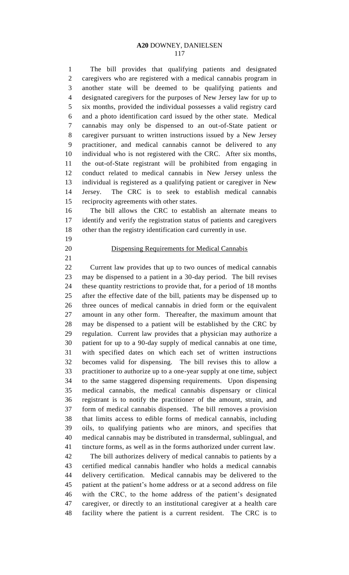The bill provides that qualifying patients and designated caregivers who are registered with a medical cannabis program in another state will be deemed to be qualifying patients and designated caregivers for the purposes of New Jersey law for up to six months, provided the individual possesses a valid registry card and a photo identification card issued by the other state. Medical cannabis may only be dispensed to an out-of-State patient or caregiver pursuant to written instructions issued by a New Jersey practitioner, and medical cannabis cannot be delivered to any individual who is not registered with the CRC. After six months, the out-of-State registrant will be prohibited from engaging in conduct related to medical cannabis in New Jersey unless the individual is registered as a qualifying patient or caregiver in New Jersey. The CRC is to seek to establish medical cannabis reciprocity agreements with other states.

 The bill allows the CRC to establish an alternate means to identify and verify the registration status of patients and caregivers other than the registry identification card currently in use.

- 
- 

# Dispensing Requirements for Medical Cannabis

 Current law provides that up to two ounces of medical cannabis may be dispensed to a patient in a 30-day period. The bill revises these quantity restrictions to provide that, for a period of 18 months after the effective date of the bill, patients may be dispensed up to three ounces of medical cannabis in dried form or the equivalent amount in any other form. Thereafter, the maximum amount that may be dispensed to a patient will be established by the CRC by regulation. Current law provides that a physician may authorize a patient for up to a 90-day supply of medical cannabis at one time, with specified dates on which each set of written instructions becomes valid for dispensing. The bill revises this to allow a practitioner to authorize up to a one-year supply at one time, subject to the same staggered dispensing requirements. Upon dispensing medical cannabis, the medical cannabis dispensary or clinical registrant is to notify the practitioner of the amount, strain, and form of medical cannabis dispensed. The bill removes a provision that limits access to edible forms of medical cannabis, including oils, to qualifying patients who are minors, and specifies that medical cannabis may be distributed in transdermal, sublingual, and tincture forms, as well as in the forms authorized under current law.

 The bill authorizes delivery of medical cannabis to patients by a certified medical cannabis handler who holds a medical cannabis delivery certification. Medical cannabis may be delivered to the patient at the patient's home address or at a second address on file with the CRC, to the home address of the patient's designated caregiver, or directly to an institutional caregiver at a health care facility where the patient is a current resident. The CRC is to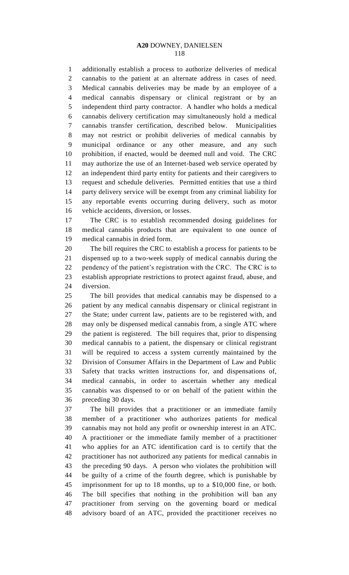additionally establish a process to authorize deliveries of medical cannabis to the patient at an alternate address in cases of need. Medical cannabis deliveries may be made by an employee of a medical cannabis dispensary or clinical registrant or by an independent third party contractor. A handler who holds a medical cannabis delivery certification may simultaneously hold a medical cannabis transfer certification, described below. Municipalities may not restrict or prohibit deliveries of medical cannabis by municipal ordinance or any other measure, and any such prohibition, if enacted, would be deemed null and void. The CRC may authorize the use of an Internet-based web service operated by an independent third party entity for patients and their caregivers to request and schedule deliveries. Permitted entities that use a third party delivery service will be exempt from any criminal liability for any reportable events occurring during delivery, such as motor vehicle accidents, diversion, or losses.

 The CRC is to establish recommended dosing guidelines for medical cannabis products that are equivalent to one ounce of medical cannabis in dried form.

 The bill requires the CRC to establish a process for patients to be dispensed up to a two-week supply of medical cannabis during the pendency of the patient's registration with the CRC. The CRC is to establish appropriate restrictions to protect against fraud, abuse, and diversion.

 The bill provides that medical cannabis may be dispensed to a patient by any medical cannabis dispensary or clinical registrant in the State; under current law, patients are to be registered with, and may only be dispensed medical cannabis from, a single ATC where the patient is registered. The bill requires that, prior to dispensing medical cannabis to a patient, the dispensary or clinical registrant will be required to access a system currently maintained by the Division of Consumer Affairs in the Department of Law and Public Safety that tracks written instructions for, and dispensations of, medical cannabis, in order to ascertain whether any medical cannabis was dispensed to or on behalf of the patient within the preceding 30 days.

 The bill provides that a practitioner or an immediate family member of a practitioner who authorizes patients for medical cannabis may not hold any profit or ownership interest in an ATC. A practitioner or the immediate family member of a practitioner who applies for an ATC identification card is to certify that the practitioner has not authorized any patients for medical cannabis in the preceding 90 days. A person who violates the prohibition will be guilty of a crime of the fourth degree, which is punishable by imprisonment for up to 18 months, up to a \$10,000 fine, or both. The bill specifies that nothing in the prohibition will ban any practitioner from serving on the governing board or medical advisory board of an ATC, provided the practitioner receives no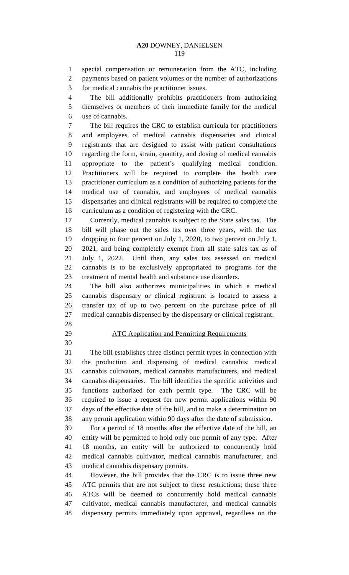special compensation or remuneration from the ATC, including payments based on patient volumes or the number of authorizations for medical cannabis the practitioner issues.

 The bill additionally prohibits practitioners from authorizing themselves or members of their immediate family for the medical use of cannabis.

 The bill requires the CRC to establish curricula for practitioners and employees of medical cannabis dispensaries and clinical registrants that are designed to assist with patient consultations regarding the form, strain, quantity, and dosing of medical cannabis appropriate to the patient's qualifying medical condition. Practitioners will be required to complete the health care practitioner curriculum as a condition of authorizing patients for the medical use of cannabis, and employees of medical cannabis dispensaries and clinical registrants will be required to complete the curriculum as a condition of registering with the CRC.

 Currently, medical cannabis is subject to the State sales tax. The bill will phase out the sales tax over three years, with the tax dropping to four percent on July 1, 2020, to two percent on July 1, 2021, and being completely exempt from all state sales tax as of July 1, 2022. Until then, any sales tax assessed on medical cannabis is to be exclusively appropriated to programs for the treatment of mental health and substance use disorders.

 The bill also authorizes municipalities in which a medical cannabis dispensary or clinical registrant is located to assess a transfer tax of up to two percent on the purchase price of all medical cannabis dispensed by the dispensary or clinical registrant.

- 
- 

# ATC Application and Permitting Requirements

 The bill establishes three distinct permit types in connection with the production and dispensing of medical cannabis: medical cannabis cultivators, medical cannabis manufacturers, and medical cannabis dispensaries. The bill identifies the specific activities and functions authorized for each permit type. The CRC will be required to issue a request for new permit applications within 90 days of the effective date of the bill, and to make a determination on any permit application within 90 days after the date of submission.

 For a period of 18 months after the effective date of the bill, an entity will be permitted to hold only one permit of any type. After 18 months, an entity will be authorized to concurrently hold medical cannabis cultivator, medical cannabis manufacturer, and medical cannabis dispensary permits.

 However, the bill provides that the CRC is to issue three new ATC permits that are not subject to these restrictions; these three ATCs will be deemed to concurrently hold medical cannabis cultivator, medical cannabis manufacturer, and medical cannabis dispensary permits immediately upon approval, regardless on the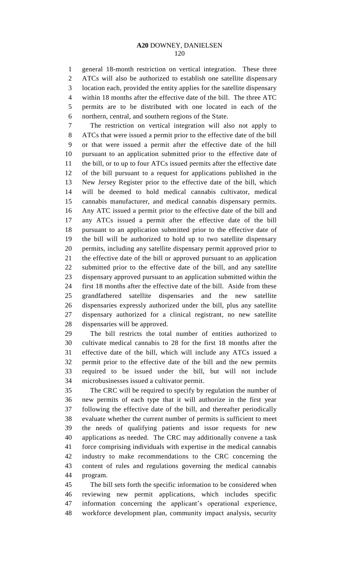general 18-month restriction on vertical integration. These three ATCs will also be authorized to establish one satellite dispensary location each, provided the entity applies for the satellite dispensary within 18 months after the effective date of the bill. The three ATC permits are to be distributed with one located in each of the northern, central, and southern regions of the State.

 The restriction on vertical integration will also not apply to ATCs that were issued a permit prior to the effective date of the bill or that were issued a permit after the effective date of the bill pursuant to an application submitted prior to the effective date of the bill, or to up to four ATCs issued permits after the effective date of the bill pursuant to a request for applications published in the New Jersey Register prior to the effective date of the bill, which will be deemed to hold medical cannabis cultivator, medical cannabis manufacturer, and medical cannabis dispensary permits. Any ATC issued a permit prior to the effective date of the bill and any ATCs issued a permit after the effective date of the bill pursuant to an application submitted prior to the effective date of the bill will be authorized to hold up to two satellite dispensary permits, including any satellite dispensary permit approved prior to the effective date of the bill or approved pursuant to an application submitted prior to the effective date of the bill, and any satellite dispensary approved pursuant to an application submitted within the first 18 months after the effective date of the bill. Aside from these grandfathered satellite dispensaries and the new satellite dispensaries expressly authorized under the bill, plus any satellite dispensary authorized for a clinical registrant, no new satellite dispensaries will be approved.

 The bill restricts the total number of entities authorized to cultivate medical cannabis to 28 for the first 18 months after the effective date of the bill, which will include any ATCs issued a permit prior to the effective date of the bill and the new permits required to be issued under the bill, but will not include microbusinesses issued a cultivator permit.

 The CRC will be required to specify by regulation the number of new permits of each type that it will authorize in the first year following the effective date of the bill, and thereafter periodically evaluate whether the current number of permits is sufficient to meet the needs of qualifying patients and issue requests for new applications as needed. The CRC may additionally convene a task force comprising individuals with expertise in the medical cannabis industry to make recommendations to the CRC concerning the content of rules and regulations governing the medical cannabis program.

 The bill sets forth the specific information to be considered when reviewing new permit applications, which includes specific information concerning the applicant's operational experience, workforce development plan, community impact analysis, security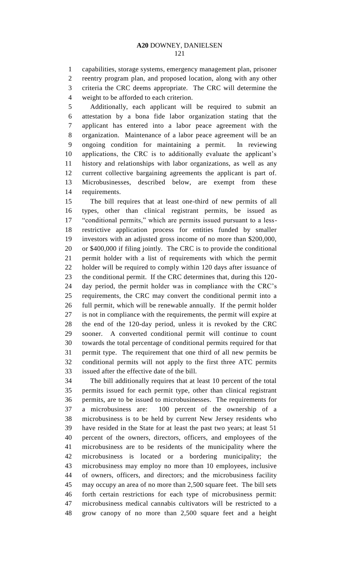capabilities, storage systems, emergency management plan, prisoner reentry program plan, and proposed location, along with any other criteria the CRC deems appropriate. The CRC will determine the weight to be afforded to each criterion.

 Additionally, each applicant will be required to submit an attestation by a bona fide labor organization stating that the applicant has entered into a labor peace agreement with the organization. Maintenance of a labor peace agreement will be an ongoing condition for maintaining a permit. In reviewing applications, the CRC is to additionally evaluate the applicant's history and relationships with labor organizations, as well as any current collective bargaining agreements the applicant is part of. Microbusinesses, described below, are exempt from these requirements.

 The bill requires that at least one-third of new permits of all types, other than clinical registrant permits, be issued as "conditional permits," which are permits issued pursuant to a less- restrictive application process for entities funded by smaller investors with an adjusted gross income of no more than \$200,000, or \$400,000 if filing jointly. The CRC is to provide the conditional permit holder with a list of requirements with which the permit holder will be required to comply within 120 days after issuance of the conditional permit. If the CRC determines that, during this 120- day period, the permit holder was in compliance with the CRC's requirements, the CRC may convert the conditional permit into a full permit, which will be renewable annually. If the permit holder is not in compliance with the requirements, the permit will expire at the end of the 120-day period, unless it is revoked by the CRC sooner. A converted conditional permit will continue to count towards the total percentage of conditional permits required for that permit type. The requirement that one third of all new permits be conditional permits will not apply to the first three ATC permits issued after the effective date of the bill.

 The bill additionally requires that at least 10 percent of the total permits issued for each permit type, other than clinical registrant permits, are to be issued to microbusinesses. The requirements for a microbusiness are: 100 percent of the ownership of a microbusiness is to be held by current New Jersey residents who have resided in the State for at least the past two years; at least 51 percent of the owners, directors, officers, and employees of the microbusiness are to be residents of the municipality where the microbusiness is located or a bordering municipality; the microbusiness may employ no more than 10 employees, inclusive of owners, officers, and directors; and the microbusiness facility may occupy an area of no more than 2,500 square feet. The bill sets forth certain restrictions for each type of microbusiness permit: microbusiness medical cannabis cultivators will be restricted to a grow canopy of no more than 2,500 square feet and a height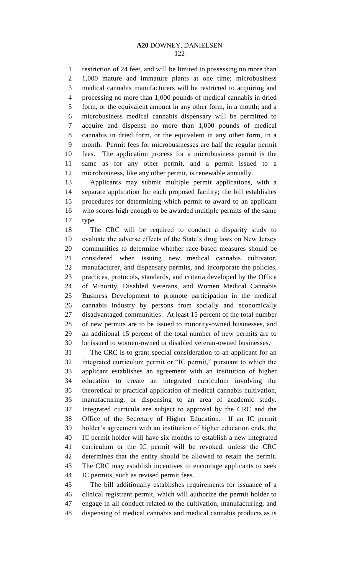restriction of 24 feet, and will be limited to possessing no more than 1,000 mature and immature plants at one time; microbusiness medical cannabis manufacturers will be restricted to acquiring and processing no more than 1,000 pounds of medical cannabis in dried form, or the equivalent amount in any other form, in a month; and a microbusiness medical cannabis dispensary will be permitted to acquire and dispense no more than 1,000 pounds of medical cannabis in dried form, or the equivalent in any other form, in a month. Permit fees for microbusinesses are half the regular permit fees. The application process for a microbusiness permit is the same as for any other permit, and a permit issued to a microbusiness, like any other permit, is renewable annually.

 Applicants may submit multiple permit applications, with a separate application for each proposed facility; the bill establishes procedures for determining which permit to award to an applicant who scores high enough to be awarded multiple permits of the same type.

 The CRC will be required to conduct a disparity study to evaluate the adverse effects of the State's drug laws on New Jersey communities to determine whether race-based measures should be considered when issuing new medical cannabis cultivator, manufacturer, and dispensary permits, and incorporate the policies, practices, protocols, standards, and criteria developed by the Office of Minority, Disabled Veterans, and Women Medical Cannabis Business Development to promote participation in the medical cannabis industry by persons from socially and economically disadvantaged communities. At least 15 percent of the total number of new permits are to be issued to minority-owned businesses, and an additional 15 percent of the total number of new permits are to be issued to women-owned or disabled veteran-owned businesses.

 The CRC is to grant special consideration to an applicant for an integrated curriculum permit or "IC permit," pursuant to which the applicant establishes an agreement with an institution of higher education to create an integrated curriculum involving the theoretical or practical application of medical cannabis cultivation, manufacturing, or dispensing to an area of academic study. Integrated curricula are subject to approval by the CRC and the Office of the Secretary of Higher Education. If an IC permit holder's agreement with an institution of higher education ends, the IC permit holder will have six months to establish a new integrated curriculum or the IC permit will be revoked, unless the CRC determines that the entity should be allowed to retain the permit. The CRC may establish incentives to encourage applicants to seek IC permits, such as revised permit fees.

 The bill additionally establishes requirements for issuance of a clinical registrant permit, which will authorize the permit holder to engage in all conduct related to the cultivation, manufacturing, and dispensing of medical cannabis and medical cannabis products as is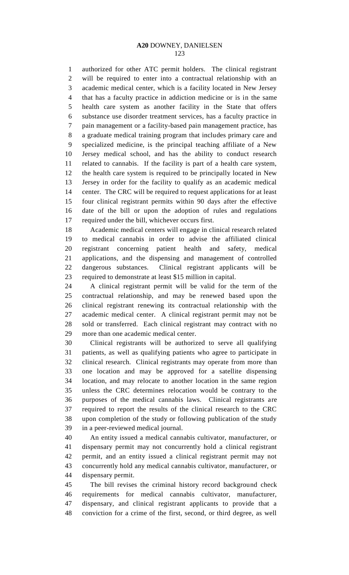authorized for other ATC permit holders. The clinical registrant will be required to enter into a contractual relationship with an academic medical center, which is a facility located in New Jersey that has a faculty practice in addiction medicine or is in the same health care system as another facility in the State that offers substance use disorder treatment services, has a faculty practice in pain management or a facility-based pain management practice, has a graduate medical training program that includes primary care and specialized medicine, is the principal teaching affiliate of a New Jersey medical school, and has the ability to conduct research related to cannabis. If the facility is part of a health care system, the health care system is required to be principally located in New Jersey in order for the facility to qualify as an academic medical center. The CRC will be required to request applications for at least four clinical registrant permits within 90 days after the effective date of the bill or upon the adoption of rules and regulations required under the bill, whichever occurs first.

 Academic medical centers will engage in clinical research related to medical cannabis in order to advise the affiliated clinical registrant concerning patient health and safety, medical applications, and the dispensing and management of controlled dangerous substances. Clinical registrant applicants will be required to demonstrate at least \$15 million in capital.

 A clinical registrant permit will be valid for the term of the contractual relationship, and may be renewed based upon the clinical registrant renewing its contractual relationship with the academic medical center. A clinical registrant permit may not be sold or transferred. Each clinical registrant may contract with no more than one academic medical center.

 Clinical registrants will be authorized to serve all qualifying patients, as well as qualifying patients who agree to participate in clinical research. Clinical registrants may operate from more than one location and may be approved for a satellite dispensing location, and may relocate to another location in the same region unless the CRC determines relocation would be contrary to the purposes of the medical cannabis laws. Clinical registrants are required to report the results of the clinical research to the CRC upon completion of the study or following publication of the study in a peer-reviewed medical journal.

 An entity issued a medical cannabis cultivator, manufacturer, or dispensary permit may not concurrently hold a clinical registrant permit, and an entity issued a clinical registrant permit may not concurrently hold any medical cannabis cultivator, manufacturer, or dispensary permit.

 The bill revises the criminal history record background check requirements for medical cannabis cultivator, manufacturer, dispensary, and clinical registrant applicants to provide that a conviction for a crime of the first, second, or third degree, as well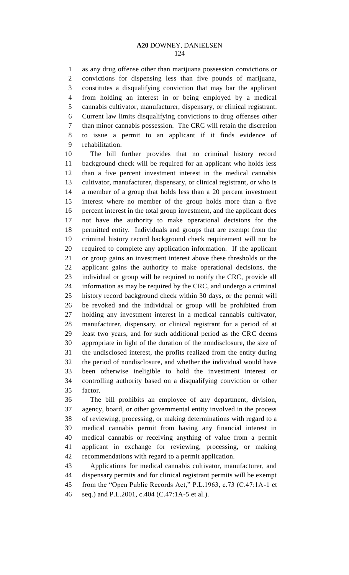as any drug offense other than marijuana possession convictions or convictions for dispensing less than five pounds of marijuana, constitutes a disqualifying conviction that may bar the applicant from holding an interest in or being employed by a medical cannabis cultivator, manufacturer, dispensary, or clinical registrant. Current law limits disqualifying convictions to drug offenses other than minor cannabis possession. The CRC will retain the discretion to issue a permit to an applicant if it finds evidence of rehabilitation.

 The bill further provides that no criminal history record background check will be required for an applicant who holds less than a five percent investment interest in the medical cannabis cultivator, manufacturer, dispensary, or clinical registrant, or who is a member of a group that holds less than a 20 percent investment interest where no member of the group holds more than a five percent interest in the total group investment, and the applicant does not have the authority to make operational decisions for the permitted entity. Individuals and groups that are exempt from the criminal history record background check requirement will not be required to complete any application information. If the applicant or group gains an investment interest above these thresholds or the applicant gains the authority to make operational decisions, the individual or group will be required to notify the CRC, provide all information as may be required by the CRC, and undergo a criminal history record background check within 30 days, or the permit will be revoked and the individual or group will be prohibited from holding any investment interest in a medical cannabis cultivator, manufacturer, dispensary, or clinical registrant for a period of at least two years, and for such additional period as the CRC deems appropriate in light of the duration of the nondisclosure, the size of the undisclosed interest, the profits realized from the entity during the period of nondisclosure, and whether the individual would have been otherwise ineligible to hold the investment interest or controlling authority based on a disqualifying conviction or other factor.

 The bill prohibits an employee of any department, division, agency, board, or other governmental entity involved in the process of reviewing, processing, or making determinations with regard to a medical cannabis permit from having any financial interest in medical cannabis or receiving anything of value from a permit applicant in exchange for reviewing, processing, or making recommendations with regard to a permit application.

 Applications for medical cannabis cultivator, manufacturer, and dispensary permits and for clinical registrant permits will be exempt from the "Open Public Records Act," P.L.1963, c.73 (C.47:1A-1 et seq.) and P.L.2001, c.404 (C.47:1A-5 et al.).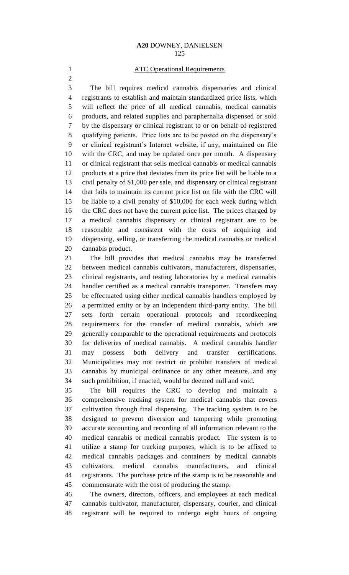## **ATC Operational Requirements**

 The bill requires medical cannabis dispensaries and clinical registrants to establish and maintain standardized price lists, which will reflect the price of all medical cannabis, medical cannabis products, and related supplies and paraphernalia dispensed or sold by the dispensary or clinical registrant to or on behalf of registered qualifying patients. Price lists are to be posted on the dispensary's or clinical registrant's Internet website, if any, maintained on file with the CRC, and may be updated once per month. A dispensary or clinical registrant that sells medical cannabis or medical cannabis products at a price that deviates from its price list will be liable to a civil penalty of \$1,000 per sale, and dispensary or clinical registrant that fails to maintain its current price list on file with the CRC will be liable to a civil penalty of \$10,000 for each week during which 16 the CRC does not have the current price list. The prices charged by a medical cannabis dispensary or clinical registrant are to be reasonable and consistent with the costs of acquiring and dispensing, selling, or transferring the medical cannabis or medical cannabis product.

 The bill provides that medical cannabis may be transferred between medical cannabis cultivators, manufacturers, dispensaries, clinical registrants, and testing laboratories by a medical cannabis handler certified as a medical cannabis transporter. Transfers may be effectuated using either medical cannabis handlers employed by a permitted entity or by an independent third-party entity. The bill sets forth certain operational protocols and recordkeeping requirements for the transfer of medical cannabis, which are generally comparable to the operational requirements and protocols for deliveries of medical cannabis. A medical cannabis handler may possess both delivery and transfer certifications. Municipalities may not restrict or prohibit transfers of medical cannabis by municipal ordinance or any other measure, and any such prohibition, if enacted, would be deemed null and void.

 The bill requires the CRC to develop and maintain a comprehensive tracking system for medical cannabis that covers cultivation through final dispensing. The tracking system is to be designed to prevent diversion and tampering while promoting accurate accounting and recording of all information relevant to the medical cannabis or medical cannabis product. The system is to utilize a stamp for tracking purposes, which is to be affixed to medical cannabis packages and containers by medical cannabis cultivators, medical cannabis manufacturers, and clinical registrants. The purchase price of the stamp is to be reasonable and commensurate with the cost of producing the stamp.

 The owners, directors, officers, and employees at each medical cannabis cultivator, manufacturer, dispensary, courier, and clinical registrant will be required to undergo eight hours of ongoing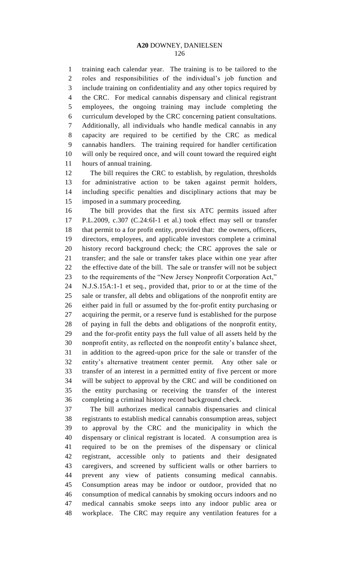training each calendar year. The training is to be tailored to the roles and responsibilities of the individual's job function and include training on confidentiality and any other topics required by the CRC. For medical cannabis dispensary and clinical registrant employees, the ongoing training may include completing the curriculum developed by the CRC concerning patient consultations. Additionally, all individuals who handle medical cannabis in any capacity are required to be certified by the CRC as medical cannabis handlers. The training required for handler certification will only be required once, and will count toward the required eight hours of annual training.

 The bill requires the CRC to establish, by regulation, thresholds for administrative action to be taken against permit holders, including specific penalties and disciplinary actions that may be imposed in a summary proceeding.

 The bill provides that the first six ATC permits issued after P.L.2009, c.307 (C.24:6I-1 et al.) took effect may sell or transfer that permit to a for profit entity, provided that: the owners, officers, directors, employees, and applicable investors complete a criminal history record background check; the CRC approves the sale or transfer; and the sale or transfer takes place within one year after the effective date of the bill. The sale or transfer will not be subject to the requirements of the "New Jersey Nonprofit Corporation Act," N.J.S.15A:1-1 et seq., provided that, prior to or at the time of the sale or transfer, all debts and obligations of the nonprofit entity are either paid in full or assumed by the for-profit entity purchasing or acquiring the permit, or a reserve fund is established for the purpose of paying in full the debts and obligations of the nonprofit entity, and the for-profit entity pays the full value of all assets held by the nonprofit entity, as reflected on the nonprofit entity's balance sheet, in addition to the agreed-upon price for the sale or transfer of the entity's alternative treatment center permit. Any other sale or transfer of an interest in a permitted entity of five percent or more will be subject to approval by the CRC and will be conditioned on the entity purchasing or receiving the transfer of the interest completing a criminal history record background check.

 The bill authorizes medical cannabis dispensaries and clinical registrants to establish medical cannabis consumption areas, subject to approval by the CRC and the municipality in which the dispensary or clinical registrant is located. A consumption area is required to be on the premises of the dispensary or clinical registrant, accessible only to patients and their designated caregivers, and screened by sufficient walls or other barriers to prevent any view of patients consuming medical cannabis. Consumption areas may be indoor or outdoor, provided that no consumption of medical cannabis by smoking occurs indoors and no medical cannabis smoke seeps into any indoor public area or workplace. The CRC may require any ventilation features for a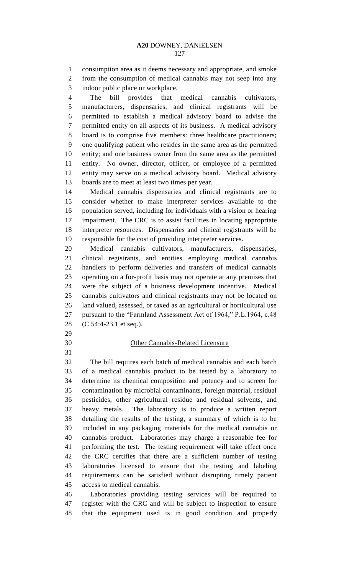consumption area as it deems necessary and appropriate, and smoke from the consumption of medical cannabis may not seep into any indoor public place or workplace.

 The bill provides that medical cannabis cultivators, manufacturers, dispensaries, and clinical registrants will be permitted to establish a medical advisory board to advise the permitted entity on all aspects of its business. A medical advisory board is to comprise five members: three healthcare practitioners; one qualifying patient who resides in the same area as the permitted entity; and one business owner from the same area as the permitted entity. No owner, director, officer, or employee of a permitted entity may serve on a medical advisory board. Medical advisory boards are to meet at least two times per year.

 Medical cannabis dispensaries and clinical registrants are to consider whether to make interpreter services available to the population served, including for individuals with a vision or hearing impairment. The CRC is to assist facilities in locating appropriate interpreter resources. Dispensaries and clinical registrants will be responsible for the cost of providing interpreter services.

 Medical cannabis cultivators, manufacturers, dispensaries, clinical registrants, and entities employing medical cannabis handlers to perform deliveries and transfers of medical cannabis operating on a for-profit basis may not operate at any premises that were the subject of a business development incentive. Medical cannabis cultivators and clinical registrants may not be located on land valued, assessed, or taxed as an agricultural or horticultural use pursuant to the "Farmland Assessment Act of 1964," P.L.1964, c.48 (C.54:4-23.1 et seq.).

## Other Cannabis-Related Licensure

 The bill requires each batch of medical cannabis and each batch of a medical cannabis product to be tested by a laboratory to determine its chemical composition and potency and to screen for contamination by microbial contaminants, foreign material, residual pesticides, other agricultural residue and residual solvents, and heavy metals. The laboratory is to produce a written report detailing the results of the testing, a summary of which is to be included in any packaging materials for the medical cannabis or cannabis product. Laboratories may charge a reasonable fee for performing the test. The testing requirement will take effect once the CRC certifies that there are a sufficient number of testing laboratories licensed to ensure that the testing and labeling requirements can be satisfied without disrupting timely patient access to medical cannabis.

 Laboratories providing testing services will be required to register with the CRC and will be subject to inspection to ensure that the equipment used is in good condition and properly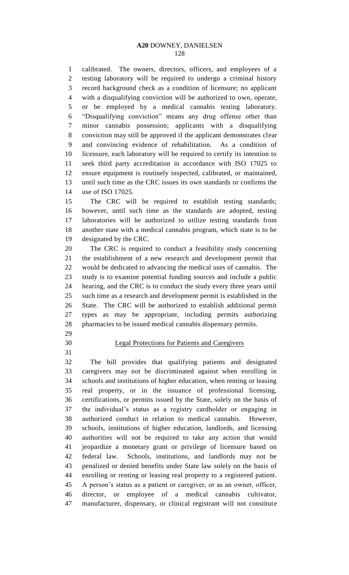calibrated. The owners, directors, officers, and employees of a testing laboratory will be required to undergo a criminal history record background check as a condition of licensure; no applicant with a disqualifying conviction will be authorized to own, operate, or be employed by a medical cannabis testing laboratory. "Disqualifying conviction" means any drug offense other than minor cannabis possession; applicants with a disqualifying conviction may still be approved if the applicant demonstrates clear and convincing evidence of rehabilitation. As a condition of licensure, each laboratory will be required to certify its intention to seek third party accreditation in accordance with ISO 17025 to ensure equipment is routinely inspected, calibrated, or maintained, until such time as the CRC issues its own standards or confirms the use of ISO 17025.

 The CRC will be required to establish testing standards; however, until such time as the standards are adopted, testing laboratories will be authorized to utilize testing standards from another state with a medical cannabis program, which state is to be designated by the CRC.

 The CRC is required to conduct a feasibility study concerning the establishment of a new research and development permit that would be dedicated to advancing the medical uses of cannabis. The study is to examine potential funding sources and include a public hearing, and the CRC is to conduct the study every three years until such time as a research and development permit is established in the State. The CRC will be authorized to establish additional permit types as may be appropriate, including permits authorizing pharmacies to be issued medical cannabis dispensary permits.

- 
- 

## Legal Protections for Patients and Caregivers

 The bill provides that qualifying patients and designated caregivers may not be discriminated against when enrolling in schools and institutions of higher education, when renting or leasing real property, or in the issuance of professional licensing, certifications, or permits issued by the State, solely on the basis of the individual's status as a registry cardholder or engaging in authorized conduct in relation to medical cannabis. However, schools, institutions of higher education, landlords, and licensing authorities will not be required to take any action that would jeopardize a monetary grant or privilege of licensure based on federal law. Schools, institutions, and landlords may not be penalized or denied benefits under State law solely on the basis of enrolling or renting or leasing real property to a registered patient. A person's status as a patient or caregiver, or as an owner, officer, director, or employee of a medical cannabis cultivator, manufacturer, dispensary, or clinical registrant will not constitute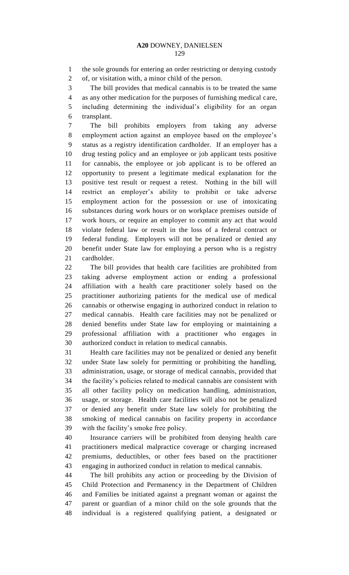the sole grounds for entering an order restricting or denying custody

of, or visitation with, a minor child of the person.

The bill provides that medical cannabis is to be treated the same

 as any other medication for the purposes of furnishing medical care, including determining the individual's eligibility for an organ transplant.

 The bill prohibits employers from taking any adverse employment action against an employee based on the employee's status as a registry identification cardholder. If an employer has a drug testing policy and an employee or job applicant tests positive for cannabis, the employee or job applicant is to be offered an opportunity to present a legitimate medical explanation for the positive test result or request a retest. Nothing in the bill will restrict an employer's ability to prohibit or take adverse employment action for the possession or use of intoxicating substances during work hours or on workplace premises outside of work hours, or require an employer to commit any act that would violate federal law or result in the loss of a federal contract or federal funding. Employers will not be penalized or denied any benefit under State law for employing a person who is a registry cardholder.

 The bill provides that health care facilities are prohibited from taking adverse employment action or ending a professional affiliation with a health care practitioner solely based on the practitioner authorizing patients for the medical use of medical cannabis or otherwise engaging in authorized conduct in relation to medical cannabis. Health care facilities may not be penalized or denied benefits under State law for employing or maintaining a professional affiliation with a practitioner who engages in authorized conduct in relation to medical cannabis.

 Health care facilities may not be penalized or denied any benefit under State law solely for permitting or prohibiting the handling, administration, usage, or storage of medical cannabis, provided that the facility's policies related to medical cannabis are consistent with all other facility policy on medication handling, administration, usage, or storage. Health care facilities will also not be penalized or denied any benefit under State law solely for prohibiting the smoking of medical cannabis on facility property in accordance with the facility's smoke free policy.

 Insurance carriers will be prohibited from denying health care practitioners medical malpractice coverage or charging increased premiums, deductibles, or other fees based on the practitioner engaging in authorized conduct in relation to medical cannabis.

 The bill prohibits any action or proceeding by the Division of Child Protection and Permanency in the Department of Children and Families be initiated against a pregnant woman or against the parent or guardian of a minor child on the sole grounds that the individual is a registered qualifying patient, a designated or